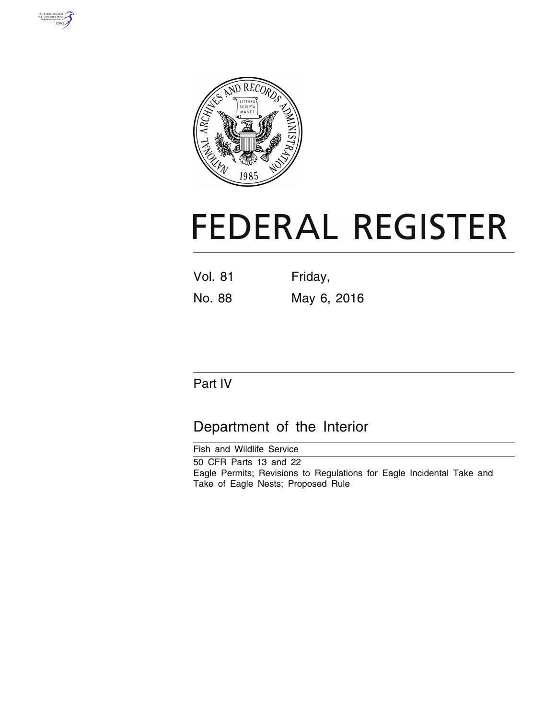



# **FEDERAL REGISTER**

| <b>Vol. 81</b> | Friday,     |  |  |
|----------------|-------------|--|--|
| No. 88         | May 6, 2016 |  |  |

## Part IV

## Department of the Interior

Fish and Wildlife Service 50 CFR Parts 13 and 22 Eagle Permits; Revisions to Regulations for Eagle Incidental Take and Take of Eagle Nests; Proposed Rule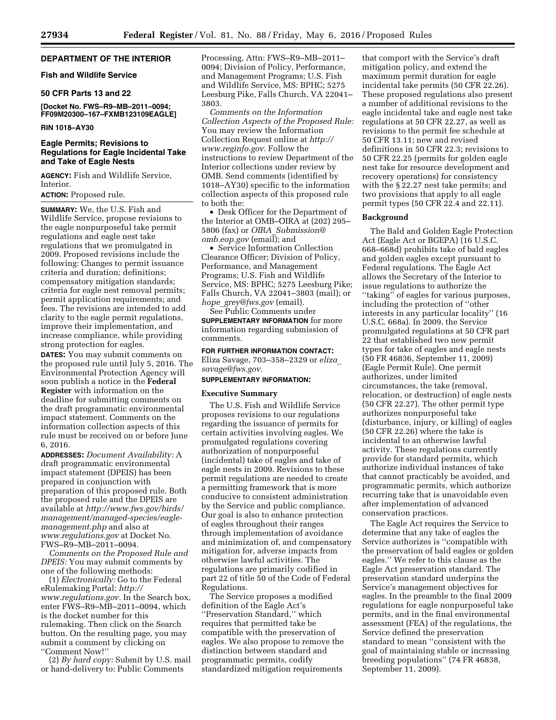#### **DEPARTMENT OF THE INTERIOR**

#### **Fish and Wildlife Service**

#### **50 CFR Parts 13 and 22**

**[Docket No. FWS–R9–MB–2011–0094; FF09M20300–167–FXMB123109EAGLE]** 

#### **RIN 1018–AY30**

#### **Eagle Permits; Revisions to Regulations for Eagle Incidental Take and Take of Eagle Nests**

**AGENCY:** Fish and Wildlife Service, Interior.

#### **ACTION:** Proposed rule.

**SUMMARY:** We, the U.S. Fish and Wildlife Service, propose revisions to the eagle nonpurposeful take permit regulations and eagle nest take regulations that we promulgated in 2009. Proposed revisions include the following: Changes to permit issuance criteria and duration; definitions; compensatory mitigation standards; criteria for eagle nest removal permits; permit application requirements; and fees. The revisions are intended to add clarity to the eagle permit regulations, improve their implementation, and increase compliance, while providing strong protection for eagles.

**DATES:** You may submit comments on the proposed rule until July 5, 2016. The Environmental Protection Agency will soon publish a notice in the **Federal Register** with information on the deadline for submitting comments on the draft programmatic environmental impact statement. Comments on the information collection aspects of this rule must be received on or before June 6, 2016.

**ADDRESSES:** *Document Availability:* A draft programmatic environmental impact statement (DPEIS) has been prepared in conjunction with preparation of this proposed rule. Both the proposed rule and the DPEIS are available at *[http://www.fws.gov/birds/](http://www.fws.gov/birds/management/managed-species/eagle-management.php) [management/managed-species/eagle](http://www.fws.gov/birds/management/managed-species/eagle-management.php)[management.php](http://www.fws.gov/birds/management/managed-species/eagle-management.php)* and also at *[www.regulations.gov](http://www.regulations.gov)* at Docket No. FWS–R9–MB–2011–0094.

*Comments on the Proposed Rule and DPEIS:* You may submit comments by one of the following methods:

(1) *Electronically:* Go to the Federal eRulemaking Portal: *[http://](http://www.regulations.gov) [www.regulations.gov.](http://www.regulations.gov)* In the Search box, enter FWS–R9–MB–2011–0094, which is the docket number for this rulemaking. Then click on the Search button. On the resulting page, you may submit a comment by clicking on ''Comment Now!''

(2) *By hard copy:* Submit by U.S. mail or hand-delivery to: Public Comments

Processing, Attn: FWS–R9–MB–2011– 0094; Division of Policy, Performance, and Management Programs; U.S. Fish and Wildlife Service, MS: BPHC; 5275 Leesburg Pike, Falls Church, VA 22041– 3803.

*Comments on the Information Collection Aspects of the Proposed Rule:*  You may review the Information Collection Request online at *[http://](http://www.reginfo.gov) [www.reginfo.gov.](http://www.reginfo.gov)* Follow the instructions to review Department of the Interior collections under review by OMB. Send comments (identified by 1018–AY30) specific to the information collection aspects of this proposed rule to both the:

• Desk Officer for the Department of the Interior at OMB–OIRA at (202) 295– 5806 (fax) or *OIRA*\_*[Submission@](mailto:OIRA_Submission@omb.eop.gov) [omb.eop.gov](mailto:OIRA_Submission@omb.eop.gov)* (email); and

• Service Information Collection Clearance Officer; Division of Policy, Performance, and Management Programs; U.S. Fish and Wildlife Service, MS: BPHC; 5275 Leesburg Pike; Falls Church, VA 22041–3803 (mail); or *hope*\_*[grey@fws.gov](mailto:hope_grey@fws.gov)* (email).

See Public Comments under **SUPPLEMENTARY INFORMATION** for more information regarding submission of comments.

**FOR FURTHER INFORMATION CONTACT:**  Eliza Savage, 703–358–2329 or *[eliza](mailto:eliza_savage@fws.gov)*\_ *[savage@fws.gov.](mailto:eliza_savage@fws.gov)* 

#### **SUPPLEMENTARY INFORMATION:**

#### **Executive Summary**

The U.S. Fish and Wildlife Service proposes revisions to our regulations regarding the issuance of permits for certain activities involving eagles. We promulgated regulations covering authorization of nonpurposeful (incidental) take of eagles and take of eagle nests in 2009. Revisions to these permit regulations are needed to create a permitting framework that is more conducive to consistent administration by the Service and public compliance. Our goal is also to enhance protection of eagles throughout their ranges through implementation of avoidance and minimization of, and compensatory mitigation for, adverse impacts from otherwise lawful activities. The regulations are primarily codified in part 22 of title 50 of the Code of Federal Regulations.

The Service proposes a modified definition of the Eagle Act's ''Preservation Standard,'' which requires that permitted take be compatible with the preservation of eagles. We also propose to remove the distinction between standard and programmatic permits, codify standardized mitigation requirements

that comport with the Service's draft mitigation policy, and extend the maximum permit duration for eagle incidental take permits (50 CFR 22.26). These proposed regulations also present a number of additional revisions to the eagle incidental take and eagle nest take regulations at 50 CFR 22.27, as well as revisions to the permit fee schedule at 50 CFR 13.11; new and revised definitions in 50 CFR 22.3; revisions to 50 CFR 22.25 (permits for golden eagle nest take for resource development and recovery operations) for consistency with the § 22.27 nest take permits; and two provisions that apply to all eagle permit types (50 CFR 22.4 and 22.11).

#### **Background**

The Bald and Golden Eagle Protection Act (Eagle Act or BGEPA) (16 U.S.C. 668–668d) prohibits take of bald eagles and golden eagles except pursuant to Federal regulations. The Eagle Act allows the Secretary of the Interior to issue regulations to authorize the ''taking'' of eagles for various purposes, including the protection of ''other interests in any particular locality'' (16 U.S.C. 668a). In 2009, the Service promulgated regulations at 50 CFR part 22 that established two new permit types for take of eagles and eagle nests (50 FR 46836, September 11, 2009) (Eagle Permit Rule). One permit authorizes, under limited circumstances, the take (removal, relocation, or destruction) of eagle nests (50 CFR 22.27). The other permit type authorizes nonpurposeful take (disturbance, injury, or killing) of eagles (50 CFR 22.26) where the take is incidental to an otherwise lawful activity. These regulations currently provide for standard permits, which authorize individual instances of take that cannot practicably be avoided, and programmatic permits, which authorize recurring take that is unavoidable even after implementation of advanced conservation practices.

The Eagle Act requires the Service to determine that any take of eagles the Service authorizes is ''compatible with the preservation of bald eagles or golden eagles.'' We refer to this clause as the Eagle Act preservation standard. The preservation standard underpins the Service's management objectives for eagles. In the preamble to the final 2009 regulations for eagle nonpurposeful take permits, and in the final environmental assessment (FEA) of the regulations, the Service defined the preservation standard to mean ''consistent with the goal of maintaining stable or increasing breeding populations'' (74 FR 46838, September 11, 2009).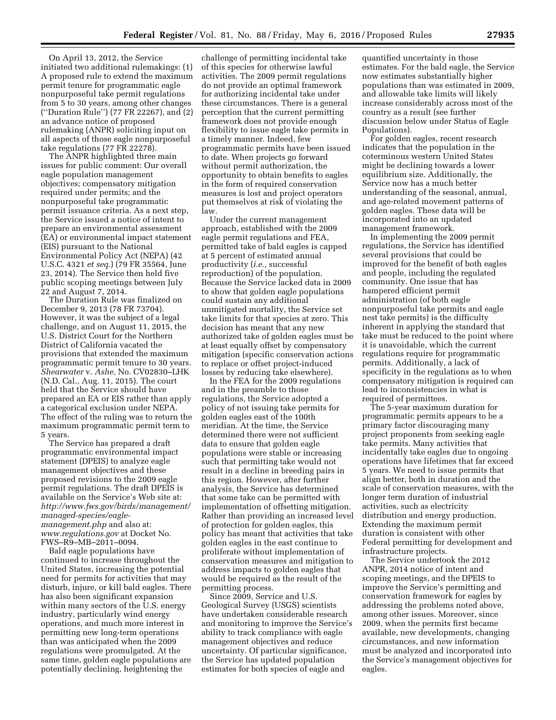On April 13, 2012, the Service initiated two additional rulemakings: (1) A proposed rule to extend the maximum permit tenure for programmatic eagle nonpurposeful take permit regulations from 5 to 30 years, among other changes (''Duration Rule'') (77 FR 22267), and (2) an advance notice of proposed rulemaking (ANPR) soliciting input on all aspects of those eagle nonpurposeful take regulations (77 FR 22278).

The ANPR highlighted three main issues for public comment: Our overall eagle population management objectives; compensatory mitigation required under permits; and the nonpurposeful take programmatic permit issuance criteria. As a next step, the Service issued a notice of intent to prepare an environmental assessment (EA) or environmental impact statement (EIS) pursuant to the National Environmental Policy Act (NEPA) (42 U.S.C. 4321 *et seq.*) (79 FR 35564, June 23, 2014). The Service then held five public scoping meetings between July 22 and August 7, 2014.

The Duration Rule was finalized on December 9, 2013 (78 FR 73704). However, it was the subject of a legal challenge, and on August 11, 2015, the U.S. District Court for the Northern District of California vacated the provisions that extended the maximum programmatic permit tenure to 30 years. *Shearwater* v. *Ashe,* No. CV02830–LHK (N.D. Cal., Aug. 11, 2015). The court held that the Service should have prepared an EA or EIS rather than apply a categorical exclusion under NEPA. The effect of the ruling was to return the maximum programmatic permit term to 5 years.

The Service has prepared a draft programmatic environmental impact statement (DPEIS) to analyze eagle management objectives and these proposed revisions to the 2009 eagle permit regulations. The draft DPEIS is available on the Service's Web site at: *[http://www.fws.gov/birds/management/](http://www.fws.gov/birds/management/managed-species/eagle-management.php) [managed-species/eagle](http://www.fws.gov/birds/management/managed-species/eagle-management.php)[management.php](http://www.fws.gov/birds/management/managed-species/eagle-management.php)* and also at: *[www.regulations.gov](http://www.regulations.gov)* at Docket No. FWS–R9–MB–2011–0094.

Bald eagle populations have continued to increase throughout the United States, increasing the potential need for permits for activities that may disturb, injure, or kill bald eagles. There has also been significant expansion within many sectors of the U.S. energy industry, particularly wind energy operations, and much more interest in permitting new long-term operations than was anticipated when the 2009 regulations were promulgated. At the same time, golden eagle populations are potentially declining, heightening the

challenge of permitting incidental take of this species for otherwise lawful activities. The 2009 permit regulations do not provide an optimal framework for authorizing incidental take under these circumstances. There is a general perception that the current permitting framework does not provide enough flexibility to issue eagle take permits in a timely manner. Indeed, few programmatic permits have been issued to date. When projects go forward without permit authorization, the opportunity to obtain benefits to eagles in the form of required conservation measures is lost and project operators put themselves at risk of violating the law.

Under the current management approach, established with the 2009 eagle permit regulations and FEA, permitted take of bald eagles is capped at 5 percent of estimated annual productivity (*i.e.,* successful reproduction) of the population. Because the Service lacked data in 2009 to show that golden eagle populations could sustain any additional unmitigated mortality, the Service set take limits for that species at zero. This decision has meant that any new authorized take of golden eagles must be at least equally offset by compensatory mitigation (specific conservation actions to replace or offset project-induced losses by reducing take elsewhere).

In the FEA for the 2009 regulations and in the preamble to those regulations, the Service adopted a policy of not issuing take permits for golden eagles east of the 100th meridian. At the time, the Service determined there were not sufficient data to ensure that golden eagle populations were stable or increasing such that permitting take would not result in a decline in breeding pairs in this region. However, after further analysis, the Service has determined that some take can be permitted with implementation of offsetting mitigation. Rather than providing an increased level of protection for golden eagles, this policy has meant that activities that take golden eagles in the east continue to proliferate without implementation of conservation measures and mitigation to address impacts to golden eagles that would be required as the result of the permitting process.

Since 2009, Service and U.S. Geological Survey (USGS) scientists have undertaken considerable research and monitoring to improve the Service's ability to track compliance with eagle management objectives and reduce uncertainty. Of particular significance, the Service has updated population estimates for both species of eagle and

quantified uncertainty in those estimates. For the bald eagle, the Service now estimates substantially higher populations than was estimated in 2009, and allowable take limits will likely increase considerably across most of the country as a result (see further discussion below under Status of Eagle Populations).

For golden eagles, recent research indicates that the population in the coterminous western United States might be declining towards a lower equilibrium size. Additionally, the Service now has a much better understanding of the seasonal, annual, and age-related movement patterns of golden eagles. These data will be incorporated into an updated management framework.

In implementing the 2009 permit regulations, the Service has identified several provisions that could be improved for the benefit of both eagles and people, including the regulated community. One issue that has hampered efficient permit administration (of both eagle nonpurposeful take permits and eagle nest take permits) is the difficulty inherent in applying the standard that take must be reduced to the point where it is unavoidable, which the current regulations require for programmatic permits. Additionally, a lack of specificity in the regulations as to when compensatory mitigation is required can lead to inconsistencies in what is required of permittees.

The 5-year maximum duration for programmatic permits appears to be a primary factor discouraging many project proponents from seeking eagle take permits. Many activities that incidentally take eagles due to ongoing operations have lifetimes that far exceed 5 years. We need to issue permits that align better, both in duration and the scale of conservation measures, with the longer term duration of industrial activities, such as electricity distribution and energy production. Extending the maximum permit duration is consistent with other Federal permitting for development and infrastructure projects.

The Service undertook the 2012 ANPR, 2014 notice of intent and scoping meetings, and the DPEIS to improve the Service's permitting and conservation framework for eagles by addressing the problems noted above, among other issues. Moreover, since 2009, when the permits first became available, new developments, changing circumstances, and new information must be analyzed and incorporated into the Service's management objectives for eagles.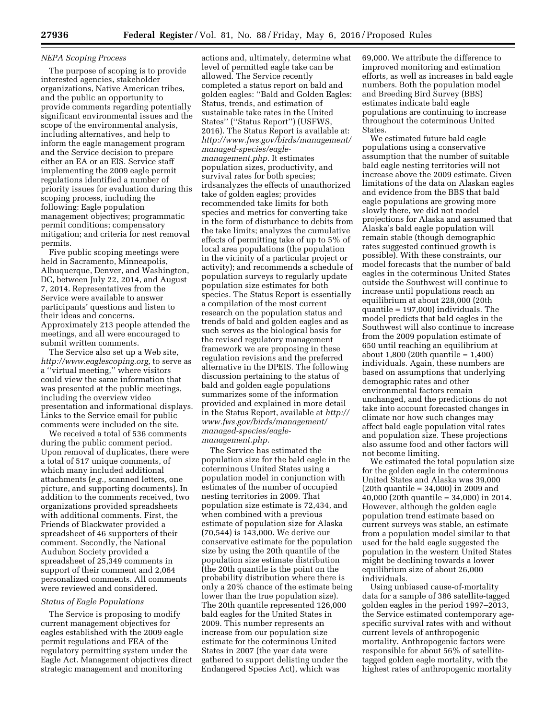#### *NEPA Scoping Process*

The purpose of scoping is to provide interested agencies, stakeholder organizations, Native American tribes, and the public an opportunity to provide comments regarding potentially significant environmental issues and the scope of the environmental analysis, including alternatives, and help to inform the eagle management program and the Service decision to prepare either an EA or an EIS. Service staff implementing the 2009 eagle permit regulations identified a number of priority issues for evaluation during this scoping process, including the following: Eagle population management objectives; programmatic permit conditions; compensatory mitigation; and criteria for nest removal permits.

Five public scoping meetings were held in Sacramento, Minneapolis, Albuquerque, Denver, and Washington, DC, between July 22, 2014, and August 7, 2014. Representatives from the Service were available to answer participants' questions and listen to their ideas and concerns. Approximately 213 people attended the meetings, and all were encouraged to submit written comments.

The Service also set up a Web site, *[http://www.eaglescoping.org,](http://www.eaglescoping.org)* to serve as a ''virtual meeting,'' where visitors could view the same information that was presented at the public meetings, including the overview video presentation and informational displays. Links to the Service email for public comments were included on the site.

We received a total of 536 comments during the public comment period. Upon removal of duplicates, there were a total of 517 unique comments, of which many included additional attachments (*e.g.,* scanned letters, one picture, and supporting documents). In addition to the comments received, two organizations provided spreadsheets with additional comments. First, the Friends of Blackwater provided a spreadsheet of 46 supporters of their comment. Secondly, the National Audubon Society provided a spreadsheet of 25,349 comments in support of their comment and 2,064 personalized comments. All comments were reviewed and considered.

#### *Status of Eagle Populations*

The Service is proposing to modify current management objectives for eagles established with the 2009 eagle permit regulations and FEA of the regulatory permitting system under the Eagle Act. Management objectives direct strategic management and monitoring

actions and, ultimately, determine what level of permitted eagle take can be allowed. The Service recently completed a status report on bald and golden eagles: ''Bald and Golden Eagles: Status, trends, and estimation of sustainable take rates in the United States'' (''Status Report'') (USFWS, 2016). The Status Report is available at: *[http://www.fws.gov/birds/management/](http://www.fws.gov/birds/management/managed-species/eagle-management.php) [managed-species/eagle](http://www.fws.gov/birds/management/managed-species/eagle-management.php)[management.php.](http://www.fws.gov/birds/management/managed-species/eagle-management.php)* It estimates population sizes, productivity, and survival rates for both species; irdsanalyzes the effects of unauthorized take of golden eagles; provides recommended take limits for both species and metrics for converting take in the form of disturbance to debits from the take limits; analyzes the cumulative effects of permitting take of up to 5% of local area populations (the population in the vicinity of a particular project or activity); and recommends a schedule of population surveys to regularly update population size estimates for both species. The Status Report is essentially a compilation of the most current research on the population status and trends of bald and golden eagles and as such serves as the biological basis for the revised regulatory management framework we are proposing in these regulation revisions and the preferred alternative in the DPEIS. The following discussion pertaining to the status of bald and golden eagle populations summarizes some of the information provided and explained in more detail in the Status Report, available at *[http://](http://www.fws.gov/birds/management/managed-species/eagle-management.php)  [www.fws.gov/birds/management/](http://www.fws.gov/birds/management/managed-species/eagle-management.php) [managed-species/eagle](http://www.fws.gov/birds/management/managed-species/eagle-management.php)[management.php.](http://www.fws.gov/birds/management/managed-species/eagle-management.php)* 

The Service has estimated the population size for the bald eagle in the coterminous United States using a population model in conjunction with estimates of the number of occupied nesting territories in 2009. That population size estimate is 72,434, and when combined with a previous estimate of population size for Alaska (70,544) is 143,000. We derive our conservative estimate for the population size by using the 20th quantile of the population size estimate distribution (the 20th quantile is the point on the probability distribution where there is only a 20% chance of the estimate being lower than the true population size). The 20th quantile represented 126,000 bald eagles for the United States in 2009. This number represents an increase from our population size estimate for the coterminous United States in 2007 (the year data were gathered to support delisting under the Endangered Species Act), which was

69,000. We attribute the difference to improved monitoring and estimation efforts, as well as increases in bald eagle numbers. Both the population model and Breeding Bird Survey (BBS) estimates indicate bald eagle populations are continuing to increase throughout the coterminous United States.

We estimated future bald eagle populations using a conservative assumption that the number of suitable bald eagle nesting territories will not increase above the 2009 estimate. Given limitations of the data on Alaskan eagles and evidence from the BBS that bald eagle populations are growing more slowly there, we did not model projections for Alaska and assumed that Alaska's bald eagle population will remain stable (though demographic rates suggested continued growth is possible). With these constraints, our model forecasts that the number of bald eagles in the coterminous United States outside the Southwest will continue to increase until populations reach an equilibrium at about 228,000 (20th quantile = 197,000) individuals. The model predicts that bald eagles in the Southwest will also continue to increase from the 2009 population estimate of 650 until reaching an equilibrium at about 1,800 (20th quantile = 1,400) individuals. Again, these numbers are based on assumptions that underlying demographic rates and other environmental factors remain unchanged, and the predictions do not take into account forecasted changes in climate nor how such changes may affect bald eagle population vital rates and population size. These projections also assume food and other factors will not become limiting.

We estimated the total population size for the golden eagle in the coterminous United States and Alaska was 39,000 (20th quantile = 34,000) in 2009 and 40,000 (20th quantile = 34,000) in 2014. However, although the golden eagle population trend estimate based on current surveys was stable, an estimate from a population model similar to that used for the bald eagle suggested the population in the western United States might be declining towards a lower equilibrium size of about 26,000 individuals.

Using unbiased cause-of-mortality data for a sample of 386 satellite-tagged golden eagles in the period 1997–2013, the Service estimated contemporary agespecific survival rates with and without current levels of anthropogenic mortality. Anthropogenic factors were responsible for about 56% of satellitetagged golden eagle mortality, with the highest rates of anthropogenic mortality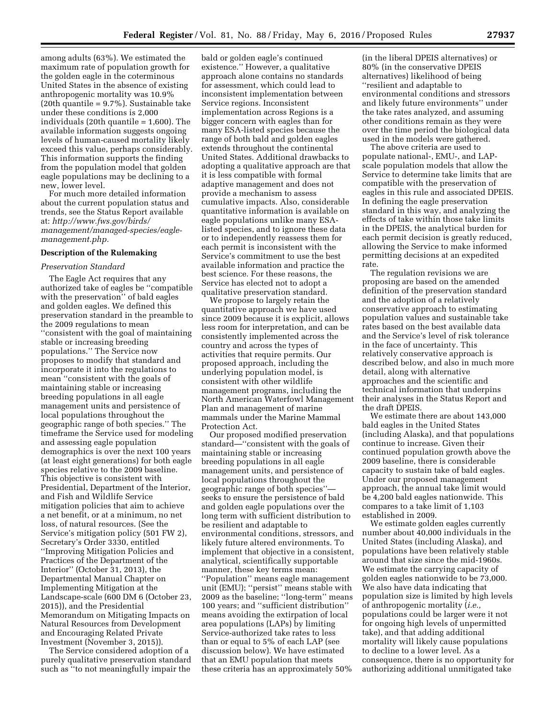among adults (63%). We estimated the maximum rate of population growth for the golden eagle in the coterminous United States in the absence of existing anthropogenic mortality was 10.9% (20th quantile = 9.7%). Sustainable take under these conditions is 2,000 individuals (20th quantile = 1,600). The available information suggests ongoing levels of human-caused mortality likely exceed this value, perhaps considerably. This information supports the finding from the population model that golden eagle populations may be declining to a new, lower level.

For much more detailed information about the current population status and trends, see the Status Report available at: *[http://www.fws.gov/birds/](http://www.fws.gov/birds/management/managed-species/eagle-management.php) [management/managed-species/eagle](http://www.fws.gov/birds/management/managed-species/eagle-management.php)[management.php.](http://www.fws.gov/birds/management/managed-species/eagle-management.php)* 

#### **Description of the Rulemaking**

#### *Preservation Standard*

The Eagle Act requires that any authorized take of eagles be ''compatible with the preservation'' of bald eagles and golden eagles. We defined this preservation standard in the preamble to the 2009 regulations to mean ''consistent with the goal of maintaining stable or increasing breeding populations.'' The Service now proposes to modify that standard and incorporate it into the regulations to mean ''consistent with the goals of maintaining stable or increasing breeding populations in all eagle management units and persistence of local populations throughout the geographic range of both species.'' The timeframe the Service used for modeling and assessing eagle population demographics is over the next 100 years (at least eight generations) for both eagle species relative to the 2009 baseline. This objective is consistent with Presidential, Department of the Interior, and Fish and Wildlife Service mitigation policies that aim to achieve a net benefit, or at a minimum, no net loss, of natural resources. (See the Service's mitigation policy (501 FW 2), Secretary's Order 3330, entitled ''Improving Mitigation Policies and Practices of the Department of the Interior'' (October 31, 2013), the Departmental Manual Chapter on Implementing Mitigation at the Landscape-scale (600 DM 6 (October 23, 2015)), and the Presidential Memorandum on Mitigating Impacts on Natural Resources from Development and Encouraging Related Private Investment (November 3, 2015)).

The Service considered adoption of a purely qualitative preservation standard such as ''to not meaningfully impair the

bald or golden eagle's continued existence.'' However, a qualitative approach alone contains no standards for assessment, which could lead to inconsistent implementation between Service regions. Inconsistent implementation across Regions is a bigger concern with eagles than for many ESA-listed species because the range of both bald and golden eagles extends throughout the continental United States. Additional drawbacks to adopting a qualitative approach are that it is less compatible with formal adaptive management and does not provide a mechanism to assess cumulative impacts. Also, considerable quantitative information is available on eagle populations unlike many ESAlisted species, and to ignore these data or to independently reassess them for each permit is inconsistent with the Service's commitment to use the best available information and practice the best science. For these reasons, the Service has elected not to adopt a qualitative preservation standard.

We propose to largely retain the quantitative approach we have used since 2009 because it is explicit, allows less room for interpretation, and can be consistently implemented across the country and across the types of activities that require permits. Our proposed approach, including the underlying population model, is consistent with other wildlife management programs, including the North American Waterfowl Management Plan and management of marine mammals under the Marine Mammal Protection Act.

Our proposed modified preservation standard—''consistent with the goals of maintaining stable or increasing breeding populations in all eagle management units, and persistence of local populations throughout the geographic range of both species'' seeks to ensure the persistence of bald and golden eagle populations over the long term with sufficient distribution to be resilient and adaptable to environmental conditions, stressors, and likely future altered environments. To implement that objective in a consistent, analytical, scientifically supportable manner, these key terms mean: ''Population'' means eagle management unit (EMU); ''persist'' means stable with 2009 as the baseline; ''long-term'' means 100 years; and ''sufficient distribution'' means avoiding the extirpation of local area populations (LAPs) by limiting Service-authorized take rates to less than or equal to 5% of each LAP (see discussion below). We have estimated that an EMU population that meets these criteria has an approximately 50%

(in the liberal DPEIS alternatives) or 80% (in the conservative DPEIS alternatives) likelihood of being ''resilient and adaptable to environmental conditions and stressors and likely future environments'' under the take rates analyzed, and assuming other conditions remain as they were over the time period the biological data used in the models were gathered.

The above criteria are used to populate national-, EMU-, and LAPscale population models that allow the Service to determine take limits that are compatible with the preservation of eagles in this rule and associated DPEIS. In defining the eagle preservation standard in this way, and analyzing the effects of take within those take limits in the DPEIS, the analytical burden for each permit decision is greatly reduced, allowing the Service to make informed permitting decisions at an expedited rate.

The regulation revisions we are proposing are based on the amended definition of the preservation standard and the adoption of a relatively conservative approach to estimating population values and sustainable take rates based on the best available data and the Service's level of risk tolerance in the face of uncertainty. This relatively conservative approach is described below, and also in much more detail, along with alternative approaches and the scientific and technical information that underpins their analyses in the Status Report and the draft DPEIS.

We estimate there are about 143,000 bald eagles in the United States (including Alaska), and that populations continue to increase. Given their continued population growth above the 2009 baseline, there is considerable capacity to sustain take of bald eagles. Under our proposed management approach, the annual take limit would be 4,200 bald eagles nationwide. This compares to a take limit of 1,103 established in 2009.

We estimate golden eagles currently number about 40,000 individuals in the United States (including Alaska), and populations have been relatively stable around that size since the mid-1960s. We estimate the carrying capacity of golden eagles nationwide to be 73,000. We also have data indicating that population size is limited by high levels of anthropogenic mortality (*i.e.,*  populations could be larger were it not for ongoing high levels of unpermitted take), and that adding additional mortality will likely cause populations to decline to a lower level. As a consequence, there is no opportunity for authorizing additional unmitigated take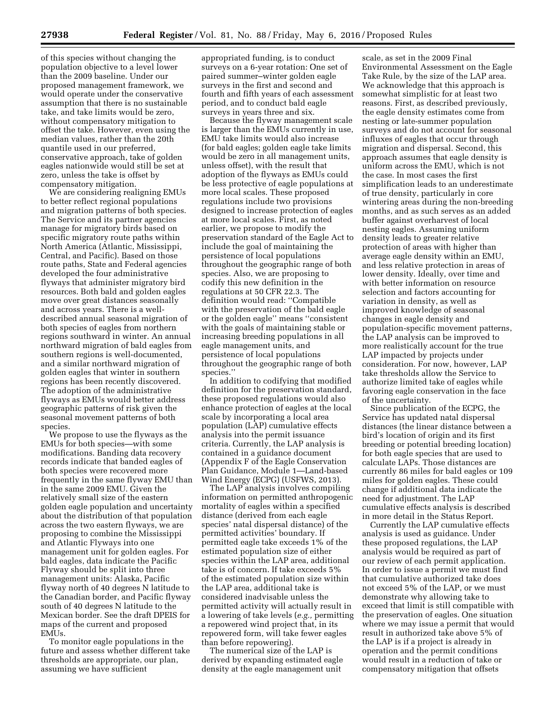of this species without changing the population objective to a level lower than the 2009 baseline. Under our proposed management framework, we would operate under the conservative assumption that there is no sustainable take, and take limits would be zero, without compensatory mitigation to offset the take. However, even using the median values, rather than the 20th quantile used in our preferred, conservative approach, take of golden eagles nationwide would still be set at zero, unless the take is offset by compensatory mitigation.

We are considering realigning EMUs to better reflect regional populations and migration patterns of both species. The Service and its partner agencies manage for migratory birds based on specific migratory route paths within North America (Atlantic, Mississippi, Central, and Pacific). Based on those route paths, State and Federal agencies developed the four administrative flyways that administer migratory bird resources. Both bald and golden eagles move over great distances seasonally and across years. There is a welldescribed annual seasonal migration of both species of eagles from northern regions southward in winter. An annual northward migration of bald eagles from southern regions is well-documented, and a similar northward migration of golden eagles that winter in southern regions has been recently discovered. The adoption of the administrative flyways as EMUs would better address geographic patterns of risk given the seasonal movement patterns of both species.

We propose to use the flyways as the EMUs for both species—with some modifications. Banding data recovery records indicate that banded eagles of both species were recovered more frequently in the same flyway EMU than in the same 2009 EMU. Given the relatively small size of the eastern golden eagle population and uncertainty about the distribution of that population across the two eastern flyways, we are proposing to combine the Mississippi and Atlantic Flyways into one management unit for golden eagles. For bald eagles, data indicate the Pacific Flyway should be split into three management units: Alaska, Pacific flyway north of 40 degrees N latitude to the Canadian border, and Pacific flyway south of 40 degrees N latitude to the Mexican border. See the draft DPEIS for maps of the current and proposed EMUs.

To monitor eagle populations in the future and assess whether different take thresholds are appropriate, our plan, assuming we have sufficient

appropriated funding, is to conduct surveys on a 6-year rotation: One set of paired summer–winter golden eagle surveys in the first and second and fourth and fifth years of each assessment period, and to conduct bald eagle surveys in years three and six.

Because the flyway management scale is larger than the EMUs currently in use, EMU take limits would also increase (for bald eagles; golden eagle take limits would be zero in all management units, unless offset), with the result that adoption of the flyways as EMUs could be less protective of eagle populations at more local scales. These proposed regulations include two provisions designed to increase protection of eagles at more local scales. First, as noted earlier, we propose to modify the preservation standard of the Eagle Act to include the goal of maintaining the persistence of local populations throughout the geographic range of both species. Also, we are proposing to codify this new definition in the regulations at 50 CFR 22.3. The definition would read: ''Compatible with the preservation of the bald eagle or the golden eagle'' means ''consistent with the goals of maintaining stable or increasing breeding populations in all eagle management units, and persistence of local populations throughout the geographic range of both species.''

In addition to codifying that modified definition for the preservation standard, these proposed regulations would also enhance protection of eagles at the local scale by incorporating a local area population (LAP) cumulative effects analysis into the permit issuance criteria. Currently, the LAP analysis is contained in a guidance document (Appendix F of the Eagle Conservation Plan Guidance, Module 1—Land-based Wind Energy (ECPG) (USFWS, 2013).

The LAP analysis involves compiling information on permitted anthropogenic mortality of eagles within a specified distance (derived from each eagle species' natal dispersal distance) of the permitted activities' boundary. If permitted eagle take exceeds 1% of the estimated population size of either species within the LAP area, additional take is of concern. If take exceeds 5% of the estimated population size within the LAP area, additional take is considered inadvisable unless the permitted activity will actually result in a lowering of take levels (*e.g.,* permitting a repowered wind project that, in its repowered form, will take fewer eagles than before repowering).

The numerical size of the LAP is derived by expanding estimated eagle density at the eagle management unit

scale, as set in the 2009 Final Environmental Assessment on the Eagle Take Rule, by the size of the LAP area. We acknowledge that this approach is somewhat simplistic for at least two reasons. First, as described previously, the eagle density estimates come from nesting or late-summer population surveys and do not account for seasonal influxes of eagles that occur through migration and dispersal. Second, this approach assumes that eagle density is uniform across the EMU, which is not the case. In most cases the first simplification leads to an underestimate of true density, particularly in core wintering areas during the non-breeding months, and as such serves as an added buffer against overharvest of local nesting eagles. Assuming uniform density leads to greater relative protection of areas with higher than average eagle density within an EMU, and less relative protection in areas of lower density. Ideally, over time and with better information on resource selection and factors accounting for variation in density, as well as improved knowledge of seasonal changes in eagle density and population-specific movement patterns, the LAP analysis can be improved to more realistically account for the true LAP impacted by projects under consideration. For now, however, LAP take thresholds allow the Service to authorize limited take of eagles while favoring eagle conservation in the face of the uncertainty.

Since publication of the ECPG, the Service has updated natal dispersal distances (the linear distance between a bird's location of origin and its first breeding or potential breeding location) for both eagle species that are used to calculate LAPs. Those distances are currently 86 miles for bald eagles or 109 miles for golden eagles. These could change if additional data indicate the need for adjustment. The LAP cumulative effects analysis is described in more detail in the Status Report.

Currently the LAP cumulative effects analysis is used as guidance. Under these proposed regulations, the LAP analysis would be required as part of our review of each permit application. In order to issue a permit we must find that cumulative authorized take does not exceed 5% of the LAP, or we must demonstrate why allowing take to exceed that limit is still compatible with the preservation of eagles. One situation where we may issue a permit that would result in authorized take above 5% of the LAP is if a project is already in operation and the permit conditions would result in a reduction of take or compensatory mitigation that offsets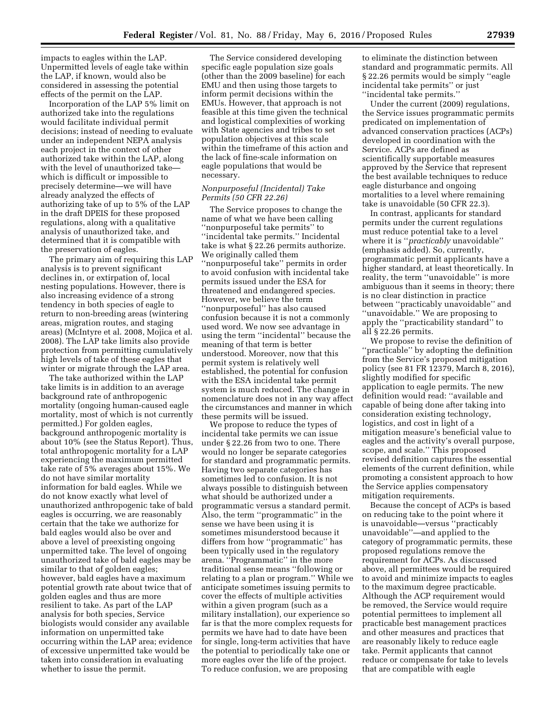impacts to eagles within the LAP. Unpermitted levels of eagle take within the LAP, if known, would also be considered in assessing the potential effects of the permit on the LAP.

Incorporation of the LAP 5% limit on authorized take into the regulations would facilitate individual permit decisions; instead of needing to evaluate under an independent NEPA analysis each project in the context of other authorized take within the LAP, along with the level of unauthorized take which is difficult or impossible to precisely determine—we will have already analyzed the effects of authorizing take of up to 5% of the LAP in the draft DPEIS for these proposed regulations, along with a qualitative analysis of unauthorized take, and determined that it is compatible with the preservation of eagles.

The primary aim of requiring this LAP analysis is to prevent significant declines in, or extirpation of, local nesting populations. However, there is also increasing evidence of a strong tendency in both species of eagle to return to non-breeding areas (wintering areas, migration routes, and staging areas) (McIntyre et al. 2008, Mojica et al. 2008). The LAP take limits also provide protection from permitting cumulatively high levels of take of these eagles that winter or migrate through the LAP area.

The take authorized within the LAP take limits is in addition to an average background rate of anthropogenic mortality (ongoing human-caused eagle mortality, most of which is not currently permitted.) For golden eagles, background anthropogenic mortality is about 10% (see the Status Report). Thus, total anthropogenic mortality for a LAP experiencing the maximum permitted take rate of 5% averages about 15%. We do not have similar mortality information for bald eagles. While we do not know exactly what level of unauthorized anthropogenic take of bald eagles is occurring, we are reasonably certain that the take we authorize for bald eagles would also be over and above a level of preexisting ongoing unpermitted take. The level of ongoing unauthorized take of bald eagles may be similar to that of golden eagles; however, bald eagles have a maximum potential growth rate about twice that of golden eagles and thus are more resilient to take. As part of the LAP analysis for both species, Service biologists would consider any available information on unpermitted take occurring within the LAP area; evidence of excessive unpermitted take would be taken into consideration in evaluating whether to issue the permit.

The Service considered developing specific eagle population size goals (other than the 2009 baseline) for each EMU and then using those targets to inform permit decisions within the EMUs. However, that approach is not feasible at this time given the technical and logistical complexities of working with State agencies and tribes to set population objectives at this scale within the timeframe of this action and the lack of fine-scale information on eagle populations that would be necessary.

#### *Nonpurposeful (Incidental) Take Permits (50 CFR 22.26)*

The Service proposes to change the name of what we have been calling ''nonpurposeful take permits'' to ''incidental take permits.'' Incidental take is what § 22.26 permits authorize. We originally called them ''nonpurposeful take'' permits in order to avoid confusion with incidental take permits issued under the ESA for threatened and endangered species. However, we believe the term ''nonpurposeful'' has also caused confusion because it is not a commonly used word. We now see advantage in using the term ''incidental'' because the meaning of that term is better understood. Moreover, now that this permit system is relatively well established, the potential for confusion with the ESA incidental take permit system is much reduced. The change in nomenclature does not in any way affect the circumstances and manner in which these permits will be issued.

We propose to reduce the types of incidental take permits we can issue under § 22.26 from two to one. There would no longer be separate categories for standard and programmatic permits. Having two separate categories has sometimes led to confusion. It is not always possible to distinguish between what should be authorized under a programmatic versus a standard permit. Also, the term ''programmatic'' in the sense we have been using it is sometimes misunderstood because it differs from how ''programmatic'' has been typically used in the regulatory arena. ''Programmatic'' in the more traditional sense means ''following or relating to a plan or program.'' While we anticipate sometimes issuing permits to cover the effects of multiple activities within a given program (such as a military installation), our experience so far is that the more complex requests for permits we have had to date have been for single, long-term activities that have the potential to periodically take one or more eagles over the life of the project. To reduce confusion, we are proposing

to eliminate the distinction between standard and programmatic permits. All § 22.26 permits would be simply ''eagle incidental take permits'' or just ''incidental take permits.''

Under the current (2009) regulations, the Service issues programmatic permits predicated on implementation of advanced conservation practices (ACPs) developed in coordination with the Service. ACPs are defined as scientifically supportable measures approved by the Service that represent the best available techniques to reduce eagle disturbance and ongoing mortalities to a level where remaining take is unavoidable (50 CFR 22.3).

In contrast, applicants for standard permits under the current regulations must reduce potential take to a level where it is ''*practicably* unavoidable'' (emphasis added). So, currently, programmatic permit applicants have a higher standard, at least theoretically. In reality, the term ''unavoidable'' is more ambiguous than it seems in theory; there is no clear distinction in practice between ''practicably unavoidable'' and ''unavoidable.'' We are proposing to apply the ''practicability standard'' to all § 22.26 permits.

We propose to revise the definition of ''practicable'' by adopting the definition from the Service's proposed mitigation policy (see 81 FR 12379, March 8, 2016), slightly modified for specific application to eagle permits. The new definition would read: ''available and capable of being done after taking into consideration existing technology, logistics, and cost in light of a mitigation measure's beneficial value to eagles and the activity's overall purpose, scope, and scale.'' This proposed revised definition captures the essential elements of the current definition, while promoting a consistent approach to how the Service applies compensatory mitigation requirements.

Because the concept of ACPs is based on reducing take to the point where it is unavoidable—versus ''practicably unavoidable''—and applied to the category of programmatic permits, these proposed regulations remove the requirement for ACPs. As discussed above, all permittees would be required to avoid and minimize impacts to eagles to the maximum degree practicable. Although the ACP requirement would be removed, the Service would require potential permittees to implement all practicable best management practices and other measures and practices that are reasonably likely to reduce eagle take. Permit applicants that cannot reduce or compensate for take to levels that are compatible with eagle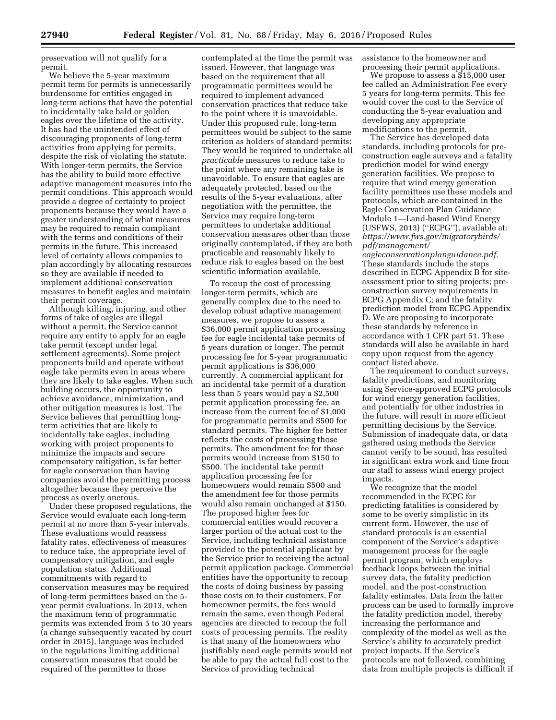preservation will not qualify for a permit.

We believe the 5-year maximum permit term for permits is unnecessarily burdensome for entities engaged in long-term actions that have the potential to incidentally take bald or golden eagles over the lifetime of the activity. It has had the unintended effect of discouraging proponents of long-term activities from applying for permits, despite the risk of violating the statute. With longer-term permits, the Service has the ability to build more effective adaptive management measures into the permit conditions. This approach would provide a degree of certainty to project proponents because they would have a greater understanding of what measures may be required to remain compliant with the terms and conditions of their permits in the future. This increased level of certainty allows companies to plan accordingly by allocating resources so they are available if needed to implement additional conservation measures to benefit eagles and maintain their permit coverage.

Although killing, injuring, and other forms of take of eagles are illegal without a permit, the Service cannot require any entity to apply for an eagle take permit (except under legal settlement agreements). Some project proponents build and operate without eagle take permits even in areas where they are likely to take eagles. When such building occurs, the opportunity to achieve avoidance, minimization, and other mitigation measures is lost. The Service believes that permitting longterm activities that are likely to incidentally take eagles, including working with project proponents to minimize the impacts and secure compensatory mitigation, is far better for eagle conservation than having companies avoid the permitting process altogether because they perceive the process as overly onerous.

Under these proposed regulations, the Service would evaluate each long-term permit at no more than 5-year intervals. These evaluations would reassess fatality rates, effectiveness of measures to reduce take, the appropriate level of compensatory mitigation, and eagle population status. Additional commitments with regard to conservation measures may be required of long-term permittees based on the 5 year permit evaluations. In 2013, when the maximum term of programmatic permits was extended from 5 to 30 years (a change subsequently vacated by court order in 2015), language was included in the regulations limiting additional conservation measures that could be required of the permittee to those

contemplated at the time the permit was issued. However, that language was based on the requirement that all programmatic permittees would be required to implement advanced conservation practices that reduce take to the point where it is unavoidable. Under this proposed rule, long-term permittees would be subject to the same criterion as holders of standard permits: They would be required to undertake all *practicable* measures to reduce take to the point where any remaining take is unavoidable. To ensure that eagles are adequately protected, based on the results of the 5-year evaluations, after negotiation with the permittee, the Service may require long-term permittees to undertake additional conservation measures other than those originally contemplated, if they are both practicable and reasonably likely to reduce risk to eagles based on the best scientific information available.

To recoup the cost of processing longer-term permits, which are generally complex due to the need to develop robust adaptive management measures, we propose to assess a \$36,000 permit application processing fee for eagle incidental take permits of 5 years duration or longer. The permit processing fee for 5-year programmatic permit applications is \$36,000 currently. A commercial applicant for an incidental take permit of a duration less than 5 years would pay a \$2,500 permit application processing fee, an increase from the current fee of \$1,000 for programmatic permits and \$500 for standard permits. The higher fee better reflects the costs of processing those permits. The amendment fee for those permits would increase from \$150 to \$500. The incidental take permit application processing fee for homeowners would remain \$500 and the amendment fee for those permits would also remain unchanged at \$150. The proposed higher fees for commercial entities would recover a larger portion of the actual cost to the Service, including technical assistance provided to the potential applicant by the Service prior to receiving the actual permit application package. Commercial entities have the opportunity to recoup the costs of doing business by passing those costs on to their customers. For homeowner permits, the fees would remain the same, even though Federal agencies are directed to recoup the full costs of processing permits. The reality is that many of the homeowners who justifiably need eagle permits would not be able to pay the actual full cost to the Service of providing technical

assistance to the homeowner and processing their permit applications.

We propose to assess a \$15,000 user fee called an Administration Fee every 5 years for long-term permits. This fee would cover the cost to the Service of conducting the 5-year evaluation and developing any appropriate modifications to the permit.

The Service has developed data standards, including protocols for preconstruction eagle surveys and a fatality prediction model for wind energy generation facilities. We propose to require that wind energy generation facility permittees use these models and protocols, which are contained in the Eagle Conservation Plan Guidance Module 1—Land-based Wind Energy (USFWS, 2013) (''ECPG''), available at: *[https://www.fws.gov/migratorybirds/](https://www.fws.gov/migratorybirds/pdf/management/eagleconservationplanguidance.pdf) [pdf/management/](https://www.fws.gov/migratorybirds/pdf/management/eagleconservationplanguidance.pdf)*

*[eagleconservationplanguidance.pdf.](https://www.fws.gov/migratorybirds/pdf/management/eagleconservationplanguidance.pdf)*  These standards include the steps described in ECPG Appendix B for siteassessment prior to siting projects; preconstruction survey requirements in ECPG Appendix C; and the fatality prediction model from ECPG Appendix D. We are proposing to incorporate these standards by reference in accordance with 1 CFR part 51. These standards will also be available in hard copy upon request from the agency contact listed above.

The requirement to conduct surveys, fatality predictions, and monitoring using Service-approved ECPG protocols for wind energy generation facilities, and potentially for other industries in the future, will result in more efficient permitting decisions by the Service. Submission of inadequate data, or data gathered using methods the Service cannot verify to be sound, has resulted in significant extra work and time from our staff to assess wind energy project impacts.

We recognize that the model recommended in the ECPG for predicting fatalities is considered by some to be overly simplistic in its current form. However, the use of standard protocols is an essential component of the Service's adaptive management process for the eagle permit program, which employs feedback loops between the initial survey data, the fatality prediction model, and the post-construction fatality estimates. Data from the latter process can be used to formally improve the fatality prediction model, thereby increasing the performance and complexity of the model as well as the Service's ability to accurately predict project impacts. If the Service's protocols are not followed, combining data from multiple projects is difficult if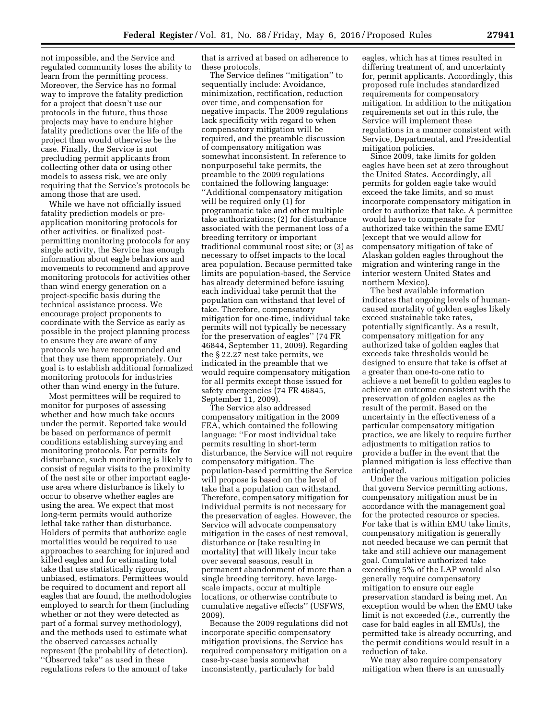not impossible, and the Service and regulated community loses the ability to learn from the permitting process. Moreover, the Service has no formal way to improve the fatality prediction for a project that doesn't use our protocols in the future, thus those projects may have to endure higher fatality predictions over the life of the project than would otherwise be the case. Finally, the Service is not precluding permit applicants from collecting other data or using other models to assess risk, we are only requiring that the Service's protocols be among those that are used.

While we have not officially issued fatality prediction models or preapplication monitoring protocols for other activities, or finalized postpermitting monitoring protocols for any single activity, the Service has enough information about eagle behaviors and movements to recommend and approve monitoring protocols for activities other than wind energy generation on a project-specific basis during the technical assistance process. We encourage project proponents to coordinate with the Service as early as possible in the project planning process to ensure they are aware of any protocols we have recommended and that they use them appropriately. Our goal is to establish additional formalized monitoring protocols for industries other than wind energy in the future.

Most permittees will be required to monitor for purposes of assessing whether and how much take occurs under the permit. Reported take would be based on performance of permit conditions establishing surveying and monitoring protocols. For permits for disturbance, such monitoring is likely to consist of regular visits to the proximity of the nest site or other important eagleuse area where disturbance is likely to occur to observe whether eagles are using the area. We expect that most long-term permits would authorize lethal take rather than disturbance. Holders of permits that authorize eagle mortalities would be required to use approaches to searching for injured and killed eagles and for estimating total take that use statistically rigorous, unbiased, estimators. Permittees would be required to document and report all eagles that are found, the methodologies employed to search for them (including whether or not they were detected as part of a formal survey methodology), and the methods used to estimate what the observed carcasses actually represent (the probability of detection). ''Observed take'' as used in these regulations refers to the amount of take

that is arrived at based on adherence to these protocols.

The Service defines ''mitigation'' to sequentially include: Avoidance, minimization, rectification, reduction over time, and compensation for negative impacts. The 2009 regulations lack specificity with regard to when compensatory mitigation will be required, and the preamble discussion of compensatory mitigation was somewhat inconsistent. In reference to nonpurposeful take permits, the preamble to the 2009 regulations contained the following language: ''Additional compensatory mitigation will be required only (1) for programmatic take and other multiple take authorizations; (2) for disturbance associated with the permanent loss of a breeding territory or important traditional communal roost site; or (3) as necessary to offset impacts to the local area population. Because permitted take limits are population-based, the Service has already determined before issuing each individual take permit that the population can withstand that level of take. Therefore, compensatory mitigation for one-time, individual take permits will not typically be necessary for the preservation of eagles'' (74 FR 46844, September 11, 2009). Regarding the § 22.27 nest take permits, we indicated in the preamble that we would require compensatory mitigation for all permits except those issued for safety emergencies (74 FR 46845, September 11, 2009).

The Service also addressed compensatory mitigation in the 2009 FEA, which contained the following language: ''For most individual take permits resulting in short-term disturbance, the Service will not require compensatory mitigation. The population-based permitting the Service will propose is based on the level of take that a population can withstand. Therefore, compensatory mitigation for individual permits is not necessary for the preservation of eagles. However, the Service will advocate compensatory mitigation in the cases of nest removal, disturbance or [take resulting in mortality] that will likely incur take over several seasons, result in permanent abandonment of more than a single breeding territory, have largescale impacts, occur at multiple locations, or otherwise contribute to cumulative negative effects'' (USFWS, 2009).

Because the 2009 regulations did not incorporate specific compensatory mitigation provisions, the Service has required compensatory mitigation on a case-by-case basis somewhat inconsistently, particularly for bald

eagles, which has at times resulted in differing treatment of, and uncertainty for, permit applicants. Accordingly, this proposed rule includes standardized requirements for compensatory mitigation. In addition to the mitigation requirements set out in this rule, the Service will implement these regulations in a manner consistent with Service, Departmental, and Presidential mitigation policies.

Since 2009, take limits for golden eagles have been set at zero throughout the United States. Accordingly, all permits for golden eagle take would exceed the take limits, and so must incorporate compensatory mitigation in order to authorize that take. A permittee would have to compensate for authorized take within the same EMU (except that we would allow for compensatory mitigation of take of Alaskan golden eagles throughout the migration and wintering range in the interior western United States and northern Mexico).

The best available information indicates that ongoing levels of humancaused mortality of golden eagles likely exceed sustainable take rates, potentially significantly. As a result, compensatory mitigation for any authorized take of golden eagles that exceeds take thresholds would be designed to ensure that take is offset at a greater than one-to-one ratio to achieve a net benefit to golden eagles to achieve an outcome consistent with the preservation of golden eagles as the result of the permit. Based on the uncertainty in the effectiveness of a particular compensatory mitigation practice, we are likely to require further adjustments to mitigation ratios to provide a buffer in the event that the planned mitigation is less effective than anticipated.

Under the various mitigation policies that govern Service permitting actions, compensatory mitigation must be in accordance with the management goal for the protected resource or species. For take that is within EMU take limits, compensatory mitigation is generally not needed because we can permit that take and still achieve our management goal. Cumulative authorized take exceeding 5% of the LAP would also generally require compensatory mitigation to ensure our eagle preservation standard is being met. An exception would be when the EMU take limit is not exceeded (*i.e.,* currently the case for bald eagles in all EMUs), the permitted take is already occurring, and the permit conditions would result in a reduction of take.

We may also require compensatory mitigation when there is an unusually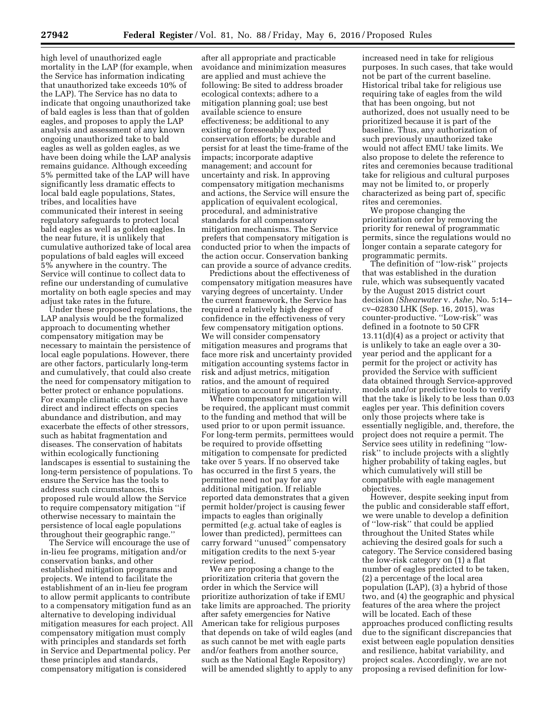high level of unauthorized eagle mortality in the LAP (for example, when the Service has information indicating that unauthorized take exceeds 10% of the LAP). The Service has no data to indicate that ongoing unauthorized take of bald eagles is less than that of golden eagles, and proposes to apply the LAP analysis and assessment of any known ongoing unauthorized take to bald eagles as well as golden eagles, as we have been doing while the LAP analysis remains guidance. Although exceeding 5% permitted take of the LAP will have significantly less dramatic effects to local bald eagle populations, States, tribes, and localities have communicated their interest in seeing regulatory safeguards to protect local bald eagles as well as golden eagles. In the near future, it is unlikely that cumulative authorized take of local area populations of bald eagles will exceed 5% anywhere in the country. The Service will continue to collect data to refine our understanding of cumulative mortality on both eagle species and may adjust take rates in the future.

Under these proposed regulations, the LAP analysis would be the formalized approach to documenting whether compensatory mitigation may be necessary to maintain the persistence of local eagle populations. However, there are other factors, particularly long-term and cumulatively, that could also create the need for compensatory mitigation to better protect or enhance populations. For example climatic changes can have direct and indirect effects on species abundance and distribution, and may exacerbate the effects of other stressors, such as habitat fragmentation and diseases. The conservation of habitats within ecologically functioning landscapes is essential to sustaining the long-term persistence of populations. To ensure the Service has the tools to address such circumstances, this proposed rule would allow the Service to require compensatory mitigation ''if otherwise necessary to maintain the persistence of local eagle populations throughout their geographic range.''

The Service will encourage the use of in-lieu fee programs, mitigation and/or conservation banks, and other established mitigation programs and projects. We intend to facilitate the establishment of an in-lieu fee program to allow permit applicants to contribute to a compensatory mitigation fund as an alternative to developing individual mitigation measures for each project. All compensatory mitigation must comply with principles and standards set forth in Service and Departmental policy. Per these principles and standards, compensatory mitigation is considered

after all appropriate and practicable avoidance and minimization measures are applied and must achieve the following: Be sited to address broader ecological contexts; adhere to a mitigation planning goal; use best available science to ensure effectiveness; be additional to any existing or foreseeably expected conservation efforts; be durable and persist for at least the time-frame of the impacts; incorporate adaptive management; and account for uncertainty and risk. In approving compensatory mitigation mechanisms and actions, the Service will ensure the application of equivalent ecological, procedural, and administrative standards for all compensatory mitigation mechanisms. The Service prefers that compensatory mitigation is conducted prior to when the impacts of the action occur. Conservation banking can provide a source of advance credits.

Predictions about the effectiveness of compensatory mitigation measures have varying degrees of uncertainty. Under the current framework, the Service has required a relatively high degree of confidence in the effectiveness of very few compensatory mitigation options. We will consider compensatory mitigation measures and programs that face more risk and uncertainty provided mitigation accounting systems factor in risk and adjust metrics, mitigation ratios, and the amount of required mitigation to account for uncertainty.

Where compensatory mitigation will be required, the applicant must commit to the funding and method that will be used prior to or upon permit issuance. For long-term permits, permittees would be required to provide offsetting mitigation to compensate for predicted take over 5 years. If no observed take has occurred in the first 5 years, the permittee need not pay for any additional mitigation. If reliable reported data demonstrates that a given permit holder/project is causing fewer impacts to eagles than originally permitted (*e.g.* actual take of eagles is lower than predicted), permittees can carry forward ''unused'' compensatory mitigation credits to the next 5-year review period.

We are proposing a change to the prioritization criteria that govern the order in which the Service will prioritize authorization of take if EMU take limits are approached. The priority after safety emergencies for Native American take for religious purposes that depends on take of wild eagles (and as such cannot be met with eagle parts and/or feathers from another source, such as the National Eagle Repository) will be amended slightly to apply to any increased need in take for religious purposes. In such cases, that take would not be part of the current baseline. Historical tribal take for religious use requiring take of eagles from the wild that has been ongoing, but not authorized, does not usually need to be prioritized because it is part of the baseline. Thus, any authorization of such previously unauthorized take would not affect EMU take limits. We also propose to delete the reference to rites and ceremonies because traditional take for religious and cultural purposes may not be limited to, or properly characterized as being part of, specific rites and ceremonies.

We propose changing the prioritization order by removing the priority for renewal of programmatic permits, since the regulations would no longer contain a separate category for programmatic permits.

The definition of ''low-risk'' projects that was established in the duration rule, which was subsequently vacated by the August 2015 district court decision *(Shearwater* v. *Ashe,* No. 5:14– cv–02830 LHK (Sep. 16, 2015), was counter-productive. ''Low-risk'' was defined in a footnote to 50 CFR 13.11(d)(4) as a project or activity that is unlikely to take an eagle over a 30 year period and the applicant for a permit for the project or activity has provided the Service with sufficient data obtained through Service-approved models and/or predictive tools to verify that the take is likely to be less than 0.03 eagles per year. This definition covers only those projects where take is essentially negligible, and, therefore, the project does not require a permit. The Service sees utility in redefining ''lowrisk'' to include projects with a slightly higher probability of taking eagles, but which cumulatively will still be compatible with eagle management objectives.

However, despite seeking input from the public and considerable staff effort, we were unable to develop a definition of ''low-risk'' that could be applied throughout the United States while achieving the desired goals for such a category. The Service considered basing the low-risk category on (1) a flat number of eagles predicted to be taken, (2) a percentage of the local area population (LAP), (3) a hybrid of those two, and (4) the geographic and physical features of the area where the project will be located. Each of these approaches produced conflicting results due to the significant discrepancies that exist between eagle population densities and resilience, habitat variability, and project scales. Accordingly, we are not proposing a revised definition for low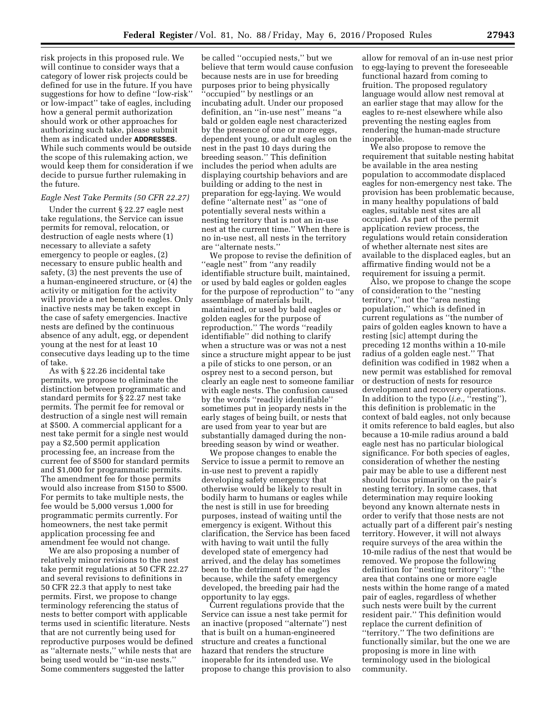risk projects in this proposed rule. We will continue to consider ways that a category of lower risk projects could be defined for use in the future. If you have suggestions for how to define ''low-risk'' or low-impact'' take of eagles, including how a general permit authorization should work or other approaches for authorizing such take, please submit them as indicated under **ADDRESSES**. While such comments would be outside the scope of this rulemaking action, we would keep them for consideration if we decide to pursue further rulemaking in the future.

#### *Eagle Nest Take Permits (50 CFR 22.27)*

Under the current § 22.27 eagle nest take regulations, the Service can issue permits for removal, relocation, or destruction of eagle nests where (1) necessary to alleviate a safety emergency to people or eagles, (2) necessary to ensure public health and safety, (3) the nest prevents the use of a human-engineered structure, or (4) the activity or mitigation for the activity will provide a net benefit to eagles. Only inactive nests may be taken except in the case of safety emergencies. Inactive nests are defined by the continuous absence of any adult, egg, or dependent young at the nest for at least 10 consecutive days leading up to the time of take.

As with § 22.26 incidental take permits, we propose to eliminate the distinction between programmatic and standard permits for § 22.27 nest take permits. The permit fee for removal or destruction of a single nest will remain at \$500. A commercial applicant for a nest take permit for a single nest would pay a \$2,500 permit application processing fee, an increase from the current fee of \$500 for standard permits and \$1,000 for programmatic permits. The amendment fee for those permits would also increase from \$150 to \$500. For permits to take multiple nests, the fee would be 5,000 versus 1,000 for programmatic permits currently. For homeowners, the nest take permit application processing fee and amendment fee would not change.

We are also proposing a number of relatively minor revisions to the nest take permit regulations at 50 CFR 22.27 and several revisions to definitions in 50 CFR 22.3 that apply to nest take permits. First, we propose to change terminology referencing the status of nests to better comport with applicable terms used in scientific literature. Nests that are not currently being used for reproductive purposes would be defined as ''alternate nests,'' while nests that are being used would be ''in-use nests.'' Some commenters suggested the latter

be called ''occupied nests,'' but we believe that term would cause confusion because nests are in use for breeding purposes prior to being physically ''occupied'' by nestlings or an incubating adult. Under our proposed definition, an ''in-use nest'' means ''a bald or golden eagle nest characterized by the presence of one or more eggs, dependent young, or adult eagles on the nest in the past 10 days during the breeding season.'' This definition includes the period when adults are displaying courtship behaviors and are building or adding to the nest in preparation for egg-laying. We would define ''alternate nest'' as ''one of potentially several nests within a nesting territory that is not an in-use nest at the current time.'' When there is no in-use nest, all nests in the territory are ''alternate nests.''

We propose to revise the definition of "eagle nest" from "any readily identifiable structure built, maintained, or used by bald eagles or golden eagles for the purpose of reproduction'' to ''any assemblage of materials built, maintained, or used by bald eagles or golden eagles for the purpose of reproduction.'' The words ''readily identifiable'' did nothing to clarify when a structure was or was not a nest since a structure might appear to be just a pile of sticks to one person, or an osprey nest to a second person, but clearly an eagle nest to someone familiar with eagle nests. The confusion caused by the words ''readily identifiable'' sometimes put in jeopardy nests in the early stages of being built, or nests that are used from year to year but are substantially damaged during the nonbreeding season by wind or weather.

We propose changes to enable the Service to issue a permit to remove an in-use nest to prevent a rapidly developing safety emergency that otherwise would be likely to result in bodily harm to humans or eagles while the nest is still in use for breeding purposes, instead of waiting until the emergency is exigent. Without this clarification, the Service has been faced with having to wait until the fully developed state of emergency had arrived, and the delay has sometimes been to the detriment of the eagles because, while the safety emergency developed, the breeding pair had the opportunity to lay eggs.

Current regulations provide that the Service can issue a nest take permit for an inactive (proposed ''alternate'') nest that is built on a human-engineered structure and creates a functional hazard that renders the structure inoperable for its intended use. We propose to change this provision to also

allow for removal of an in-use nest prior to egg-laying to prevent the foreseeable functional hazard from coming to fruition. The proposed regulatory language would allow nest removal at an earlier stage that may allow for the eagles to re-nest elsewhere while also preventing the nesting eagles from rendering the human-made structure inoperable.

We also propose to remove the requirement that suitable nesting habitat be available in the area nesting population to accommodate displaced eagles for non-emergency nest take. The provision has been problematic because, in many healthy populations of bald eagles, suitable nest sites are all occupied. As part of the permit application review process, the regulations would retain consideration of whether alternate nest sites are available to the displaced eagles, but an affirmative finding would not be a requirement for issuing a permit.

Also, we propose to change the scope of consideration to the ''nesting territory,'' not the ''area nesting population,'' which is defined in current regulations as ''the number of pairs of golden eagles known to have a resting [sic] attempt during the preceding 12 months within a 10-mile radius of a golden eagle nest.'' That definition was codified in 1982 when a new permit was established for removal or destruction of nests for resource development and recovery operations. In addition to the typo (*i.e.,* ''resting''), this definition is problematic in the context of bald eagles, not only because it omits reference to bald eagles, but also because a 10-mile radius around a bald eagle nest has no particular biological significance. For both species of eagles, consideration of whether the nesting pair may be able to use a different nest should focus primarily on the pair's nesting territory. In some cases, that determination may require looking beyond any known alternate nests in order to verify that those nests are not actually part of a different pair's nesting territory. However, it will not always require surveys of the area within the 10-mile radius of the nest that would be removed. We propose the following definition for ''nesting territory'': ''the area that contains one or more eagle nests within the home range of a mated pair of eagles, regardless of whether such nests were built by the current resident pair.'' This definition would replace the current definition of ''territory.'' The two definitions are functionally similar, but the one we are proposing is more in line with terminology used in the biological community.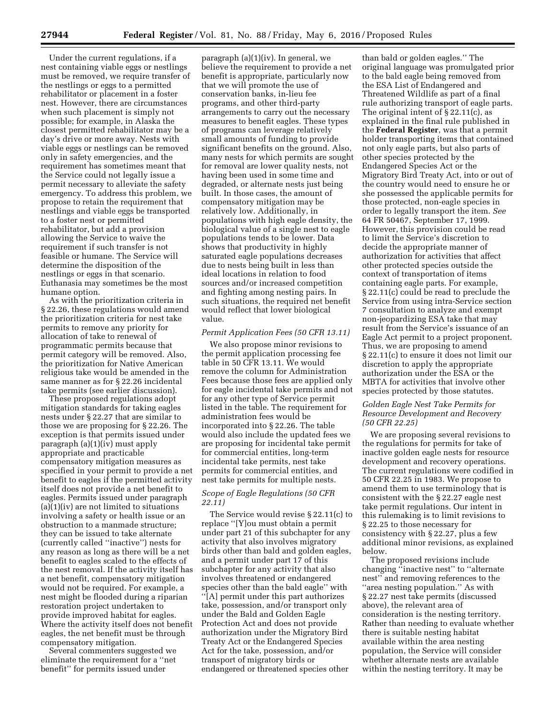Under the current regulations, if a nest containing viable eggs or nestlings must be removed, we require transfer of the nestlings or eggs to a permitted rehabilitator or placement in a foster nest. However, there are circumstances when such placement is simply not possible; for example, in Alaska the closest permitted rehabilitator may be a day's drive or more away. Nests with viable eggs or nestlings can be removed only in safety emergencies, and the requirement has sometimes meant that the Service could not legally issue a permit necessary to alleviate the safety emergency. To address this problem, we propose to retain the requirement that nestlings and viable eggs be transported to a foster nest or permitted rehabilitator, but add a provision allowing the Service to waive the requirement if such transfer is not feasible or humane. The Service will determine the disposition of the nestlings or eggs in that scenario. Euthanasia may sometimes be the most humane option.

As with the prioritization criteria in § 22.26, these regulations would amend the prioritization criteria for nest take permits to remove any priority for allocation of take to renewal of programmatic permits because that permit category will be removed. Also, the prioritization for Native American religious take would be amended in the same manner as for § 22.26 incidental take permits (see earlier discussion).

These proposed regulations adopt mitigation standards for taking eagles nests under § 22.27 that are similar to those we are proposing for § 22.26. The exception is that permits issued under paragraph (a)(1)(iv) must apply appropriate and practicable compensatory mitigation measures as specified in your permit to provide a net benefit to eagles if the permitted activity itself does not provide a net benefit to eagles. Permits issued under paragraph  $(a)(1)(iv)$  are not limited to situations involving a safety or health issue or an obstruction to a manmade structure; they can be issued to take alternate (currently called ''inactive'') nests for any reason as long as there will be a net benefit to eagles scaled to the effects of the nest removal. If the activity itself has a net benefit, compensatory mitigation would not be required. For example, a nest might be flooded during a riparian restoration project undertaken to provide improved habitat for eagles. Where the activity itself does not benefit eagles, the net benefit must be through compensatory mitigation.

Several commenters suggested we eliminate the requirement for a ''net benefit'' for permits issued under

paragraph (a)(1)(iv). In general, we believe the requirement to provide a net benefit is appropriate, particularly now that we will promote the use of conservation banks, in-lieu fee programs, and other third-party arrangements to carry out the necessary measures to benefit eagles. These types of programs can leverage relatively small amounts of funding to provide significant benefits on the ground. Also, many nests for which permits are sought for removal are lower quality nests, not having been used in some time and degraded, or alternate nests just being built. In those cases, the amount of compensatory mitigation may be relatively low. Additionally, in populations with high eagle density, the biological value of a single nest to eagle populations tends to be lower. Data shows that productivity in highly saturated eagle populations decreases due to nests being built in less than ideal locations in relation to food sources and/or increased competition and fighting among nesting pairs. In such situations, the required net benefit would reflect that lower biological value.

#### *Permit Application Fees (50 CFR 13.11)*

We also propose minor revisions to the permit application processing fee table in 50 CFR 13.11. We would remove the column for Administration Fees because those fees are applied only for eagle incidental take permits and not for any other type of Service permit listed in the table. The requirement for administration fees would be incorporated into § 22.26. The table would also include the updated fees we are proposing for incidental take permit for commercial entities, long-term incidental take permits, nest take permits for commercial entities, and nest take permits for multiple nests.

#### *Scope of Eagle Regulations (50 CFR 22.11)*

The Service would revise § 22.11(c) to replace ''[Y]ou must obtain a permit under part 21 of this subchapter for any activity that also involves migratory birds other than bald and golden eagles, and a permit under part 17 of this subchapter for any activity that also involves threatened or endangered species other than the bald eagle'' with ''[A] permit under this part authorizes take, possession, and/or transport only under the Bald and Golden Eagle Protection Act and does not provide authorization under the Migratory Bird Treaty Act or the Endangered Species Act for the take, possession, and/or transport of migratory birds or endangered or threatened species other

than bald or golden eagles.'' The original language was promulgated prior to the bald eagle being removed from the ESA List of Endangered and Threatened Wildlife as part of a final rule authorizing transport of eagle parts. The original intent of § 22.11(c), as explained in the final rule published in the **Federal Register**, was that a permit holder transporting items that contained not only eagle parts, but also parts of other species protected by the Endangered Species Act or the Migratory Bird Treaty Act, into or out of the country would need to ensure he or she possessed the applicable permits for those protected, non-eagle species in order to legally transport the item. *See*  64 FR 50467, September 17, 1999. However, this provision could be read to limit the Service's discretion to decide the appropriate manner of authorization for activities that affect other protected species outside the context of transportation of items containing eagle parts. For example, § 22.11(c) could be read to preclude the Service from using intra-Service section 7 consultation to analyze and exempt non-jeopardizing ESA take that may result from the Service's issuance of an Eagle Act permit to a project proponent. Thus, we are proposing to amend § 22.11(c) to ensure it does not limit our discretion to apply the appropriate authorization under the ESA or the MBTA for activities that involve other species protected by those statutes.

#### *Golden Eagle Nest Take Permits for Resource Development and Recovery (50 CFR 22.25)*

We are proposing several revisions to the regulations for permits for take of inactive golden eagle nests for resource development and recovery operations. The current regulations were codified in 50 CFR 22.25 in 1983. We propose to amend them to use terminology that is consistent with the § 22.27 eagle nest take permit regulations. Our intent in this rulemaking is to limit revisions to § 22.25 to those necessary for consistency with § 22.27, plus a few additional minor revisions, as explained below.

The proposed revisions include changing ''inactive nest'' to ''alternate nest'' and removing references to the ''area nesting population.'' As with § 22.27 nest take permits (discussed above), the relevant area of consideration is the nesting territory. Rather than needing to evaluate whether there is suitable nesting habitat available within the area nesting population, the Service will consider whether alternate nests are available within the nesting territory. It may be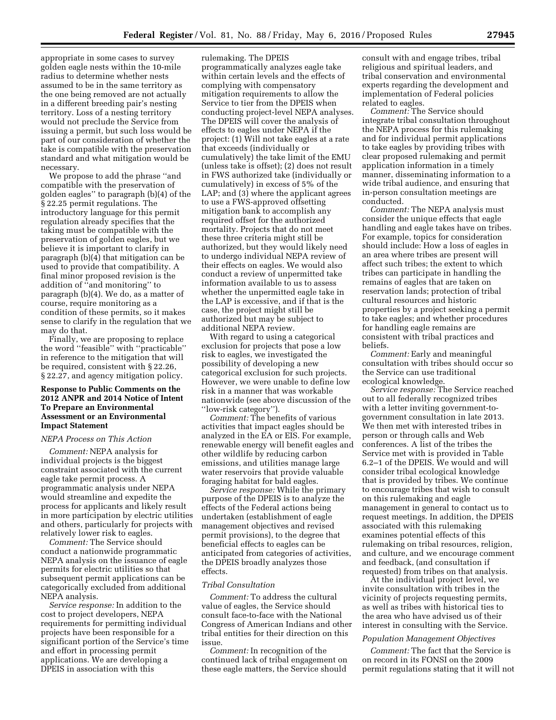appropriate in some cases to survey golden eagle nests within the 10-mile radius to determine whether nests assumed to be in the same territory as the one being removed are not actually in a different breeding pair's nesting territory. Loss of a nesting territory would not preclude the Service from issuing a permit, but such loss would be part of our consideration of whether the take is compatible with the preservation standard and what mitigation would be necessary.

We propose to add the phrase ''and compatible with the preservation of golden eagles'' to paragraph (b)(4) of the § 22.25 permit regulations. The introductory language for this permit regulation already specifies that the taking must be compatible with the preservation of golden eagles, but we believe it is important to clarify in paragraph (b)(4) that mitigation can be used to provide that compatibility. A final minor proposed revision is the addition of ''and monitoring'' to paragraph (b)(4). We do, as a matter of course, require monitoring as a condition of these permits, so it makes sense to clarify in the regulation that we may do that.

Finally, we are proposing to replace the word ''feasible'' with ''practicable'' in reference to the mitigation that will be required, consistent with § 22.26, § 22.27, and agency mitigation policy.

#### **Response to Public Comments on the 2012 ANPR and 2014 Notice of Intent To Prepare an Environmental Assessment or an Environmental Impact Statement**

#### *NEPA Process on This Action*

*Comment:* NEPA analysis for individual projects is the biggest constraint associated with the current eagle take permit process. A programmatic analysis under NEPA would streamline and expedite the process for applicants and likely result in more participation by electric utilities and others, particularly for projects with relatively lower risk to eagles.

*Comment:* The Service should conduct a nationwide programmatic NEPA analysis on the issuance of eagle permits for electric utilities so that subsequent permit applications can be categorically excluded from additional NEPA analysis.

*Service response:* In addition to the cost to project developers, NEPA requirements for permitting individual projects have been responsible for a significant portion of the Service's time and effort in processing permit applications. We are developing a DPEIS in association with this

rulemaking. The DPEIS programmatically analyzes eagle take within certain levels and the effects of complying with compensatory mitigation requirements to allow the Service to tier from the DPEIS when conducting project-level NEPA analyses. The DPEIS will cover the analysis of effects to eagles under NEPA if the project: (1) Will not take eagles at a rate that exceeds (individually or cumulatively) the take limit of the EMU (unless take is offset); (2) does not result in FWS authorized take (individually or cumulatively) in excess of 5% of the LAP; and (3) where the applicant agrees to use a FWS-approved offsetting mitigation bank to accomplish any required offset for the authorized mortality. Projects that do not meet these three criteria might still be authorized, but they would likely need to undergo individual NEPA review of their effects on eagles. We would also conduct a review of unpermitted take information available to us to assess whether the unpermitted eagle take in the LAP is excessive, and if that is the case, the project might still be authorized but may be subject to additional NEPA review.

With regard to using a categorical exclusion for projects that pose a low risk to eagles, we investigated the possibility of developing a new categorical exclusion for such projects. However, we were unable to define low risk in a manner that was workable nationwide (see above discussion of the ''low-risk category'').

*Comment:* The benefits of various activities that impact eagles should be analyzed in the EA or EIS. For example, renewable energy will benefit eagles and other wildlife by reducing carbon emissions, and utilities manage large water reservoirs that provide valuable foraging habitat for bald eagles.

*Service response:* While the primary purpose of the DPEIS is to analyze the effects of the Federal actions being undertaken (establishment of eagle management objectives and revised permit provisions), to the degree that beneficial effects to eagles can be anticipated from categories of activities, the DPEIS broadly analyzes those effects.

#### *Tribal Consultation*

*Comment:* To address the cultural value of eagles, the Service should consult face-to-face with the National Congress of American Indians and other tribal entities for their direction on this issue.

*Comment:* In recognition of the continued lack of tribal engagement on these eagle matters, the Service should

consult with and engage tribes, tribal religious and spiritual leaders, and tribal conservation and environmental experts regarding the development and implementation of Federal policies related to eagles.

*Comment:* The Service should integrate tribal consultation throughout the NEPA process for this rulemaking and for individual permit applications to take eagles by providing tribes with clear proposed rulemaking and permit application information in a timely manner, disseminating information to a wide tribal audience, and ensuring that in-person consultation meetings are conducted.

*Comment:* The NEPA analysis must consider the unique effects that eagle handling and eagle takes have on tribes. For example, topics for consideration should include: How a loss of eagles in an area where tribes are present will affect such tribes; the extent to which tribes can participate in handling the remains of eagles that are taken on reservation lands; protection of tribal cultural resources and historic properties by a project seeking a permit to take eagles; and whether procedures for handling eagle remains are consistent with tribal practices and beliefs.

*Comment:* Early and meaningful consultation with tribes should occur so the Service can use traditional ecological knowledge.

*Service response:* The Service reached out to all federally recognized tribes with a letter inviting government-togovernment consultation in late 2013. We then met with interested tribes in person or through calls and Web conferences. A list of the tribes the Service met with is provided in Table 6.2–1 of the DPEIS. We would and will consider tribal ecological knowledge that is provided by tribes. We continue to encourage tribes that wish to consult on this rulemaking and eagle management in general to contact us to request meetings. In addition, the DPEIS associated with this rulemaking examines potential effects of this rulemaking on tribal resources, religion, and culture, and we encourage comment and feedback, (and consultation if requested) from tribes on that analysis.

At the individual project level, we invite consultation with tribes in the vicinity of projects requesting permits, as well as tribes with historical ties to the area who have advised us of their interest in consulting with the Service.

#### *Population Management Objectives*

*Comment:* The fact that the Service is on record in its FONSI on the 2009 permit regulations stating that it will not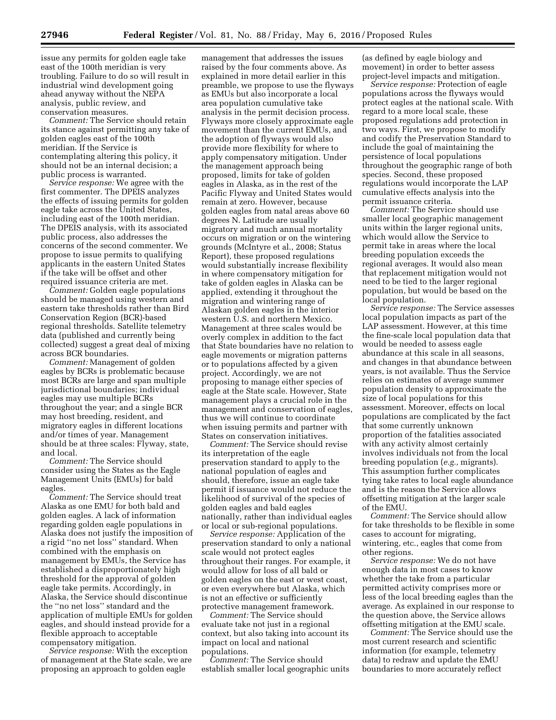issue any permits for golden eagle take east of the 100th meridian is very troubling. Failure to do so will result in industrial wind development going ahead anyway without the NEPA analysis, public review, and conservation measures.

*Comment:* The Service should retain its stance against permitting any take of golden eagles east of the 100th meridian. If the Service is contemplating altering this policy, it should not be an internal decision; a public process is warranted.

*Service response:* We agree with the first commenter. The DPEIS analyzes the effects of issuing permits for golden eagle take across the United States, including east of the 100th meridian. The DPEIS analysis, with its associated public process, also addresses the concerns of the second commenter. We propose to issue permits to qualifying applicants in the eastern United States if the take will be offset and other required issuance criteria are met.

*Comment:* Golden eagle populations should be managed using western and eastern take thresholds rather than Bird Conservation Region (BCR)-based regional thresholds. Satellite telemetry data (published and currently being collected) suggest a great deal of mixing across BCR boundaries.

*Comment:* Management of golden eagles by BCRs is problematic because most BCRs are large and span multiple jurisdictional boundaries; individual eagles may use multiple BCRs throughout the year; and a single BCR may host breeding, resident, and migratory eagles in different locations and/or times of year. Management should be at three scales: Flyway, state, and local.

*Comment:* The Service should consider using the States as the Eagle Management Units (EMUs) for bald eagles.

*Comment:* The Service should treat Alaska as one EMU for both bald and golden eagles. A lack of information regarding golden eagle populations in Alaska does not justify the imposition of a rigid ''no net loss'' standard. When combined with the emphasis on management by EMUs, the Service has established a disproportionately high threshold for the approval of golden eagle take permits. Accordingly, in Alaska, the Service should discontinue the ''no net loss'' standard and the application of multiple EMUs for golden eagles, and should instead provide for a flexible approach to acceptable compensatory mitigation.

*Service response:* With the exception of management at the State scale, we are proposing an approach to golden eagle

management that addresses the issues raised by the four comments above. As explained in more detail earlier in this preamble, we propose to use the flyways as EMUs but also incorporate a local area population cumulative take analysis in the permit decision process. Flyways more closely approximate eagle movement than the current EMUs, and the adoption of flyways would also provide more flexibility for where to apply compensatory mitigation. Under the management approach being proposed, limits for take of golden eagles in Alaska, as in the rest of the Pacific Flyway and United States would remain at zero. However, because golden eagles from natal areas above 60 degrees N. Latitude are usually migratory and much annual mortality occurs on migration or on the wintering grounds (McIntyre et al., 2008; Status Report), these proposed regulations would substantially increase flexibility in where compensatory mitigation for take of golden eagles in Alaska can be applied, extending it throughout the migration and wintering range of Alaskan golden eagles in the interior western U.S. and northern Mexico. Management at three scales would be overly complex in addition to the fact that State boundaries have no relation to eagle movements or migration patterns or to populations affected by a given project. Accordingly, we are not proposing to manage either species of eagle at the State scale. However, State management plays a crucial role in the management and conservation of eagles, thus we will continue to coordinate when issuing permits and partner with States on conservation initiatives.

*Comment:* The Service should revise its interpretation of the eagle preservation standard to apply to the national population of eagles and should, therefore, issue an eagle take permit if issuance would not reduce the likelihood of survival of the species of golden eagles and bald eagles nationally, rather than individual eagles or local or sub-regional populations.

*Service response:* Application of the preservation standard to only a national scale would not protect eagles throughout their ranges. For example, it would allow for loss of all bald or golden eagles on the east or west coast, or even everywhere but Alaska, which is not an effective or sufficiently protective management framework.

*Comment:* The Service should evaluate take not just in a regional context, but also taking into account its impact on local and national populations.

*Comment:* The Service should establish smaller local geographic units (as defined by eagle biology and movement) in order to better assess project-level impacts and mitigation.

*Service response:* Protection of eagle populations across the flyways would protect eagles at the national scale. With regard to a more local scale, these proposed regulations add protection in two ways. First, we propose to modify and codify the Preservation Standard to include the goal of maintaining the persistence of local populations throughout the geographic range of both species. Second, these proposed regulations would incorporate the LAP cumulative effects analysis into the permit issuance criteria.

*Comment:* The Service should use smaller local geographic management units within the larger regional units, which would allow the Service to permit take in areas where the local breeding population exceeds the regional averages. It would also mean that replacement mitigation would not need to be tied to the larger regional population, but would be based on the local population.

*Service response:* The Service assesses local population impacts as part of the LAP assessment. However, at this time the fine-scale local population data that would be needed to assess eagle abundance at this scale in all seasons, and changes in that abundance between years, is not available. Thus the Service relies on estimates of average summer population density to approximate the size of local populations for this assessment. Moreover, effects on local populations are complicated by the fact that some currently unknown proportion of the fatalities associated with any activity almost certainly involves individuals not from the local breeding population (*e.g.,* migrants). This assumption further complicates tying take rates to local eagle abundance and is the reason the Service allows offsetting mitigation at the larger scale of the EMU.

*Comment:* The Service should allow for take thresholds to be flexible in some cases to account for migrating, wintering, etc., eagles that come from other regions.

*Service response:* We do not have enough data in most cases to know whether the take from a particular permitted activity comprises more or less of the local breeding eagles than the average. As explained in our response to the question above, the Service allows offsetting mitigation at the EMU scale.

*Comment:* The Service should use the most current research and scientific information (for example, telemetry data) to redraw and update the EMU boundaries to more accurately reflect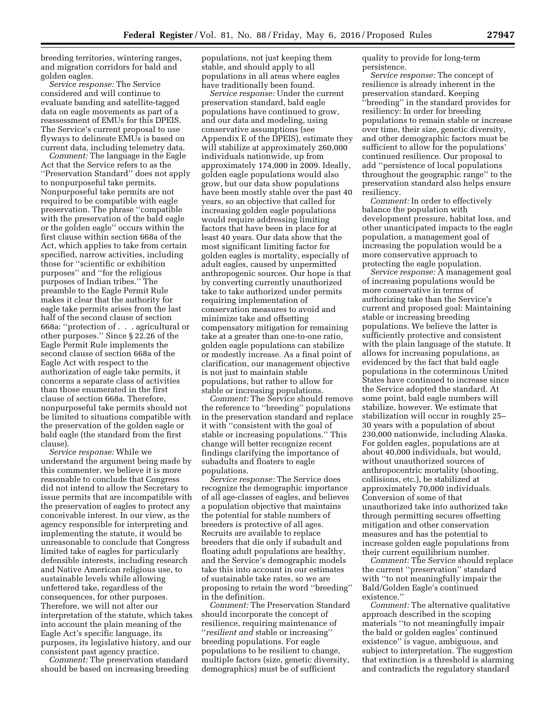breeding territories, wintering ranges, and migration corridors for bald and golden eagles.

*Service response:* The Service considered and will continue to evaluate banding and satellite-tagged data on eagle movements as part of a reassessment of EMUs for this DPEIS. The Service's current proposal to use flyways to delineate EMUs is based on current data, including telemetry data.

*Comment:* The language in the Eagle Act that the Service refers to as the ''Preservation Standard'' does not apply to nonpurposeful take permits. Nonpurposeful take permits are not required to be compatible with eagle preservation. The phrase ''compatible with the preservation of the bald eagle or the golden eagle'' occurs within the first clause within section 668a of the Act, which applies to take from certain specified, narrow activities, including those for ''scientific or exhibition purposes'' and ''for the religious purposes of Indian tribes.'' The preamble to the Eagle Permit Rule makes it clear that the authority for eagle take permits arises from the last half of the second clause of section 668a: ''protection of . . . agricultural or other purposes.'' Since § 22.26 of the Eagle Permit Rule implements the second clause of section 668a of the Eagle Act with respect to the authorization of eagle take permits, it concerns a separate class of activities than those enumerated in the first clause of section 668a. Therefore, nonpurposeful take permits should not be limited to situations compatible with the preservation of the golden eagle or bald eagle (the standard from the first clause).

*Service response:* While we understand the argument being made by this commenter, we believe it is more reasonable to conclude that Congress did not intend to allow the Secretary to issue permits that are incompatible with the preservation of eagles to protect any conceivable interest. In our view, as the agency responsible for interpreting and implementing the statute, it would be unreasonable to conclude that Congress limited take of eagles for particularly defensible interests, including research and Native American religious use, to sustainable levels while allowing unfettered take, regardless of the consequences, for other purposes. Therefore, we will not alter our interpretation of the statute, which takes into account the plain meaning of the Eagle Act's specific language, its purposes, its legislative history, and our consistent past agency practice.

*Comment:* The preservation standard should be based on increasing breeding populations, not just keeping them stable, and should apply to all populations in all areas where eagles have traditionally been found.

*Service response:* Under the current preservation standard, bald eagle populations have continued to grow, and our data and modeling, using conservative assumptions (see Appendix E of the DPEIS), estimate they will stabilize at approximately 260,000 individuals nationwide, up from approximately 174,000 in 2009. Ideally, golden eagle populations would also grow, but our data show populations have been mostly stable over the past 40 years, so an objective that called for increasing golden eagle populations would require addressing limiting factors that have been in place for at least 40 years. Our data show that the most significant limiting factor for golden eagles is mortality, especially of adult eagles, caused by unpermitted anthropogenic sources. Our hope is that by converting currently unauthorized take to take authorized under permits requiring implementation of conservation measures to avoid and minimize take and offsetting compensatory mitigation for remaining take at a greater than one-to-one ratio, golden eagle populations can stabilize or modestly increase. As a final point of clarification, our management objective is not just to maintain stable populations, but rather to allow for stable or increasing populations.

*Comment:* The Service should remove the reference to ''breeding'' populations in the preservation standard and replace it with ''consistent with the goal of stable or increasing populations.'' This change will better recognize recent findings clarifying the importance of subadults and floaters to eagle populations.

*Service response:* The Service does recognize the demographic importance of all age-classes of eagles, and believes a population objective that maintains the potential for stable numbers of breeders is protective of all ages. Recruits are available to replace breeders that die only if subadult and floating adult populations are healthy, and the Service's demographic models take this into account in our estimates of sustainable take rates, so we are proposing to retain the word ''breeding'' in the definition.

*Comment:* The Preservation Standard should incorporate the concept of resilience, requiring maintenance of ''*resilient and* stable or increasing'' breeding populations. For eagle populations to be resilient to change, multiple factors (size, genetic diversity, demographics) must be of sufficient

quality to provide for long-term persistence.

*Service response:* The concept of resilience is already inherent in the preservation standard. Keeping ''breeding'' in the standard provides for resiliency: In order for breeding populations to remain stable or increase over time, their size, genetic diversity, and other demographic factors must be sufficient to allow for the populations' continued resilience. Our proposal to add ''persistence of local populations throughout the geographic range'' to the preservation standard also helps ensure resiliency.

*Comment:* In order to effectively balance the population with development pressure, habitat loss, and other unanticipated impacts to the eagle population, a management goal of increasing the population would be a more conservative approach to protecting the eagle population.

*Service response:* A management goal of increasing populations would be more conservative in terms of authorizing take than the Service's current and proposed goal: Maintaining stable or increasing breeding populations. We believe the latter is sufficiently protective and consistent with the plain language of the statute. It allows for increasing populations, as evidenced by the fact that bald eagle populations in the coterminous United States have continued to increase since the Service adopted the standard. At some point, bald eagle numbers will stabilize, however. We estimate that stabilization will occur in roughly 25– 30 years with a population of about 230,000 nationwide, including Alaska. For golden eagles, populations are at about 40,000 individuals, but would, without unauthorized sources of anthropocentric mortality (shooting, collisions, etc.), be stabilized at approximately 70,000 individuals. Conversion of some of that unauthorized take into authorized take through permitting secures offsetting mitigation and other conservation measures and has the potential to increase golden eagle populations from their current equilibrium number.

*Comment:* The Service should replace the current ''preservation'' standard with ''to not meaningfully impair the Bald/Golden Eagle's continued existence.''

*Comment:* The alternative qualitative approach described in the scoping materials ''to not meaningfully impair the bald or golden eagles' continued existence'' is vague, ambiguous, and subject to interpretation. The suggestion that extinction is a threshold is alarming and contradicts the regulatory standard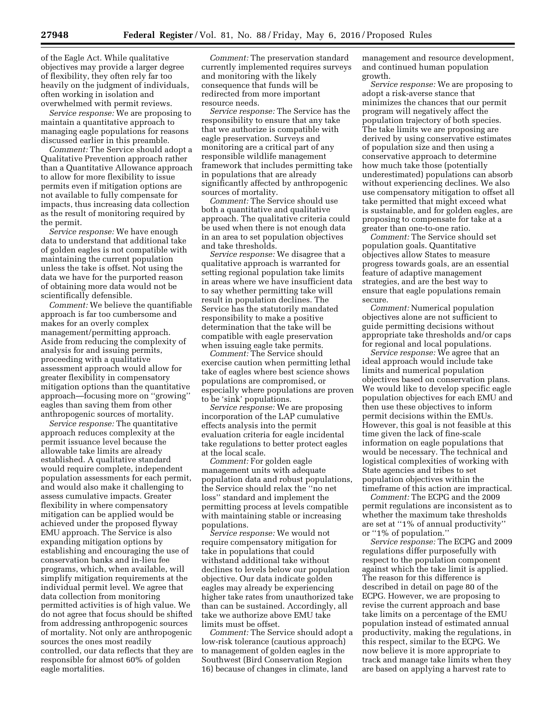of the Eagle Act. While qualitative objectives may provide a larger degree of flexibility, they often rely far too heavily on the judgment of individuals, often working in isolation and overwhelmed with permit reviews.

*Service response:* We are proposing to maintain a quantitative approach to managing eagle populations for reasons discussed earlier in this preamble.

*Comment:* The Service should adopt a Qualitative Prevention approach rather than a Quantitative Allowance approach to allow for more flexibility to issue permits even if mitigation options are not available to fully compensate for impacts, thus increasing data collection as the result of monitoring required by the permit.

*Service response:* We have enough data to understand that additional take of golden eagles is not compatible with maintaining the current population unless the take is offset. Not using the data we have for the purported reason of obtaining more data would not be scientifically defensible.

*Comment:* We believe the quantifiable approach is far too cumbersome and makes for an overly complex management/permitting approach. Aside from reducing the complexity of analysis for and issuing permits, proceeding with a qualitative assessment approach would allow for greater flexibility in compensatory mitigation options than the quantitative approach—focusing more on ''growing'' eagles than saving them from other anthropogenic sources of mortality.

*Service response:* The quantitative approach reduces complexity at the permit issuance level because the allowable take limits are already established. A qualitative standard would require complete, independent population assessments for each permit, and would also make it challenging to assess cumulative impacts. Greater flexibility in where compensatory mitigation can be applied would be achieved under the proposed flyway EMU approach. The Service is also expanding mitigation options by establishing and encouraging the use of conservation banks and in-lieu fee programs, which, when available, will simplify mitigation requirements at the individual permit level. We agree that data collection from monitoring permitted activities is of high value. We do not agree that focus should be shifted from addressing anthropogenic sources of mortality. Not only are anthropogenic sources the ones most readily controlled, our data reflects that they are responsible for almost 60% of golden eagle mortalities.

*Comment:* The preservation standard currently implemented requires surveys and monitoring with the likely consequence that funds will be redirected from more important resource needs.

*Service response:* The Service has the responsibility to ensure that any take that we authorize is compatible with eagle preservation. Surveys and monitoring are a critical part of any responsible wildlife management framework that includes permitting take in populations that are already significantly affected by anthropogenic sources of mortality.

*Comment:* The Service should use both a quantitative and qualitative approach. The qualitative criteria could be used when there is not enough data in an area to set population objectives and take thresholds.

*Service response:* We disagree that a qualitative approach is warranted for setting regional population take limits in areas where we have insufficient data to say whether permitting take will result in population declines. The Service has the statutorily mandated responsibility to make a positive determination that the take will be compatible with eagle preservation when issuing eagle take permits.

*Comment:* The Service should exercise caution when permitting lethal take of eagles where best science shows populations are compromised, or especially where populations are proven to be 'sink' populations.

*Service response:* We are proposing incorporation of the LAP cumulative effects analysis into the permit evaluation criteria for eagle incidental take regulations to better protect eagles at the local scale.

*Comment:* For golden eagle management units with adequate population data and robust populations, the Service should relax the ''no net loss'' standard and implement the permitting process at levels compatible with maintaining stable or increasing populations.

*Service response:* We would not require compensatory mitigation for take in populations that could withstand additional take without declines to levels below our population objective. Our data indicate golden eagles may already be experiencing higher take rates from unauthorized take than can be sustained. Accordingly, all take we authorize above EMU take limits must be offset.

*Comment:* The Service should adopt a low-risk tolerance (cautious approach) to management of golden eagles in the Southwest (Bird Conservation Region 16) because of changes in climate, land

management and resource development, and continued human population growth.

*Service response:* We are proposing to adopt a risk-averse stance that minimizes the chances that our permit program will negatively affect the population trajectory of both species. The take limits we are proposing are derived by using conservative estimates of population size and then using a conservative approach to determine how much take those (potentially underestimated) populations can absorb without experiencing declines. We also use compensatory mitigation to offset all take permitted that might exceed what is sustainable, and for golden eagles, are proposing to compensate for take at a greater than one-to-one ratio.

*Comment:* The Service should set population goals. Quantitative objectives allow States to measure progress towards goals, are an essential feature of adaptive management strategies, and are the best way to ensure that eagle populations remain secure.

*Comment:* Numerical population objectives alone are not sufficient to guide permitting decisions without appropriate take thresholds and/or caps for regional and local populations.

*Service response:* We agree that an ideal approach would include take limits and numerical population objectives based on conservation plans. We would like to develop specific eagle population objectives for each EMU and then use these objectives to inform permit decisions within the EMUs. However, this goal is not feasible at this time given the lack of fine-scale information on eagle populations that would be necessary. The technical and logistical complexities of working with State agencies and tribes to set population objectives within the timeframe of this action are impractical.

*Comment:* The ECPG and the 2009 permit regulations are inconsistent as to whether the maximum take thresholds are set at ''1% of annual productivity'' or ''1% of population.''

*Service response:* The ECPG and 2009 regulations differ purposefully with respect to the population component against which the take limit is applied. The reason for this difference is described in detail on page 80 of the ECPG. However, we are proposing to revise the current approach and base take limits on a percentage of the EMU population instead of estimated annual productivity, making the regulations, in this respect, similar to the ECPG. We now believe it is more appropriate to track and manage take limits when they are based on applying a harvest rate to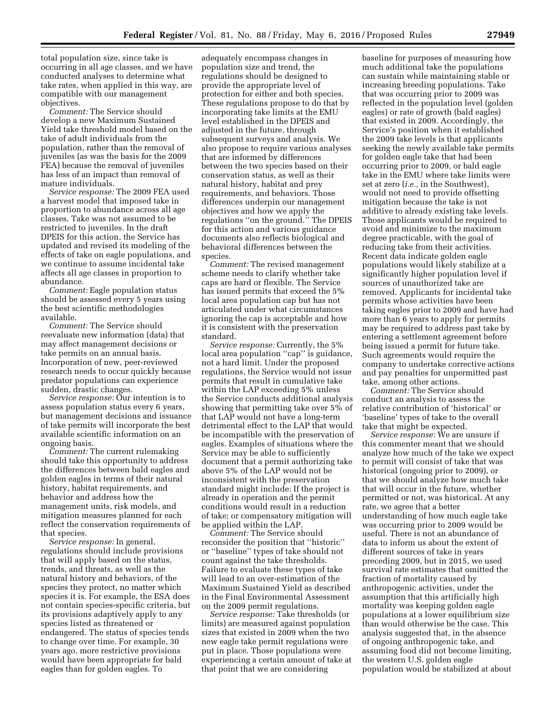total population size, since take is occurring in all age classes, and we have conducted analyses to determine what take rates, when applied in this way, are compatible with our management objectives.

*Comment:* The Service should develop a new Maximum Sustained Yield take threshold model based on the take of adult individuals from the population, rather than the removal of juveniles (as was the basis for the 2009 FEA) because the removal of juveniles has less of an impact than removal of mature individuals.

*Service response:* The 2009 FEA used a harvest model that imposed take in proportion to abundance across all age classes. Take was not assumed to be restricted to juveniles. In the draft DPEIS for this action, the Service has updated and revised its modeling of the effects of take on eagle populations, and we continue to assume incidental take affects all age classes in proportion to abundance.

*Comment:* Eagle population status should be assessed every 5 years using the best scientific methodologies available.

*Comment:* The Service should reevaluate new information (data) that may affect management decisions or take permits on an annual basis. Incorporation of new, peer-reviewed research needs to occur quickly because predator populations can experience sudden, drastic changes.

*Service response:* Our intention is to assess population status every 6 years, but management decisions and issuance of take permits will incorporate the best available scientific information on an ongoing basis.

*Comment:* The current rulemaking should take this opportunity to address the differences between bald eagles and golden eagles in terms of their natural history, habitat requirements, and behavior and address how the management units, risk models, and mitigation measures planned for each reflect the conservation requirements of that species.

*Service response:* In general, regulations should include provisions that will apply based on the status, trends, and threats, as well as the natural history and behaviors, of the species they protect, no matter which species it is. For example, the ESA does not contain species-specific criteria, but its provisions adaptively apply to any species listed as threatened or endangered. The status of species tends to change over time. For example, 30 years ago, more restrictive provisions would have been appropriate for bald eagles than for golden eagles. To

adequately encompass changes in population size and trend, the regulations should be designed to provide the appropriate level of protection for either and both species. These regulations propose to do that by incorporating take limits at the EMU level established in the DPEIS and adjusted in the future, through subsequent surveys and analysis. We also propose to require various analyses that are informed by differences between the two species based on their conservation status, as well as their natural history, habitat and prey requirements, and behaviors. Those differences underpin our management objectives and how we apply the regulations ''on the ground.'' The DPEIS for this action and various guidance documents also reflects biological and behavioral differences between the species.

*Comment:* The revised management scheme needs to clarify whether take caps are hard or flexible. The Service has issued permits that exceed the 5% local area population cap but has not articulated under what circumstances ignoring the cap is acceptable and how it is consistent with the preservation standard.

*Service response:* Currently, the 5% local area population "cap" is guidance, not a hard limit. Under the proposed regulations, the Service would not issue permits that result in cumulative take within the LAP exceeding 5% unless the Service conducts additional analysis showing that permitting take over 5% of that LAP would not have a long-term detrimental effect to the LAP that would be incompatible with the preservation of eagles. Examples of situations where the Service may be able to sufficiently document that a permit authorizing take above 5% of the LAP would not be inconsistent with the preservation standard might include: If the project is already in operation and the permit conditions would result in a reduction of take; or compensatory mitigation will be applied within the LAP.

*Comment:* The Service should reconsider the position that ''historic'' or ''baseline'' types of take should not count against the take thresholds. Failure to evaluate these types of take will lead to an over-estimation of the Maximum Sustained Yield as described in the Final Environmental Assessment on the 2009 permit regulations.

*Service response:* Take thresholds (or limits) are measured against population sizes that existed in 2009 when the two new eagle take permit regulations were put in place. Those populations were experiencing a certain amount of take at that point that we are considering

baseline for purposes of measuring how much additional take the populations can sustain while maintaining stable or increasing breeding populations. Take that was occurring prior to 2009 was reflected in the population level (golden eagles) or rate of growth (bald eagles) that existed in 2009. Accordingly, the Service's position when it established the 2009 take levels is that applicants seeking the newly available take permits for golden eagle take that had been occurring prior to 2009, or bald eagle take in the EMU where take limits were set at zero (*i.e.,* in the Southwest), would not need to provide offsetting mitigation because the take is not additive to already existing take levels. Those applicants would be required to avoid and minimize to the maximum degree practicable, with the goal of reducing take from their activities. Recent data indicate golden eagle populations would likely stabilize at a significantly higher population level if sources of unauthorized take are removed. Applicants for incidental take permits whose activities have been taking eagles prior to 2009 and have had more than 6 years to apply for permits may be required to address past take by entering a settlement agreement before being issued a permit for future take. Such agreements would require the company to undertake corrective actions and pay penalties for unpermitted past take, among other actions.

*Comment:* The Service should conduct an analysis to assess the relative contribution of 'historical' or 'baseline' types of take to the overall take that might be expected.

*Service response:* We are unsure if this commenter meant that we should analyze how much of the take we expect to permit will consist of take that was historical (ongoing prior to 2009), or that we should analyze how much take that will occur in the future, whether permitted or not, was historical. At any rate, we agree that a better understanding of how much eagle take was occurring prior to 2009 would be useful. There is not an abundance of data to inform us about the extent of different sources of take in years preceding 2009, but in 2015, we used survival rate estimates that omitted the fraction of mortality caused by anthropogenic activities, under the assumption that this artificially high mortality was keeping golden eagle populations at a lower equilibrium size than would otherwise be the case. This analysis suggested that, in the absence of ongoing anthropogenic take, and assuming food did not become limiting, the western U.S. golden eagle population would be stabilized at about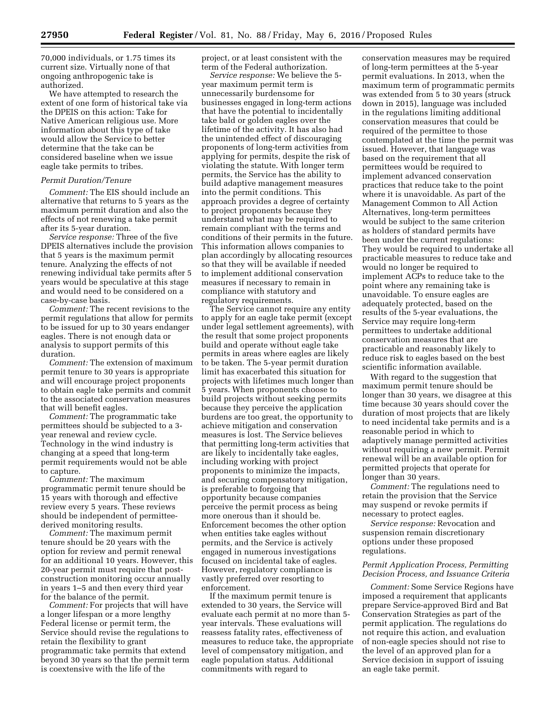70,000 individuals, or 1.75 times its current size. Virtually none of that ongoing anthropogenic take is authorized.

We have attempted to research the extent of one form of historical take via the DPEIS on this action: Take for Native American religious use. More information about this type of take would allow the Service to better determine that the take can be considered baseline when we issue eagle take permits to tribes.

#### *Permit Duration/Tenure*

*Comment:* The EIS should include an alternative that returns to 5 years as the maximum permit duration and also the effects of not renewing a take permit after its 5-year duration.

*Service response:* Three of the five DPEIS alternatives include the provision that 5 years is the maximum permit tenure. Analyzing the effects of not renewing individual take permits after 5 years would be speculative at this stage and would need to be considered on a case-by-case basis.

*Comment:* The recent revisions to the permit regulations that allow for permits to be issued for up to 30 years endanger eagles. There is not enough data or analysis to support permits of this duration.

*Comment:* The extension of maximum permit tenure to 30 years is appropriate and will encourage project proponents to obtain eagle take permits and commit to the associated conservation measures that will benefit eagles.

*Comment:* The programmatic take permittees should be subjected to a 3 year renewal and review cycle. Technology in the wind industry is changing at a speed that long-term permit requirements would not be able to capture.

*Comment:* The maximum programmatic permit tenure should be 15 years with thorough and effective review every 5 years. These reviews should be independent of permitteederived monitoring results.

*Comment:* The maximum permit tenure should be 20 years with the option for review and permit renewal for an additional 10 years. However, this 20-year permit must require that postconstruction monitoring occur annually in years 1–5 and then every third year for the balance of the permit.

*Comment:* For projects that will have a longer lifespan or a more lengthy Federal license or permit term, the Service should revise the regulations to retain the flexibility to grant programmatic take permits that extend beyond 30 years so that the permit term is coextensive with the life of the

project, or at least consistent with the term of the Federal authorization.

*Service response:* We believe the 5 year maximum permit term is unnecessarily burdensome for businesses engaged in long-term actions that have the potential to incidentally take bald or golden eagles over the lifetime of the activity. It has also had the unintended effect of discouraging proponents of long-term activities from applying for permits, despite the risk of violating the statute. With longer term permits, the Service has the ability to build adaptive management measures into the permit conditions. This approach provides a degree of certainty to project proponents because they understand what may be required to remain compliant with the terms and conditions of their permits in the future. This information allows companies to plan accordingly by allocating resources so that they will be available if needed to implement additional conservation measures if necessary to remain in compliance with statutory and regulatory requirements.

The Service cannot require any entity to apply for an eagle take permit (except under legal settlement agreements), with the result that some project proponents build and operate without eagle take permits in areas where eagles are likely to be taken. The 5-year permit duration limit has exacerbated this situation for projects with lifetimes much longer than 5 years. When proponents choose to build projects without seeking permits because they perceive the application burdens are too great, the opportunity to achieve mitigation and conservation measures is lost. The Service believes that permitting long-term activities that are likely to incidentally take eagles, including working with project proponents to minimize the impacts, and securing compensatory mitigation, is preferable to forgoing that opportunity because companies perceive the permit process as being more onerous than it should be. Enforcement becomes the other option when entities take eagles without permits, and the Service is actively engaged in numerous investigations focused on incidental take of eagles. However, regulatory compliance is vastly preferred over resorting to enforcement.

If the maximum permit tenure is extended to 30 years, the Service will evaluate each permit at no more than 5 year intervals. These evaluations will reassess fatality rates, effectiveness of measures to reduce take, the appropriate level of compensatory mitigation, and eagle population status. Additional commitments with regard to

conservation measures may be required of long-term permittees at the 5-year permit evaluations. In 2013, when the maximum term of programmatic permits was extended from 5 to 30 years (struck down in 2015), language was included in the regulations limiting additional conservation measures that could be required of the permittee to those contemplated at the time the permit was issued. However, that language was based on the requirement that all permittees would be required to implement advanced conservation practices that reduce take to the point where it is unavoidable. As part of the Management Common to All Action Alternatives, long-term permittees would be subject to the same criterion as holders of standard permits have been under the current regulations: They would be required to undertake all practicable measures to reduce take and would no longer be required to implement ACPs to reduce take to the point where any remaining take is unavoidable. To ensure eagles are adequately protected, based on the results of the 5-year evaluations, the Service may require long-term permittees to undertake additional conservation measures that are practicable and reasonably likely to reduce risk to eagles based on the best scientific information available.

With regard to the suggestion that maximum permit tenure should be longer than 30 years, we disagree at this time because 30 years should cover the duration of most projects that are likely to need incidental take permits and is a reasonable period in which to adaptively manage permitted activities without requiring a new permit. Permit renewal will be an available option for permitted projects that operate for longer than 30 years.

*Comment:* The regulations need to retain the provision that the Service may suspend or revoke permits if necessary to protect eagles.

*Service response:* Revocation and suspension remain discretionary options under these proposed regulations.

#### *Permit Application Process, Permitting Decision Process, and Issuance Criteria*

*Comment:* Some Service Regions have imposed a requirement that applicants prepare Service-approved Bird and Bat Conservation Strategies as part of the permit application. The regulations do not require this action, and evaluation of non-eagle species should not rise to the level of an approved plan for a Service decision in support of issuing an eagle take permit.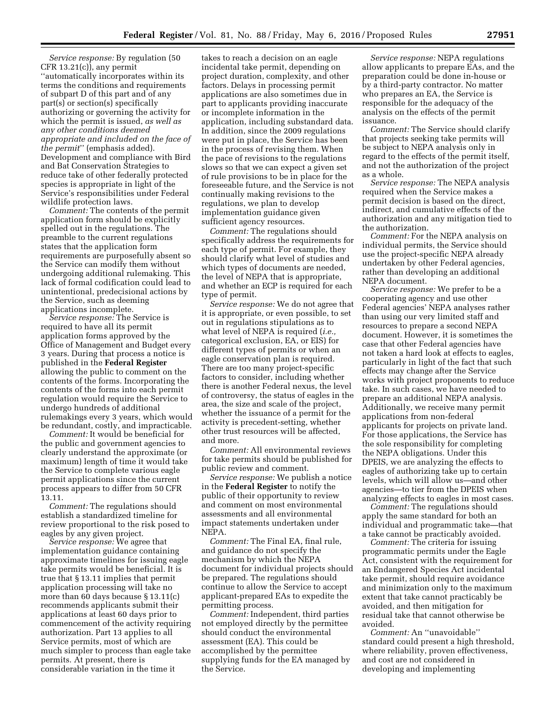*Service response:* By regulation (50 CFR 13.21(c)), any permit ''automatically incorporates within its terms the conditions and requirements of subpart D of this part and of any part(s) or section(s) specifically authorizing or governing the activity for which the permit is issued, *as well as any other conditions deemed appropriate and included on the face of the permit*'' (emphasis added). Development and compliance with Bird and Bat Conservation Strategies to reduce take of other federally protected species is appropriate in light of the Service's responsibilities under Federal wildlife protection laws.

*Comment:* The contents of the permit application form should be explicitly spelled out in the regulations. The preamble to the current regulations states that the application form requirements are purposefully absent so the Service can modify them without undergoing additional rulemaking. This lack of formal codification could lead to unintentional, predecisional actions by the Service, such as deeming applications incomplete.

*Service response:* The Service is required to have all its permit application forms approved by the Office of Management and Budget every 3 years. During that process a notice is published in the **Federal Register**  allowing the public to comment on the contents of the forms. Incorporating the contents of the forms into each permit regulation would require the Service to undergo hundreds of additional rulemakings every 3 years, which would be redundant, costly, and impracticable.

*Comment:* It would be beneficial for the public and government agencies to clearly understand the approximate (or maximum) length of time it would take the Service to complete various eagle permit applications since the current process appears to differ from 50 CFR 13.11.

*Comment:* The regulations should establish a standardized timeline for review proportional to the risk posed to eagles by any given project.

*Service response:* We agree that implementation guidance containing approximate timelines for issuing eagle take permits would be beneficial. It is true that § 13.11 implies that permit application processing will take no more than 60 days because § 13.11(c) recommends applicants submit their applications at least 60 days prior to commencement of the activity requiring authorization. Part 13 applies to all Service permits, most of which are much simpler to process than eagle take permits. At present, there is considerable variation in the time it

takes to reach a decision on an eagle incidental take permit, depending on project duration, complexity, and other factors. Delays in processing permit applications are also sometimes due in part to applicants providing inaccurate or incomplete information in the application, including substandard data. In addition, since the 2009 regulations were put in place, the Service has been in the process of revising them. When the pace of revisions to the regulations slows so that we can expect a given set of rule provisions to be in place for the foreseeable future, and the Service is not continually making revisions to the regulations, we plan to develop implementation guidance given sufficient agency resources.

*Comment:* The regulations should specifically address the requirements for each type of permit. For example, they should clarify what level of studies and which types of documents are needed, the level of NEPA that is appropriate, and whether an ECP is required for each type of permit.

*Service response:* We do not agree that it is appropriate, or even possible, to set out in regulations stipulations as to what level of NEPA is required (*i.e.,*  categorical exclusion, EA, or EIS) for different types of permits or when an eagle conservation plan is required. There are too many project-specific factors to consider, including whether there is another Federal nexus, the level of controversy, the status of eagles in the area, the size and scale of the project, whether the issuance of a permit for the activity is precedent-setting, whether other trust resources will be affected, and more.

*Comment:* All environmental reviews for take permits should be published for public review and comment.

*Service response:* We publish a notice in the **Federal Register** to notify the public of their opportunity to review and comment on most environmental assessments and all environmental impact statements undertaken under NEPA.

*Comment:* The Final EA, final rule, and guidance do not specify the mechanism by which the NEPA document for individual projects should be prepared. The regulations should continue to allow the Service to accept applicant-prepared EAs to expedite the permitting process.

*Comment:* Independent, third parties not employed directly by the permittee should conduct the environmental assessment (EA). This could be accomplished by the permittee supplying funds for the EA managed by the Service.

*Service response:* NEPA regulations allow applicants to prepare EAs, and the preparation could be done in-house or by a third-party contractor. No matter who prepares an EA, the Service is responsible for the adequacy of the analysis on the effects of the permit issuance.

*Comment:* The Service should clarify that projects seeking take permits will be subject to NEPA analysis only in regard to the effects of the permit itself, and not the authorization of the project as a whole.

*Service response:* The NEPA analysis required when the Service makes a permit decision is based on the direct, indirect, and cumulative effects of the authorization and any mitigation tied to the authorization.

*Comment:* For the NEPA analysis on individual permits, the Service should use the project-specific NEPA already undertaken by other Federal agencies, rather than developing an additional NEPA document.

*Service response:* We prefer to be a cooperating agency and use other Federal agencies' NEPA analyses rather than using our very limited staff and resources to prepare a second NEPA document. However, it is sometimes the case that other Federal agencies have not taken a hard look at effects to eagles, particularly in light of the fact that such effects may change after the Service works with project proponents to reduce take. In such cases, we have needed to prepare an additional NEPA analysis. Additionally, we receive many permit applications from non-federal applicants for projects on private land. For those applications, the Service has the sole responsibility for completing the NEPA obligations. Under this DPEIS, we are analyzing the effects to eagles of authorizing take up to certain levels, which will allow us—and other agencies—to tier from the DPEIS when analyzing effects to eagles in most cases.

*Comment:* The regulations should apply the same standard for both an individual and programmatic take—that a take cannot be practicably avoided.

*Comment:* The criteria for issuing programmatic permits under the Eagle Act, consistent with the requirement for an Endangered Species Act incidental take permit, should require avoidance and minimization only to the maximum extent that take cannot practicably be avoided, and then mitigation for residual take that cannot otherwise be avoided.

*Comment:* An ''unavoidable'' standard could present a high threshold, where reliability, proven effectiveness, and cost are not considered in developing and implementing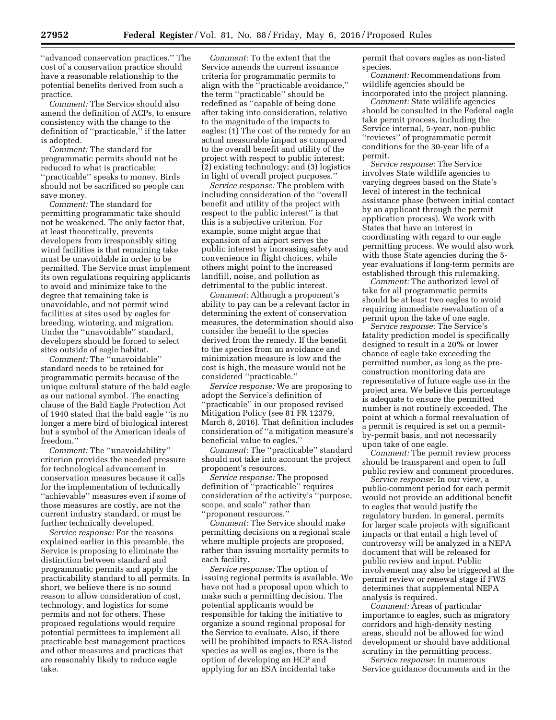''advanced conservation practices.'' The cost of a conservation practice should have a reasonable relationship to the potential benefits derived from such a practice.

*Comment:* The Service should also amend the definition of ACPs, to ensure consistency with the change to the definition of ''practicable,'' if the latter is adopted.

*Comment:* The standard for programmatic permits should not be reduced to what is practicable; ''practicable'' speaks to money. Birds should not be sacrificed so people can save money.

*Comment:* The standard for permitting programmatic take should not be weakened. The only factor that, at least theoretically, prevents developers from irresponsibly siting wind facilities is that remaining take must be unavoidable in order to be permitted. The Service must implement its own regulations requiring applicants to avoid and minimize take to the degree that remaining take is unavoidable, and not permit wind facilities at sites used by eagles for breeding, wintering, and migration. Under the ''unavoidable'' standard, developers should be forced to select sites outside of eagle habitat.

*Comment:* The ''unavoidable'' standard needs to be retained for programmatic permits because of the unique cultural stature of the bald eagle as our national symbol. The enacting clause of the Bald Eagle Protection Act of 1940 stated that the bald eagle ''is no longer a mere bird of biological interest but a symbol of the American ideals of freedom.''

*Comment:* The ''unavoidability'' criterion provides the needed pressure for technological advancement in conservation measures because it calls for the implementation of technically ''achievable'' measures even if some of those measures are costly, are not the current industry standard, or must be further technically developed.

*Service response:* For the reasons explained earlier in this preamble, the Service is proposing to eliminate the distinction between standard and programmatic permits and apply the practicability standard to all permits. In short, we believe there is no sound reason to allow consideration of cost, technology, and logistics for some permits and not for others. These proposed regulations would require potential permittees to implement all practicable best management practices and other measures and practices that are reasonably likely to reduce eagle take.

*Comment:* To the extent that the Service amends the current issuance criteria for programmatic permits to align with the ''practicable avoidance,'' the term ''practicable'' should be redefined as ''capable of being done after taking into consideration, relative to the magnitude of the impacts to eagles: (1) The cost of the remedy for an actual measurable impact as compared to the overall benefit and utility of the project with respect to public interest; (2) existing technology; and (3) logistics in light of overall project purposes.''

*Service response:* The problem with including consideration of the ''overall benefit and utility of the project with respect to the public interest'' is that this is a subjective criterion. For example, some might argue that expansion of an airport serves the public interest by increasing safety and convenience in flight choices, while others might point to the increased landfill, noise, and pollution as detrimental to the public interest.

*Comment:* Although a proponent's ability to pay can be a relevant factor in determining the extent of conservation measures, the determination should also consider the benefit to the species derived from the remedy. If the benefit to the species from an avoidance and minimization measure is low and the cost is high, the measure would not be considered ''practicable.''

*Service response:* We are proposing to adopt the Service's definition of ''practicable'' in our proposed revised Mitigation Policy (see 81 FR 12379, March 8, 2016). That definition includes consideration of ''a mitigation measure's beneficial value to eagles.''

*Comment:* The ''practicable'' standard should not take into account the project proponent's resources.

*Service response:* The proposed definition of ''practicable'' requires consideration of the activity's ''purpose, scope, and scale'' rather than ''proponent resources.''

*Comment:* The Service should make permitting decisions on a regional scale where multiple projects are proposed, rather than issuing mortality permits to each facility.

*Service response:* The option of issuing regional permits is available. We have not had a proposal upon which to make such a permitting decision. The potential applicants would be responsible for taking the initiative to organize a sound regional proposal for the Service to evaluate. Also, if there will be prohibited impacts to ESA-listed species as well as eagles, there is the option of developing an HCP and applying for an ESA incidental take

permit that covers eagles as non-listed species.

*Comment:* Recommendations from wildlife agencies should be

incorporated into the project planning. *Comment:* State wildlife agencies should be consulted in the Federal eagle take permit process, including the Service internal, 5-year, non-public ''reviews'' of programmatic permit conditions for the 30-year life of a permit.

*Service response:* The Service involves State wildlife agencies to varying degrees based on the State's level of interest in the technical assistance phase (between initial contact by an applicant through the permit application process). We work with States that have an interest in coordinating with regard to our eagle permitting process. We would also work with those State agencies during the 5 year evaluations if long-term permits are established through this rulemaking.

*Comment:* The authorized level of take for all programmatic permits should be at least two eagles to avoid requiring immediate reevaluation of a permit upon the take of one eagle.

*Service response:* The Service's fatality prediction model is specifically designed to result in a 20% or lower chance of eagle take exceeding the permitted number, as long as the preconstruction monitoring data are representative of future eagle use in the project area. We believe this percentage is adequate to ensure the permitted number is not routinely exceeded. The point at which a formal reevaluation of a permit is required is set on a permitby-permit basis, and not necessarily upon take of one eagle.

*Comment:* The permit review process should be transparent and open to full public review and comment procedures.

*Service response:* In our view, a public-comment period for each permit would not provide an additional benefit to eagles that would justify the regulatory burden. In general, permits for larger scale projects with significant impacts or that entail a high level of controversy will be analyzed in a NEPA document that will be released for public review and input. Public involvement may also be triggered at the permit review or renewal stage if FWS determines that supplemental NEPA analysis is required.

*Comment:* Areas of particular importance to eagles, such as migratory corridors and high-density nesting areas, should not be allowed for wind development or should have additional scrutiny in the permitting process.

*Service response:* In numerous Service guidance documents and in the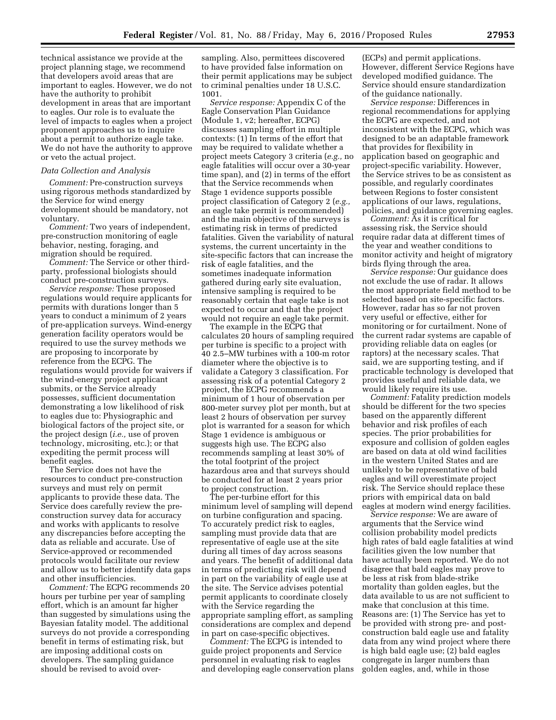technical assistance we provide at the project planning stage, we recommend that developers avoid areas that are important to eagles. However, we do not have the authority to prohibit development in areas that are important to eagles. Our role is to evaluate the level of impacts to eagles when a project proponent approaches us to inquire about a permit to authorize eagle take. We do not have the authority to approve or veto the actual project.

#### *Data Collection and Analysis*

*Comment:* Pre-construction surveys using rigorous methods standardized by the Service for wind energy development should be mandatory, not voluntary.

*Comment:* Two years of independent, pre-construction monitoring of eagle behavior, nesting, foraging, and migration should be required.

*Comment:* The Service or other thirdparty, professional biologists should conduct pre-construction surveys.

*Service response:* These proposed regulations would require applicants for permits with durations longer than 5 years to conduct a minimum of 2 years of pre-application surveys. Wind-energy generation facility operators would be required to use the survey methods we are proposing to incorporate by reference from the ECPG. The regulations would provide for waivers if the wind-energy project applicant submits, or the Service already possesses, sufficient documentation demonstrating a low likelihood of risk to eagles due to: Physiographic and biological factors of the project site, or the project design (*i.e.,* use of proven technology, micrositing, etc.); or that expediting the permit process will benefit eagles.

The Service does not have the resources to conduct pre-construction surveys and must rely on permit applicants to provide these data. The Service does carefully review the preconstruction survey data for accuracy and works with applicants to resolve any discrepancies before accepting the data as reliable and accurate. Use of Service-approved or recommended protocols would facilitate our review and allow us to better identify data gaps and other insufficiencies.

*Comment:* The ECPG recommends 20 hours per turbine per year of sampling effort, which is an amount far higher than suggested by simulations using the Bayesian fatality model. The additional surveys do not provide a corresponding benefit in terms of estimating risk, but are imposing additional costs on developers. The sampling guidance should be revised to avoid over-

sampling. Also, permittees discovered to have provided false information on their permit applications may be subject to criminal penalties under 18 U.S.C. 1001.

*Service response:* Appendix C of the Eagle Conservation Plan Guidance (Module 1, v2; hereafter, ECPG) discusses sampling effort in multiple contexts: (1) In terms of the effort that may be required to validate whether a project meets Category 3 criteria (*e.g.,* no eagle fatalities will occur over a 30-year time span), and (2) in terms of the effort that the Service recommends when Stage 1 evidence supports possible project classification of Category 2 (*e.g.,*  an eagle take permit is recommended) and the main objective of the surveys is estimating risk in terms of predicted fatalities. Given the variability of natural systems, the current uncertainty in the site-specific factors that can increase the risk of eagle fatalities, and the sometimes inadequate information gathered during early site evaluation, intensive sampling is required to be reasonably certain that eagle take is not expected to occur and that the project would not require an eagle take permit.

The example in the ECPG that calculates 20 hours of sampling required per turbine is specific to a project with 40 2.5–MW turbines with a 100-m rotor diameter where the objective is to validate a Category 3 classification. For assessing risk of a potential Category 2 project, the ECPG recommends a minimum of 1 hour of observation per 800-meter survey plot per month, but at least 2 hours of observation per survey plot is warranted for a season for which Stage 1 evidence is ambiguous or suggests high use. The ECPG also recommends sampling at least 30% of the total footprint of the project hazardous area and that surveys should be conducted for at least 2 years prior to project construction.

The per-turbine effort for this minimum level of sampling will depend on turbine configuration and spacing. To accurately predict risk to eagles, sampling must provide data that are representative of eagle use at the site during all times of day across seasons and years. The benefit of additional data in terms of predicting risk will depend in part on the variability of eagle use at the site. The Service advises potential permit applicants to coordinate closely with the Service regarding the appropriate sampling effort, as sampling considerations are complex and depend in part on case-specific objectives.

*Comment:* The ECPG is intended to guide project proponents and Service personnel in evaluating risk to eagles and developing eagle conservation plans

(ECPs) and permit applications. However, different Service Regions have developed modified guidance. The Service should ensure standardization of the guidance nationally.

*Service response:* Differences in regional recommendations for applying the ECPG are expected, and not inconsistent with the ECPG, which was designed to be an adaptable framework that provides for flexibility in application based on geographic and project-specific variability. However, the Service strives to be as consistent as possible, and regularly coordinates between Regions to foster consistent applications of our laws, regulations, policies, and guidance governing eagles.

*Comment:* As it is critical for assessing risk, the Service should require radar data at different times of the year and weather conditions to monitor activity and height of migratory birds flying through the area.

*Service response:* Our guidance does not exclude the use of radar. It allows the most appropriate field method to be selected based on site-specific factors. However, radar has so far not proven very useful or effective, either for monitoring or for curtailment. None of the current radar systems are capable of providing reliable data on eagles (or raptors) at the necessary scales. That said, we are supporting testing, and if practicable technology is developed that provides useful and reliable data, we would likely require its use.

*Comment:* Fatality prediction models should be different for the two species based on the apparently different behavior and risk profiles of each species. The prior probabilities for exposure and collision of golden eagles are based on data at old wind facilities in the western United States and are unlikely to be representative of bald eagles and will overestimate project risk. The Service should replace these priors with empirical data on bald eagles at modern wind energy facilities.

*Service response:* We are aware of arguments that the Service wind collision probability model predicts high rates of bald eagle fatalities at wind facilities given the low number that have actually been reported. We do not disagree that bald eagles may prove to be less at risk from blade-strike mortality than golden eagles, but the data available to us are not sufficient to make that conclusion at this time. Reasons are: (1) The Service has yet to be provided with strong pre- and postconstruction bald eagle use and fatality data from any wind project where there is high bald eagle use; (2) bald eagles congregate in larger numbers than golden eagles, and, while in those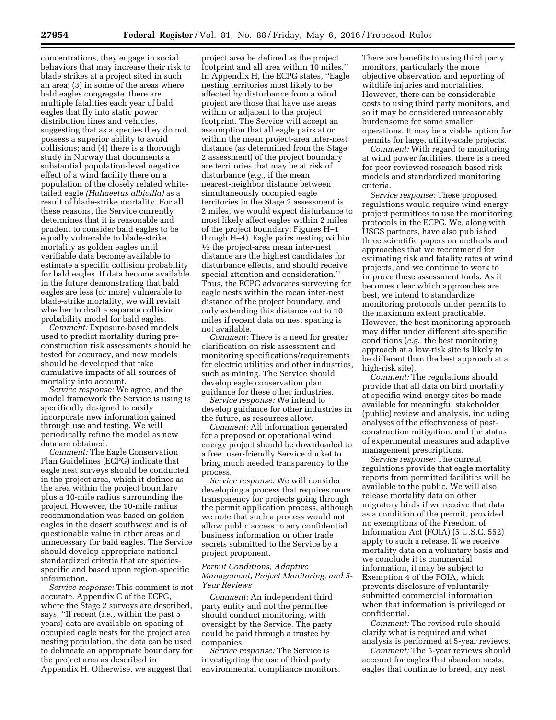concentrations, they engage in social behaviors that may increase their risk to blade strikes at a project sited in such an area; (3) in some of the areas where bald eagles congregate, there are multiple fatalities each year of bald eagles that fly into static power distribution lines and vehicles, suggesting that as a species they do not possess a superior ability to avoid collisions; and (4) there is a thorough study in Norway that documents a substantial population-level negative effect of a wind facility there on a population of the closely related whitetailed eagle *(Haliaeetus albicilla)* as a result of blade-strike mortality. For all these reasons, the Service currently determines that it is reasonable and prudent to consider bald eagles to be equally vulnerable to blade-strike mortality as golden eagles until verifiable data become available to estimate a specific collision probability for bald eagles. If data become available in the future demonstrating that bald eagles are less (or more) vulnerable to blade-strike mortality, we will revisit whether to draft a separate collision probability model for bald eagles.

*Comment:* Exposure-based models used to predict mortality during preconstruction risk assessments should be tested for accuracy, and new models should be developed that take cumulative impacts of all sources of mortality into account.

*Service response:* We agree, and the model framework the Service is using is specifically designed to easily incorporate new information gained through use and testing. We will periodically refine the model as new data are obtained.

*Comment:* The Eagle Conservation Plan Guidelines (ECPG) indicate that eagle nest surveys should be conducted in the project area, which it defines as the area within the project boundary plus a 10-mile radius surrounding the project. However, the 10-mile radius recommendation was based on golden eagles in the desert southwest and is of questionable value in other areas and unnecessary for bald eagles. The Service should develop appropriate national standardized criteria that are speciesspecific and based upon region-specific information.

*Service response:* This comment is not accurate. Appendix C of the ECPG, where the Stage 2 surveys are described, says, ''If recent (*i.e.,* within the past 5 years) data are available on spacing of occupied eagle nests for the project area nesting population, the data can be used to delineate an appropriate boundary for the project area as described in Appendix H. Otherwise, we suggest that

project area be defined as the project footprint and all area within 10 miles.'' In Appendix H, the ECPG states, ''Eagle nesting territories most likely to be affected by disturbance from a wind project are those that have use areas within or adjacent to the project footprint. The Service will accept an assumption that all eagle pairs at or within the mean project-area inter-nest distance (as determined from the Stage 2 assessment) of the project boundary are territories that may be at risk of disturbance (*e.g.,* if the mean nearest-neighbor distance between simultaneously occupied eagle territories in the Stage 2 assessment is 2 miles, we would expect disturbance to most likely affect eagles within 2 miles of the project boundary; Figures H–1 though H–4). Eagle pairs nesting within <sup>1/2</sup> the project-area mean inter-nest distance are the highest candidates for disturbance effects, and should receive special attention and consideration.'' Thus, the ECPG advocates surveying for eagle nests within the mean inter-nest distance of the project boundary, and only extending this distance out to 10 miles if recent data on nest spacing is not available.

*Comment:* There is a need for greater clarification on risk assessment and monitoring specifications/requirements for electric utilities and other industries, such as mining. The Service should develop eagle conservation plan guidance for these other industries.

*Service response:* We intend to develop guidance for other industries in the future, as resources allow.

*Comment:* All information generated for a proposed or operational wind energy project should be downloaded to a free, user-friendly Service docket to bring much needed transparency to the process.

*Service response:* We will consider developing a process that requires more transparency for projects going through the permit application process, although we note that such a process would not allow public access to any confidential business information or other trade secrets submitted to the Service by a project proponent.

#### *Permit Conditions, Adaptive Management, Project Monitoring, and 5- Year Reviews*

*Comment:* An independent third party entity and not the permittee should conduct monitoring, with oversight by the Service. The party could be paid through a trustee by companies.

*Service response:* The Service is investigating the use of third party environmental compliance monitors.

There are benefits to using third party monitors, particularly the more objective observation and reporting of wildlife injuries and mortalities. However, there can be considerable costs to using third party monitors, and so it may be considered unreasonably burdensome for some smaller operations. It may be a viable option for permits for large, utility-scale projects.

*Comment:* With regard to monitoring at wind power facilities, there is a need for peer-reviewed research-based risk models and standardized monitoring criteria.

*Service response:* These proposed regulations would require wind energy project permittees to use the monitoring protocols in the ECPG. We, along with USGS partners, have also published three scientific papers on methods and approaches that we recommend for estimating risk and fatality rates at wind projects, and we continue to work to improve these assessment tools. As it becomes clear which approaches are best, we intend to standardize monitoring protocols under permits to the maximum extent practicable. However, the best monitoring approach may differ under different site-specific conditions (*e.g.,* the best monitoring approach at a low-risk site is likely to be different than the best approach at a high-risk site).

*Comment:* The regulations should provide that all data on bird mortality at specific wind energy sites be made available for meaningful stakeholder (public) review and analysis, including analyses of the effectiveness of postconstruction mitigation, and the status of experimental measures and adaptive management prescriptions.

*Service response:* The current regulations provide that eagle mortality reports from permitted facilities will be available to the public. We will also release mortality data on other migratory birds if we receive that data as a condition of the permit, provided no exemptions of the Freedom of Information Act (FOIA) (5 U.S.C. 552) apply to such a release. If we receive mortality data on a voluntary basis and we conclude it is commercial information, it may be subject to Exemption 4 of the FOIA, which prevents disclosure of voluntarily submitted commercial information when that information is privileged or confidential.

*Comment:* The revised rule should clarify what is required and what analysis is performed at 5-year reviews.

*Comment:* The 5-year reviews should account for eagles that abandon nests, eagles that continue to breed, any nest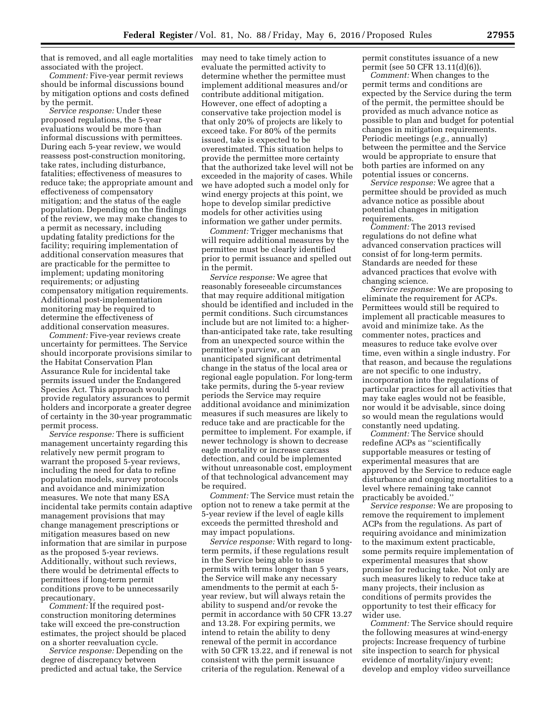that is removed, and all eagle mortalities associated with the project.

*Comment:* Five-year permit reviews should be informal discussions bound by mitigation options and costs defined by the permit.

*Service response:* Under these proposed regulations, the 5-year evaluations would be more than informal discussions with permittees. During each 5-year review, we would reassess post-construction monitoring, take rates, including disturbance, fatalities; effectiveness of measures to reduce take; the appropriate amount and effectiveness of compensatory mitigation; and the status of the eagle population. Depending on the findings of the review, we may make changes to a permit as necessary, including updating fatality predictions for the facility; requiring implementation of additional conservation measures that are practicable for the permittee to implement; updating monitoring requirements; or adjusting compensatory mitigation requirements. Additional post-implementation monitoring may be required to determine the effectiveness of additional conservation measures.

*Comment:* Five-year reviews create uncertainty for permittees. The Service should incorporate provisions similar to the Habitat Conservation Plan Assurance Rule for incidental take permits issued under the Endangered Species Act. This approach would provide regulatory assurances to permit holders and incorporate a greater degree of certainty in the 30-year programmatic permit process.

*Service response:* There is sufficient management uncertainty regarding this relatively new permit program to warrant the proposed 5-year reviews, including the need for data to refine population models, survey protocols and avoidance and minimization measures. We note that many ESA incidental take permits contain adaptive management provisions that may change management prescriptions or mitigation measures based on new information that are similar in purpose as the proposed 5-year reviews. Additionally, without such reviews, there would be detrimental effects to permittees if long-term permit conditions prove to be unnecessarily precautionary.

*Comment:* If the required postconstruction monitoring determines take will exceed the pre-construction estimates, the project should be placed on a shorter reevaluation cycle.

*Service response:* Depending on the degree of discrepancy between predicted and actual take, the Service may need to take timely action to evaluate the permitted activity to determine whether the permittee must implement additional measures and/or contribute additional mitigation. However, one effect of adopting a conservative take projection model is that only 20% of projects are likely to exceed take. For 80% of the permits issued, take is expected to be overestimated. This situation helps to provide the permittee more certainty that the authorized take level will not be exceeded in the majority of cases. While we have adopted such a model only for wind energy projects at this point, we hope to develop similar predictive models for other activities using information we gather under permits.

*Comment:* Trigger mechanisms that will require additional measures by the permittee must be clearly identified prior to permit issuance and spelled out in the permit.

*Service response:* We agree that reasonably foreseeable circumstances that may require additional mitigation should be identified and included in the permit conditions. Such circumstances include but are not limited to: a higherthan-anticipated take rate, take resulting from an unexpected source within the permittee's purview, or an unanticipated significant detrimental change in the status of the local area or regional eagle population. For long-term take permits, during the 5-year review periods the Service may require additional avoidance and minimization measures if such measures are likely to reduce take and are practicable for the permittee to implement. For example, if newer technology is shown to decrease eagle mortality or increase carcass detection, and could be implemented without unreasonable cost, employment of that technological advancement may be required.

*Comment:* The Service must retain the option not to renew a take permit at the 5-year review if the level of eagle kills exceeds the permitted threshold and may impact populations.

*Service response:* With regard to longterm permits, if these regulations result in the Service being able to issue permits with terms longer than 5 years, the Service will make any necessary amendments to the permit at each 5 year review, but will always retain the ability to suspend and/or revoke the permit in accordance with 50 CFR 13.27 and 13.28. For expiring permits, we intend to retain the ability to deny renewal of the permit in accordance with 50 CFR 13.22, and if renewal is not consistent with the permit issuance criteria of the regulation. Renewal of a

permit constitutes issuance of a new permit (see 50 CFR 13.11(d)(6)).

*Comment:* When changes to the permit terms and conditions are expected by the Service during the term of the permit, the permittee should be provided as much advance notice as possible to plan and budget for potential changes in mitigation requirements. Periodic meetings (*e.g.,* annually) between the permittee and the Service would be appropriate to ensure that both parties are informed on any potential issues or concerns.

*Service response:* We agree that a permittee should be provided as much advance notice as possible about potential changes in mitigation requirements.

*Comment:* The 2013 revised regulations do not define what advanced conservation practices will consist of for long-term permits. Standards are needed for these advanced practices that evolve with changing science.

*Service response:* We are proposing to eliminate the requirement for ACPs. Permittees would still be required to implement all practicable measures to avoid and minimize take. As the commenter notes, practices and measures to reduce take evolve over time, even within a single industry. For that reason, and because the regulations are not specific to one industry, incorporation into the regulations of particular practices for all activities that may take eagles would not be feasible, nor would it be advisable, since doing so would mean the regulations would constantly need updating.

*Comment:* The Service should redefine ACPs as ''scientifically supportable measures or testing of experimental measures that are approved by the Service to reduce eagle disturbance and ongoing mortalities to a level where remaining take cannot practicably be avoided.''

*Service response:* We are proposing to remove the requirement to implement ACPs from the regulations. As part of requiring avoidance and minimization to the maximum extent practicable, some permits require implementation of experimental measures that show promise for reducing take. Not only are such measures likely to reduce take at many projects, their inclusion as conditions of permits provides the opportunity to test their efficacy for wider use.

*Comment:* The Service should require the following measures at wind-energy projects: Increase frequency of turbine site inspection to search for physical evidence of mortality/injury event; develop and employ video surveillance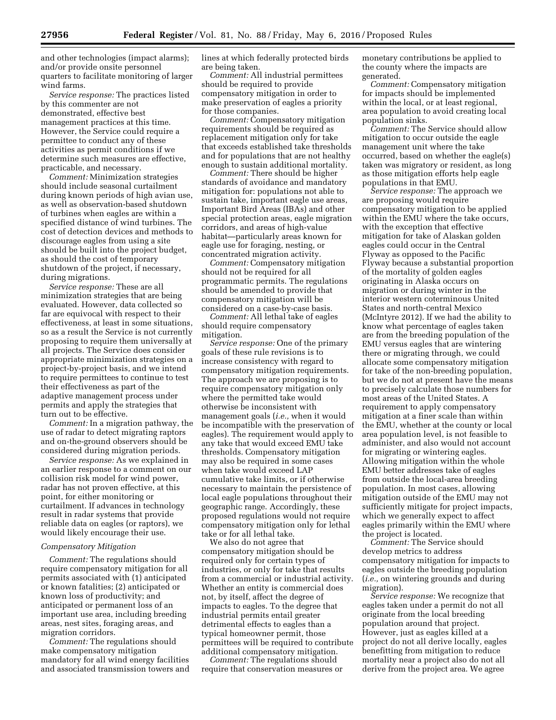and other technologies (impact alarms); and/or provide onsite personnel quarters to facilitate monitoring of larger wind farms.

*Service response:* The practices listed by this commenter are not demonstrated, effective best management practices at this time. However, the Service could require a permittee to conduct any of these activities as permit conditions if we determine such measures are effective, practicable, and necessary.

*Comment:* Minimization strategies should include seasonal curtailment during known periods of high avian use, as well as observation-based shutdown of turbines when eagles are within a specified distance of wind turbines. The cost of detection devices and methods to discourage eagles from using a site should be built into the project budget, as should the cost of temporary shutdown of the project, if necessary, during migrations.

*Service response:* These are all minimization strategies that are being evaluated. However, data collected so far are equivocal with respect to their effectiveness, at least in some situations, so as a result the Service is not currently proposing to require them universally at all projects. The Service does consider appropriate minimization strategies on a project-by-project basis, and we intend to require permittees to continue to test their effectiveness as part of the adaptive management process under permits and apply the strategies that turn out to be effective.

*Comment:* In a migration pathway, the use of radar to detect migrating raptors and on-the-ground observers should be considered during migration periods.

*Service response:* As we explained in an earlier response to a comment on our collision risk model for wind power, radar has not proven effective, at this point, for either monitoring or curtailment. If advances in technology result in radar systems that provide reliable data on eagles (or raptors), we would likely encourage their use.

#### *Compensatory Mitigation*

*Comment:* The regulations should require compensatory mitigation for all permits associated with (1) anticipated or known fatalities; (2) anticipated or known loss of productivity; and anticipated or permanent loss of an important use area, including breeding areas, nest sites, foraging areas, and migration corridors.

*Comment:* The regulations should make compensatory mitigation mandatory for all wind energy facilities and associated transmission towers and lines at which federally protected birds are being taken.

*Comment:* All industrial permittees should be required to provide compensatory mitigation in order to make preservation of eagles a priority for those companies.

*Comment:* Compensatory mitigation requirements should be required as replacement mitigation only for take that exceeds established take thresholds and for populations that are not healthy enough to sustain additional mortality.

*Comment:* There should be higher standards of avoidance and mandatory mitigation for: populations not able to sustain take, important eagle use areas, Important Bird Areas (IBAs) and other special protection areas, eagle migration corridors, and areas of high-value habitat—particularly areas known for eagle use for foraging, nesting, or concentrated migration activity.

*Comment:* Compensatory mitigation should not be required for all programmatic permits. The regulations should be amended to provide that compensatory mitigation will be considered on a case-by-case basis.

*Comment:* All lethal take of eagles should require compensatory mitigation.

*Service response:* One of the primary goals of these rule revisions is to increase consistency with regard to compensatory mitigation requirements. The approach we are proposing is to require compensatory mitigation only where the permitted take would otherwise be inconsistent with management goals (*i.e.,* when it would be incompatible with the preservation of eagles). The requirement would apply to any take that would exceed EMU take thresholds. Compensatory mitigation may also be required in some cases when take would exceed LAP cumulative take limits, or if otherwise necessary to maintain the persistence of local eagle populations throughout their geographic range. Accordingly, these proposed regulations would not require compensatory mitigation only for lethal take or for all lethal take.

We also do not agree that compensatory mitigation should be required only for certain types of industries, or only for take that results from a commercial or industrial activity. Whether an entity is commercial does not, by itself, affect the degree of impacts to eagles. To the degree that industrial permits entail greater detrimental effects to eagles than a typical homeowner permit, those permittees will be required to contribute additional compensatory mitigation.

*Comment:* The regulations should require that conservation measures or monetary contributions be applied to the county where the impacts are generated.

*Comment:* Compensatory mitigation for impacts should be implemented within the local, or at least regional, area population to avoid creating local population sinks.

*Comment:* The Service should allow mitigation to occur outside the eagle management unit where the take occurred, based on whether the eagle(s) taken was migratory or resident, as long as those mitigation efforts help eagle populations in that EMU.

*Service response:* The approach we are proposing would require compensatory mitigation to be applied within the EMU where the take occurs, with the exception that effective mitigation for take of Alaskan golden eagles could occur in the Central Flyway as opposed to the Pacific Flyway because a substantial proportion of the mortality of golden eagles originating in Alaska occurs on migration or during winter in the interior western coterminous United States and north-central Mexico (McIntyre 2012). If we had the ability to know what percentage of eagles taken are from the breeding population of the EMU versus eagles that are wintering there or migrating through, we could allocate some compensatory mitigation for take of the non-breeding population, but we do not at present have the means to precisely calculate those numbers for most areas of the United States. A requirement to apply compensatory mitigation at a finer scale than within the EMU, whether at the county or local area population level, is not feasible to administer, and also would not account for migrating or wintering eagles. Allowing mitigation within the whole EMU better addresses take of eagles from outside the local-area breeding population. In most cases, allowing mitigation outside of the EMU may not sufficiently mitigate for project impacts, which we generally expect to affect eagles primarily within the EMU where the project is located.

*Comment:* The Service should develop metrics to address compensatory mitigation for impacts to eagles outside the breeding population (*i.e.,* on wintering grounds and during migration).

*Service response:* We recognize that eagles taken under a permit do not all originate from the local breeding population around that project. However, just as eagles killed at a project do not all derive locally, eagles benefitting from mitigation to reduce mortality near a project also do not all derive from the project area. We agree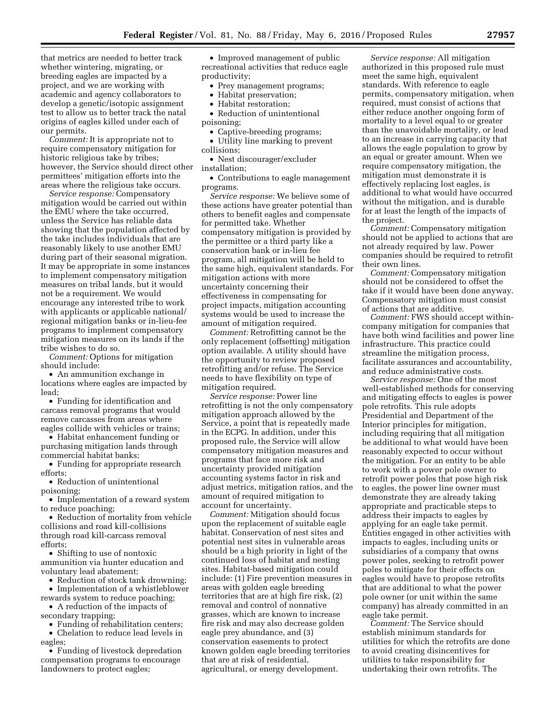that metrics are needed to better track whether wintering, migrating, or breeding eagles are impacted by a project, and we are working with academic and agency collaborators to develop a genetic/isotopic assignment test to allow us to better track the natal origins of eagles killed under each of our permits.

*Comment:* It is appropriate not to require compensatory mitigation for historic religious take by tribes; however, the Service should direct other permittees' mitigation efforts into the areas where the religious take occurs.

*Service response:* Compensatory mitigation would be carried out within the EMU where the take occurred, unless the Service has reliable data showing that the population affected by the take includes individuals that are reasonably likely to use another EMU during part of their seasonal migration. It may be appropriate in some instances to implement compensatory mitigation measures on tribal lands, but it would not be a requirement. We would encourage any interested tribe to work with applicants or applicable national/ regional mitigation banks or in-lieu-fee programs to implement compensatory mitigation measures on its lands if the tribe wishes to do so.

*Comment:* Options for mitigation should include:

• An ammunition exchange in locations where eagles are impacted by lead;

• Funding for identification and carcass removal programs that would remove carcasses from areas where eagles collide with vehicles or trains;

• Habitat enhancement funding or purchasing mitigation lands through commercial habitat banks;

• Funding for appropriate research efforts;

• Reduction of unintentional poisoning;

• Implementation of a reward system to reduce poaching;

• Reduction of mortality from vehicle collisions and road kill-collisions through road kill-carcass removal efforts;

• Shifting to use of nontoxic ammunition via hunter education and voluntary lead abatement;

• Reduction of stock tank drowning; • Implementation of a whistleblower

rewards system to reduce poaching; • A reduction of the impacts of

secondary trapping; • Funding of rehabilitation centers;

• Chelation to reduce lead levels in eagles;

• Funding of livestock depredation compensation programs to encourage landowners to protect eagles;

• Improved management of public recreational activities that reduce eagle productivity;

• Prey management programs;

- Habitat preservation;
- Habitat restoration;

• Reduction of unintentional poisoning;

• Captive-breeding programs;

• Utility line marking to prevent collisions;

• Nest discourager/excluder installation;

• Contributions to eagle management programs.

*Service response:* We believe some of these actions have greater potential than others to benefit eagles and compensate for permitted take. Whether compensatory mitigation is provided by the permittee or a third party like a conservation bank or in-lieu fee program, all mitigation will be held to the same high, equivalent standards. For mitigation actions with more uncertainty concerning their effectiveness in compensating for project impacts, mitigation accounting systems would be used to increase the amount of mitigation required.

*Comment:* Retrofitting cannot be the only replacement (offsetting) mitigation option available. A utility should have the opportunity to review proposed retrofitting and/or refuse. The Service needs to have flexibility on type of mitigation required.

*Service response:* Power line retrofitting is not the only compensatory mitigation approach allowed by the Service, a point that is repeatedly made in the ECPG. In addition, under this proposed rule, the Service will allow compensatory mitigation measures and programs that face more risk and uncertainty provided mitigation accounting systems factor in risk and adjust metrics, mitigation ratios, and the amount of required mitigation to account for uncertainty.

*Comment:* Mitigation should focus upon the replacement of suitable eagle habitat. Conservation of nest sites and potential nest sites in vulnerable areas should be a high priority in light of the continued loss of habitat and nesting sites. Habitat-based mitigation could include: (1) Fire prevention measures in areas with golden eagle breeding territories that are at high fire risk, (2) removal and control of nonnative grasses, which are known to increase fire risk and may also decrease golden eagle prey abundance, and (3) conservation easements to protect known golden eagle breeding territories that are at risk of residential, agricultural, or energy development.

*Service response:* All mitigation authorized in this proposed rule must meet the same high, equivalent standards. With reference to eagle permits, compensatory mitigation, when required, must consist of actions that either reduce another ongoing form of mortality to a level equal to or greater than the unavoidable mortality, or lead to an increase in carrying capacity that allows the eagle population to grow by an equal or greater amount. When we require compensatory mitigation, the mitigation must demonstrate it is effectively replacing lost eagles, is additional to what would have occurred without the mitigation, and is durable for at least the length of the impacts of the project.

*Comment:* Compensatory mitigation should not be applied to actions that are not already required by law. Power companies should be required to retrofit their own lines.

*Comment:* Compensatory mitigation should not be considered to offset the take if it would have been done anyway. Compensatory mitigation must consist of actions that are additive.

*Comment:* FWS should accept withincompany mitigation for companies that have both wind facilities and power line infrastructure. This practice could streamline the mitigation process, facilitate assurances and accountability, and reduce administrative costs.

*Service response:* One of the most well-established methods for conserving and mitigating effects to eagles is power pole retrofits. This rule adopts Presidential and Department of the Interior principles for mitigation, including requiring that all mitigation be additional to what would have been reasonably expected to occur without the mitigation. For an entity to be able to work with a power pole owner to retrofit power poles that pose high risk to eagles, the power line owner must demonstrate they are already taking appropriate and practicable steps to address their impacts to eagles by applying for an eagle take permit. Entities engaged in other activities with impacts to eagles, including units or subsidiaries of a company that owns power poles, seeking to retrofit power poles to mitigate for their effects on eagles would have to propose retrofits that are additional to what the power pole owner (or unit within the same company) has already committed in an eagle take permit.

*Comment:* The Service should establish minimum standards for utilities for which the retrofits are done to avoid creating disincentives for utilities to take responsibility for undertaking their own retrofits. The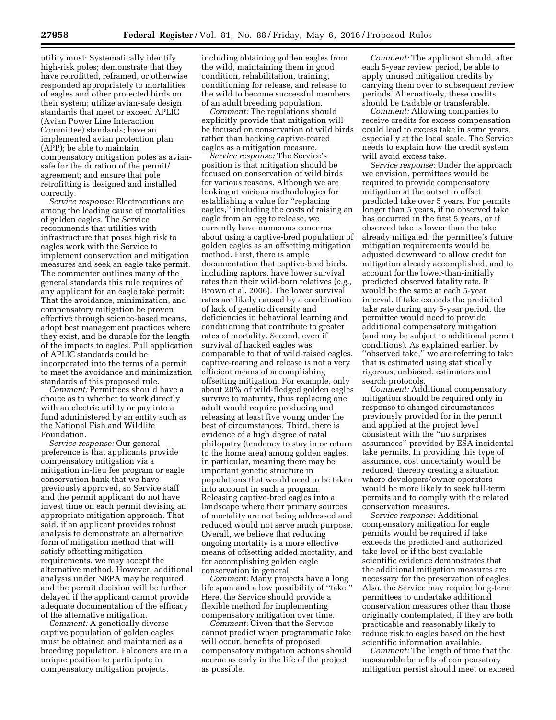utility must: Systematically identify high-risk poles; demonstrate that they have retrofitted, reframed, or otherwise responded appropriately to mortalities of eagles and other protected birds on their system; utilize avian-safe design standards that meet or exceed APLIC (Avian Power Line Interaction Committee) standards; have an implemented avian protection plan (APP); be able to maintain compensatory mitigation poles as aviansafe for the duration of the permit/ agreement; and ensure that pole retrofitting is designed and installed correctly.

*Service response:* Electrocutions are among the leading cause of mortalities of golden eagles. The Service recommends that utilities with infrastructure that poses high risk to eagles work with the Service to implement conservation and mitigation measures and seek an eagle take permit. The commenter outlines many of the general standards this rule requires of any applicant for an eagle take permit: That the avoidance, minimization, and compensatory mitigation be proven effective through science-based means, adopt best management practices where they exist, and be durable for the length of the impacts to eagles. Full application of APLIC standards could be incorporated into the terms of a permit to meet the avoidance and minimization standards of this proposed rule.

*Comment:* Permittees should have a choice as to whether to work directly with an electric utility or pay into a fund administered by an entity such as the National Fish and Wildlife Foundation.

*Service response:* Our general preference is that applicants provide compensatory mitigation via a mitigation in-lieu fee program or eagle conservation bank that we have previously approved, so Service staff and the permit applicant do not have invest time on each permit devising an appropriate mitigation approach. That said, if an applicant provides robust analysis to demonstrate an alternative form of mitigation method that will satisfy offsetting mitigation requirements, we may accept the alternative method. However, additional analysis under NEPA may be required, and the permit decision will be further delayed if the applicant cannot provide adequate documentation of the efficacy of the alternative mitigation.

*Comment:* A genetically diverse captive population of golden eagles must be obtained and maintained as a breeding population. Falconers are in a unique position to participate in compensatory mitigation projects,

including obtaining golden eagles from the wild, maintaining them in good condition, rehabilitation, training, conditioning for release, and release to the wild to become successful members of an adult breeding population.

*Comment:* The regulations should explicitly provide that mitigation will be focused on conservation of wild birds rather than hacking captive-reared eagles as a mitigation measure.

*Service response:* The Service's position is that mitigation should be focused on conservation of wild birds for various reasons. Although we are looking at various methodologies for establishing a value for ''replacing eagles,'' including the costs of raising an eagle from an egg to release, we currently have numerous concerns about using a captive-bred population of golden eagles as an offsetting mitigation method. First, there is ample documentation that captive-bred birds, including raptors, have lower survival rates than their wild-born relatives (*e.g.,*  Brown et al. 2006). The lower survival rates are likely caused by a combination of lack of genetic diversity and deficiencies in behavioral learning and conditioning that contribute to greater rates of mortality. Second, even if survival of hacked eagles was comparable to that of wild-raised eagles, captive-rearing and release is not a very efficient means of accomplishing offsetting mitigation. For example, only about 20% of wild-fledged golden eagles survive to maturity, thus replacing one adult would require producing and releasing at least five young under the best of circumstances. Third, there is evidence of a high degree of natal philopatry (tendency to stay in or return to the home area) among golden eagles, in particular, meaning there may be important genetic structure in populations that would need to be taken into account in such a program. Releasing captive-bred eagles into a landscape where their primary sources of mortality are not being addressed and reduced would not serve much purpose. Overall, we believe that reducing ongoing mortality is a more effective means of offsetting added mortality, and for accomplishing golden eagle conservation in general.

*Comment:* Many projects have a long life span and a low possibility of ''take.'' Here, the Service should provide a flexible method for implementing compensatory mitigation over time.

*Comment:* Given that the Service cannot predict when programmatic take will occur, benefits of proposed compensatory mitigation actions should accrue as early in the life of the project as possible.

*Comment:* The applicant should, after each 5-year review period, be able to apply unused mitigation credits by carrying them over to subsequent review periods. Alternatively, these credits should be tradable or transferable.

*Comment:* Allowing companies to receive credits for excess compensation could lead to excess take in some years, especially at the local scale. The Service needs to explain how the credit system will avoid excess take.

*Service response:* Under the approach we envision, permittees would be required to provide compensatory mitigation at the outset to offset predicted take over 5 years. For permits longer than 5 years, if no observed take has occurred in the first 5 years, or if observed take is lower than the take already mitigated, the permittee's future mitigation requirements would be adjusted downward to allow credit for mitigation already accomplished, and to account for the lower-than-initially predicted observed fatality rate. It would be the same at each 5-year interval. If take exceeds the predicted take rate during any 5-year period, the permittee would need to provide additional compensatory mitigation (and may be subject to additional permit conditions). As explained earlier, by ''observed take,'' we are referring to take that is estimated using statistically rigorous, unbiased, estimators and search protocols.

*Comment:* Additional compensatory mitigation should be required only in response to changed circumstances previously provided for in the permit and applied at the project level consistent with the ''no surprises assurances'' provided by ESA incidental take permits. In providing this type of assurance, cost uncertainty would be reduced, thereby creating a situation where developers/owner operators would be more likely to seek full-term permits and to comply with the related conservation measures.

*Service response:* Additional compensatory mitigation for eagle permits would be required if take exceeds the predicted and authorized take level or if the best available scientific evidence demonstrates that the additional mitigation measures are necessary for the preservation of eagles. Also, the Service may require long-term permittees to undertake additional conservation measures other than those originally contemplated, if they are both practicable and reasonably likely to reduce risk to eagles based on the best scientific information available.

*Comment:* The length of time that the measurable benefits of compensatory mitigation persist should meet or exceed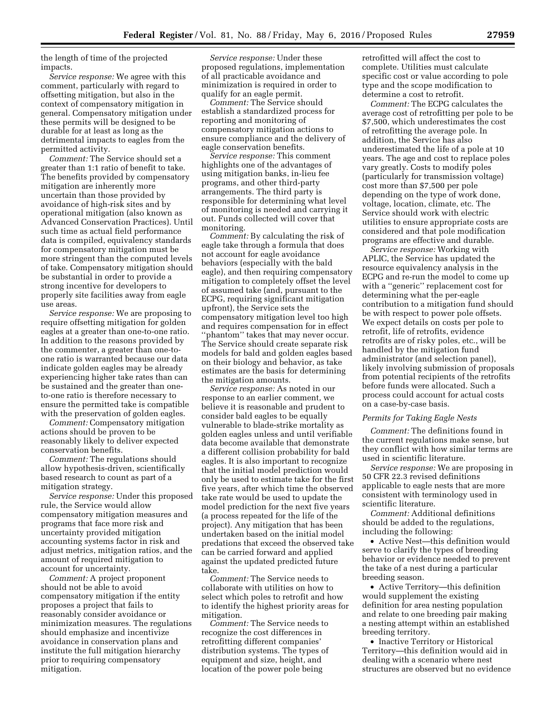the length of time of the projected impacts.

*Service response:* We agree with this comment, particularly with regard to offsetting mitigation, but also in the context of compensatory mitigation in general. Compensatory mitigation under these permits will be designed to be durable for at least as long as the detrimental impacts to eagles from the permitted activity.

*Comment:* The Service should set a greater than 1:1 ratio of benefit to take. The benefits provided by compensatory mitigation are inherently more uncertain than those provided by avoidance of high-risk sites and by operational mitigation (also known as Advanced Conservation Practices). Until such time as actual field performance data is compiled, equivalency standards for compensatory mitigation must be more stringent than the computed levels of take. Compensatory mitigation should be substantial in order to provide a strong incentive for developers to properly site facilities away from eagle use areas.

*Service response:* We are proposing to require offsetting mitigation for golden eagles at a greater than one-to-one ratio. In addition to the reasons provided by the commenter, a greater than one-toone ratio is warranted because our data indicate golden eagles may be already experiencing higher take rates than can be sustained and the greater than oneto-one ratio is therefore necessary to ensure the permitted take is compatible with the preservation of golden eagles.

*Comment:* Compensatory mitigation actions should be proven to be reasonably likely to deliver expected conservation benefits.

*Comment:* The regulations should allow hypothesis-driven, scientifically based research to count as part of a mitigation strategy.

*Service response:* Under this proposed rule, the Service would allow compensatory mitigation measures and programs that face more risk and uncertainty provided mitigation accounting systems factor in risk and adjust metrics, mitigation ratios, and the amount of required mitigation to account for uncertainty.

*Comment:* A project proponent should not be able to avoid compensatory mitigation if the entity proposes a project that fails to reasonably consider avoidance or minimization measures. The regulations should emphasize and incentivize avoidance in conservation plans and institute the full mitigation hierarchy prior to requiring compensatory mitigation.

*Service response:* Under these proposed regulations, implementation of all practicable avoidance and minimization is required in order to qualify for an eagle permit.

*Comment:* The Service should establish a standardized process for reporting and monitoring of compensatory mitigation actions to ensure compliance and the delivery of eagle conservation benefits.

*Service response:* This comment highlights one of the advantages of using mitigation banks, in-lieu fee programs, and other third-party arrangements. The third party is responsible for determining what level of monitoring is needed and carrying it out. Funds collected will cover that monitoring.

*Comment:* By calculating the risk of eagle take through a formula that does not account for eagle avoidance behaviors (especially with the bald eagle), and then requiring compensatory mitigation to completely offset the level of assumed take (and, pursuant to the ECPG, requiring significant mitigation upfront), the Service sets the compensatory mitigation level too high and requires compensation for in effect ''phantom'' takes that may never occur. The Service should create separate risk models for bald and golden eagles based on their biology and behavior, as take estimates are the basis for determining the mitigation amounts.

*Service response:* As noted in our response to an earlier comment, we believe it is reasonable and prudent to consider bald eagles to be equally vulnerable to blade-strike mortality as golden eagles unless and until verifiable data become available that demonstrate a different collision probability for bald eagles. It is also important to recognize that the initial model prediction would only be used to estimate take for the first five years, after which time the observed take rate would be used to update the model prediction for the next five years (a process repeated for the life of the project). Any mitigation that has been undertaken based on the initial model predations that exceed the observed take can be carried forward and applied against the updated predicted future take.

*Comment:* The Service needs to collaborate with utilities on how to select which poles to retrofit and how to identify the highest priority areas for mitigation.

*Comment:* The Service needs to recognize the cost differences in retrofitting different companies' distribution systems. The types of equipment and size, height, and location of the power pole being

retrofitted will affect the cost to complete. Utilities must calculate specific cost or value according to pole type and the scope modification to determine a cost to retrofit.

*Comment:* The ECPG calculates the average cost of retrofitting per pole to be \$7,500, which underestimates the cost of retrofitting the average pole. In addition, the Service has also underestimated the life of a pole at 10 years. The age and cost to replace poles vary greatly. Costs to modify poles (particularly for transmission voltage) cost more than \$7,500 per pole depending on the type of work done, voltage, location, climate, etc. The Service should work with electric utilities to ensure appropriate costs are considered and that pole modification programs are effective and durable.

*Service response:* Working with APLIC, the Service has updated the resource equivalency analysis in the ECPG and re-run the model to come up with a ''generic'' replacement cost for determining what the per-eagle contribution to a mitigation fund should be with respect to power pole offsets. We expect details on costs per pole to retrofit, life of retrofits, evidence retrofits are of risky poles, etc., will be handled by the mitigation fund administrator (and selection panel), likely involving submission of proposals from potential recipients of the retrofits before funds were allocated. Such a process could account for actual costs on a case-by-case basis.

#### *Permits for Taking Eagle Nests*

*Comment:* The definitions found in the current regulations make sense, but they conflict with how similar terms are used in scientific literature.

*Service response:* We are proposing in 50 CFR 22.3 revised definitions applicable to eagle nests that are more consistent with terminology used in scientific literature.

*Comment:* Additional definitions should be added to the regulations, including the following:

• Active Nest—this definition would serve to clarify the types of breeding behavior or evidence needed to prevent the take of a nest during a particular breeding season.

• Active Territory—this definition would supplement the existing definition for area nesting population and relate to one breeding pair making a nesting attempt within an established breeding territory.

• Inactive Territory or Historical Territory—this definition would aid in dealing with a scenario where nest structures are observed but no evidence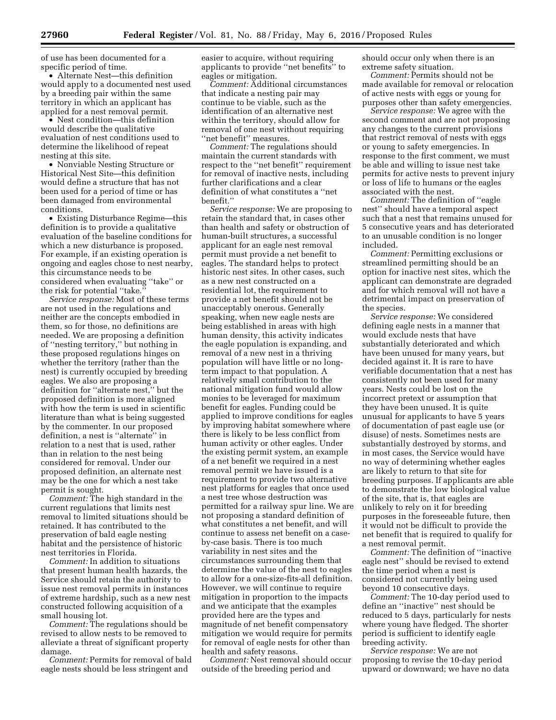of use has been documented for a specific period of time.

• Alternate Nest—this definition would apply to a documented nest used by a breeding pair within the same territory in which an applicant has applied for a nest removal permit.

• Nest condition—this definition would describe the qualitative evaluation of nest conditions used to determine the likelihood of repeat nesting at this site.

• Nonviable Nesting Structure or Historical Nest Site—this definition would define a structure that has not been used for a period of time or has been damaged from environmental conditions.

• Existing Disturbance Regime—this definition is to provide a qualitative evaluation of the baseline conditions for which a new disturbance is proposed. For example, if an existing operation is ongoing and eagles chose to nest nearby, this circumstance needs to be considered when evaluating ''take'' or the risk for potential ''take.''

*Service response:* Most of these terms are not used in the regulations and neither are the concepts embodied in them, so for those, no definitions are needed. We are proposing a definition of ''nesting territory,'' but nothing in these proposed regulations hinges on whether the territory (rather than the nest) is currently occupied by breeding eagles. We also are proposing a definition for ''alternate nest,'' but the proposed definition is more aligned with how the term is used in scientific literature than what is being suggested by the commenter. In our proposed definition, a nest is ''alternate'' in relation to a nest that is used, rather than in relation to the nest being considered for removal. Under our proposed definition, an alternate nest may be the one for which a nest take permit is sought.

*Comment:* The high standard in the current regulations that limits nest removal to limited situations should be retained. It has contributed to the preservation of bald eagle nesting habitat and the persistence of historic nest territories in Florida.

*Comment:* In addition to situations that present human health hazards, the Service should retain the authority to issue nest removal permits in instances of extreme hardship, such as a new nest constructed following acquisition of a small housing lot.

*Comment:* The regulations should be revised to allow nests to be removed to alleviate a threat of significant property damage.

*Comment:* Permits for removal of bald eagle nests should be less stringent and

easier to acquire, without requiring applicants to provide ''net benefits'' to eagles or mitigation.

*Comment:* Additional circumstances that indicate a nesting pair may continue to be viable, such as the identification of an alternative nest within the territory, should allow for removal of one nest without requiring ''net benefit'' measures.

*Comment:* The regulations should maintain the current standards with respect to the ''net benefit'' requirement for removal of inactive nests, including further clarifications and a clear definition of what constitutes a ''net benefit.''

*Service response:* We are proposing to retain the standard that, in cases other than health and safety or obstruction of human-built structures, a successful applicant for an eagle nest removal permit must provide a net benefit to eagles. The standard helps to protect historic nest sites. In other cases, such as a new nest constructed on a residential lot, the requirement to provide a net benefit should not be unacceptably onerous. Generally speaking, when new eagle nests are being established in areas with high human density, this activity indicates the eagle population is expanding, and removal of a new nest in a thriving population will have little or no longterm impact to that population. A relatively small contribution to the national mitigation fund would allow monies to be leveraged for maximum benefit for eagles. Funding could be applied to improve conditions for eagles by improving habitat somewhere where there is likely to be less conflict from human activity or other eagles. Under the existing permit system, an example of a net benefit we required in a nest removal permit we have issued is a requirement to provide two alternative nest platforms for eagles that once used a nest tree whose destruction was permitted for a railway spur line. We are not proposing a standard definition of what constitutes a net benefit, and will continue to assess net benefit on a caseby-case basis. There is too much variability in nest sites and the circumstances surrounding them that determine the value of the nest to eagles to allow for a one-size-fits-all definition. However, we will continue to require mitigation in proportion to the impacts and we anticipate that the examples provided here are the types and magnitude of net benefit compensatory mitigation we would require for permits for removal of eagle nests for other than health and safety reasons.

*Comment:* Nest removal should occur outside of the breeding period and

should occur only when there is an extreme safety situation.

*Comment:* Permits should not be made available for removal or relocation of active nests with eggs or young for purposes other than safety emergencies.

*Service response:* We agree with the second comment and are not proposing any changes to the current provisions that restrict removal of nests with eggs or young to safety emergencies. In response to the first comment, we must be able and willing to issue nest take permits for active nests to prevent injury or loss of life to humans or the eagles associated with the nest.

*Comment:* The definition of ''eagle nest'' should have a temporal aspect such that a nest that remains unused for 5 consecutive years and has deteriorated to an unusable condition is no longer included.

*Comment:* Permitting exclusions or streamlined permitting should be an option for inactive nest sites, which the applicant can demonstrate are degraded and for which removal will not have a detrimental impact on preservation of the species.

*Service response:* We considered defining eagle nests in a manner that would exclude nests that have substantially deteriorated and which have been unused for many years, but decided against it. It is rare to have verifiable documentation that a nest has consistently not been used for many years. Nests could be lost on the incorrect pretext or assumption that they have been unused. It is quite unusual for applicants to have 5 years of documentation of past eagle use (or disuse) of nests. Sometimes nests are substantially destroyed by storms, and in most cases, the Service would have no way of determining whether eagles are likely to return to that site for breeding purposes. If applicants are able to demonstrate the low biological value of the site, that is, that eagles are unlikely to rely on it for breeding purposes in the foreseeable future, then it would not be difficult to provide the net benefit that is required to qualify for a nest removal permit.

*Comment:* The definition of ''inactive eagle nest'' should be revised to extend the time period when a nest is considered not currently being used beyond 10 consecutive days.

*Comment:* The 10-day period used to define an ''inactive'' nest should be reduced to 5 days, particularly for nests where young have fledged. The shorter period is sufficient to identify eagle breeding activity.

*Service response:* We are not proposing to revise the 10-day period upward or downward; we have no data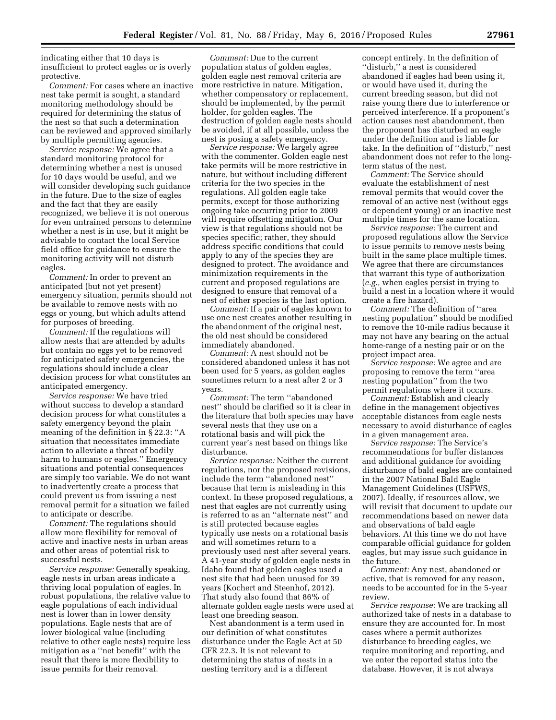indicating either that 10 days is insufficient to protect eagles or is overly protective.

*Comment:* For cases where an inactive nest take permit is sought, a standard monitoring methodology should be required for determining the status of the nest so that such a determination can be reviewed and approved similarly by multiple permitting agencies.

*Service response:* We agree that a standard monitoring protocol for determining whether a nest is unused for 10 days would be useful, and we will consider developing such guidance in the future. Due to the size of eagles and the fact that they are easily recognized, we believe it is not onerous for even untrained persons to determine whether a nest is in use, but it might be advisable to contact the local Service field office for guidance to ensure the monitoring activity will not disturb eagles.

*Comment:* In order to prevent an anticipated (but not yet present) emergency situation, permits should not be available to remove nests with no eggs or young, but which adults attend for purposes of breeding.

*Comment:* If the regulations will allow nests that are attended by adults but contain no eggs yet to be removed for anticipated safety emergencies, the regulations should include a clear decision process for what constitutes an anticipated emergency.

*Service response:* We have tried without success to develop a standard decision process for what constitutes a safety emergency beyond the plain meaning of the definition in § 22.3: ''A situation that necessitates immediate action to alleviate a threat of bodily harm to humans or eagles.'' Emergency situations and potential consequences are simply too variable. We do not want to inadvertently create a process that could prevent us from issuing a nest removal permit for a situation we failed to anticipate or describe.

*Comment:* The regulations should allow more flexibility for removal of active and inactive nests in urban areas and other areas of potential risk to successful nests.

*Service response:* Generally speaking, eagle nests in urban areas indicate a thriving local population of eagles. In robust populations, the relative value to eagle populations of each individual nest is lower than in lower density populations. Eagle nests that are of lower biological value (including relative to other eagle nests) require less mitigation as a ''net benefit'' with the result that there is more flexibility to issue permits for their removal.

*Comment:* Due to the current population status of golden eagles, golden eagle nest removal criteria are more restrictive in nature. Mitigation, whether compensatory or replacement, should be implemented, by the permit holder, for golden eagles. The destruction of golden eagle nests should be avoided, if at all possible, unless the nest is posing a safety emergency.

*Service response:* We largely agree with the commenter. Golden eagle nest take permits will be more restrictive in nature, but without including different criteria for the two species in the regulations. All golden eagle take permits, except for those authorizing ongoing take occurring prior to 2009 will require offsetting mitigation. Our view is that regulations should not be species specific; rather, they should address specific conditions that could apply to any of the species they are designed to protect. The avoidance and minimization requirements in the current and proposed regulations are designed to ensure that removal of a nest of either species is the last option.

*Comment:* If a pair of eagles known to use one nest creates another resulting in the abandonment of the original nest, the old nest should be considered immediately abandoned.

*Comment:* A nest should not be considered abandoned unless it has not been used for 5 years, as golden eagles sometimes return to a nest after 2 or 3 years.

*Comment:* The term ''abandoned nest'' should be clarified so it is clear in the literature that both species may have several nests that they use on a rotational basis and will pick the current year's nest based on things like disturbance.

*Service response:* Neither the current regulations, nor the proposed revisions, include the term ''abandoned nest'' because that term is misleading in this context. In these proposed regulations, a nest that eagles are not currently using is referred to as an ''alternate nest'' and is still protected because eagles typically use nests on a rotational basis and will sometimes return to a previously used nest after several years. A 41-year study of golden eagle nests in Idaho found that golden eagles used a nest site that had been unused for 39 years (Kochert and Steenhof, 2012). That study also found that 86% of alternate golden eagle nests were used at least one breeding season.

Nest abandonment is a term used in our definition of what constitutes disturbance under the Eagle Act at 50 CFR 22.3. It is not relevant to determining the status of nests in a nesting territory and is a different

concept entirely. In the definition of ''disturb,'' a nest is considered abandoned if eagles had been using it, or would have used it, during the current breeding season, but did not raise young there due to interference or perceived interference. If a proponent's action causes nest abandonment, then the proponent has disturbed an eagle under the definition and is liable for take. In the definition of ''disturb,'' nest abandonment does not refer to the longterm status of the nest.

*Comment:* The Service should evaluate the establishment of nest removal permits that would cover the removal of an active nest (without eggs or dependent young) or an inactive nest multiple times for the same location.

*Service response:* The current and proposed regulations allow the Service to issue permits to remove nests being built in the same place multiple times. We agree that there are circumstances that warrant this type of authorization (*e.g.,* when eagles persist in trying to build a nest in a location where it would create a fire hazard).

*Comment:* The definition of ''area nesting population'' should be modified to remove the 10-mile radius because it may not have any bearing on the actual home-range of a nesting pair or on the project impact area.

*Service response:* We agree and are proposing to remove the term ''area nesting population'' from the two permit regulations where it occurs.

*Comment:* Establish and clearly define in the management objectives acceptable distances from eagle nests necessary to avoid disturbance of eagles in a given management area.

*Service response:* The Service's recommendations for buffer distances and additional guidance for avoiding disturbance of bald eagles are contained in the 2007 National Bald Eagle Management Guidelines (USFWS, 2007). Ideally, if resources allow, we will revisit that document to update our recommendations based on newer data and observations of bald eagle behaviors. At this time we do not have comparable official guidance for golden eagles, but may issue such guidance in the future.

*Comment:* Any nest, abandoned or active, that is removed for any reason, needs to be accounted for in the 5-year review.

*Service response:* We are tracking all authorized take of nests in a database to ensure they are accounted for. In most cases where a permit authorizes disturbance to breeding eagles, we require monitoring and reporting, and we enter the reported status into the database. However, it is not always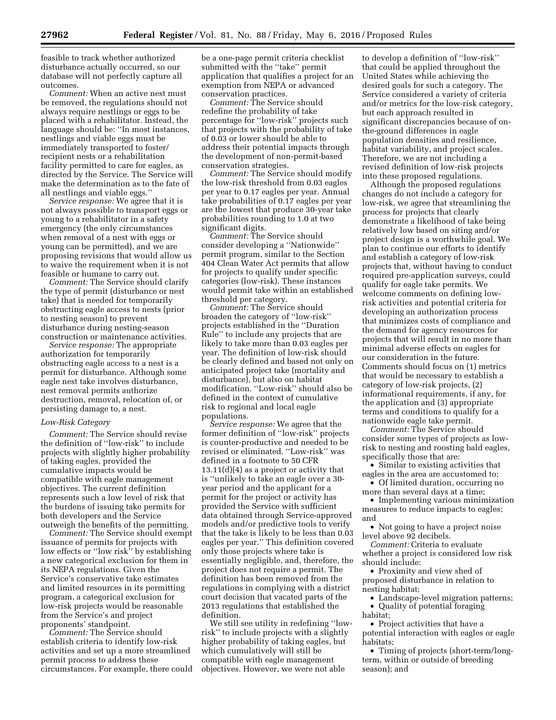feasible to track whether authorized disturbance actually occurred, so our database will not perfectly capture all outcomes.

*Comment:* When an active nest must be removed, the regulations should not always require nestlings or eggs to be placed with a rehabilitator. Instead, the language should be: ''In most instances, nestlings and viable eggs must be immediately transported to foster/ recipient nests or a rehabilitation facility permitted to care for eagles, as directed by the Service. The Service will make the determination as to the fate of all nestlings and viable eggs.''

*Service response:* We agree that it is not always possible to transport eggs or young to a rehabilitator in a safety emergency (the only circumstances when removal of a nest with eggs or young can be permitted), and we are proposing revisions that would allow us to waive the requirement when it is not feasible or humane to carry out.

*Comment:* The Service should clarify the type of permit (disturbance or nest take) that is needed for temporarily obstructing eagle access to nests (prior to nesting season) to prevent disturbance during nesting-season construction or maintenance activities.

*Service response:* The appropriate authorization for temporarily obstructing eagle access to a nest is a permit for disturbance. Although some eagle nest take involves disturbance, nest removal permits authorize destruction, removal, relocation of, or persisting damage to, a nest.

#### *Low-Risk Category*

*Comment:* The Service should revise the definition of ''low-risk'' to include projects with slightly higher probability of taking eagles, provided the cumulative impacts would be compatible with eagle management objectives. The current definition represents such a low level of risk that the burdens of issuing take permits for both developers and the Service outweigh the benefits of the permitting.

*Comment:* The Service should exempt issuance of permits for projects with low effects or ''low risk'' by establishing a new categorical exclusion for them in its NEPA regulations. Given the Service's conservative take estimates and limited resources in its permitting program, a categorical exclusion for low-risk projects would be reasonable from the Service's and project proponents' standpoint.

*Comment:* The Service should establish criteria to identify low-risk activities and set up a more streamlined permit process to address these circumstances. For example, there could be a one-page permit criteria checklist submitted with the ''take'' permit application that qualifies a project for an exemption from NEPA or advanced conservation practices.

*Comment:* The Service should redefine the probability of take percentage for ''low-risk'' projects such that projects with the probability of take of 0.03 or lower should be able to address their potential impacts through the development of non-permit-based conservation strategies.

*Comment:* The Service should modify the low-risk threshold from 0.03 eagles per year to 0.17 eagles per year. Annual take probabilities of 0.17 eagles per year are the lowest that produce 30-year take probabilities rounding to 1.0 at two significant digits.

*Comment:* The Service should consider developing a ''Nationwide'' permit program, similar to the Section 404 Clean Water Act permits that allow for projects to qualify under specific categories (low-risk). These instances would permit take within an established threshold per category.

*Comment:* The Service should broaden the category of ''low-risk'' projects established in the ''Duration Rule'' to include any projects that are likely to take more than 0.03 eagles per year. The definition of low-risk should be clearly defined and based not only on anticipated project take (mortality and disturbance), but also on habitat modification. ''Low-risk'' should also be defined in the context of cumulative risk to regional and local eagle populations.

*Service response:* We agree that the former definition of ''low-risk'' projects is counter-productive and needed to be revised or eliminated. ''Low-risk'' was defined in a footnote to 50 CFR 13.11(d)(4) as a project or activity that is ''unlikely to take an eagle over a 30 year period and the applicant for a permit for the project or activity has provided the Service with sufficient data obtained through Service-approved models and/or predictive tools to verify that the take is likely to be less than 0.03 eagles per year.'' This definition covered only those projects where take is essentially negligible, and, therefore, the project does not require a permit. The definition has been removed from the regulations in complying with a district court decision that vacated parts of the 2013 regulations that established the definition.

We still see utility in redefining ''lowrisk'' to include projects with a slightly higher probability of taking eagles, but which cumulatively will still be compatible with eagle management objectives. However, we were not able

to develop a definition of ''low-risk'' that could be applied throughout the United States while achieving the desired goals for such a category. The Service considered a variety of criteria and/or metrics for the low-risk category, but each approach resulted in significant discrepancies because of onthe-ground differences in eagle population densities and resilience, habitat variability, and project scales. Therefore, we are not including a revised definition of low-risk projects into these proposed regulations.

Although the proposed regulations changes do not include a category for low-risk, we agree that streamlining the process for projects that clearly demonstrate a likelihood of take being relatively low based on siting and/or project design is a worthwhile goal. We plan to continue our efforts to identify and establish a category of low-risk projects that, without having to conduct required pre-application surveys, could qualify for eagle take permits. We welcome comments on defining lowrisk activities and potential criteria for developing an authorization process that minimizes costs of compliance and the demand for agency resources for projects that will result in no more than minimal adverse effects on eagles for our consideration in the future. Comments should focus on (1) metrics that would be necessary to establish a category of low-risk projects, (2) informational requirements, if any, for the application and (3) appropriate terms and conditions to qualify for a nationwide eagle take permit.

*Comment:* The Service should consider some types of projects as lowrisk to nesting and roosting bald eagles, specifically those that are:

• Similar to existing activities that eagles in the area are accustomed to; • Of limited duration, occurring no

more than several days at a time;

• Implementing various minimization measures to reduce impacts to eagles; and

• Not going to have a project noise level above 92 decibels.

*Comment:* Criteria to evaluate whether a project is considered low risk should include:

• Proximity and view shed of proposed disturbance in relation to nesting habitat;

- Landscape-level migration patterns;
- Quality of potential foraging habitat;

• Project activities that have a potential interaction with eagles or eagle habitats;

• Timing of projects (short-term/longterm, within or outside of breeding season); and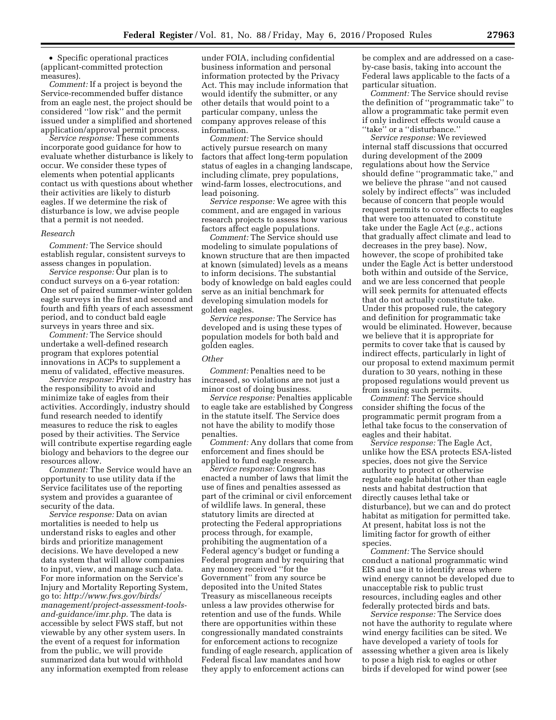• Specific operational practices (applicant-committed protection measures).

*Comment:* If a project is beyond the Service-recommended buffer distance from an eagle nest, the project should be considered ''low risk'' and the permit issued under a simplified and shortened application/approval permit process.

*Service response:* These comments incorporate good guidance for how to evaluate whether disturbance is likely to occur. We consider these types of elements when potential applicants contact us with questions about whether their activities are likely to disturb eagles. If we determine the risk of disturbance is low, we advise people that a permit is not needed.

#### *Research*

*Comment:* The Service should establish regular, consistent surveys to assess changes in population.

*Service response:* Our plan is to conduct surveys on a 6-year rotation: One set of paired summer-winter golden eagle surveys in the first and second and fourth and fifth years of each assessment period, and to conduct bald eagle surveys in years three and six.

*Comment:* The Service should undertake a well-defined research program that explores potential innovations in ACPs to supplement a menu of validated, effective measures.

*Service response:* Private industry has the responsibility to avoid and minimize take of eagles from their activities. Accordingly, industry should fund research needed to identify measures to reduce the risk to eagles posed by their activities. The Service will contribute expertise regarding eagle biology and behaviors to the degree our resources allow.

*Comment:* The Service would have an opportunity to use utility data if the Service facilitates use of the reporting system and provides a guarantee of security of the data.

*Service response:* Data on avian mortalities is needed to help us understand risks to eagles and other birds and prioritize management decisions. We have developed a new data system that will allow companies to input, view, and manage such data. For more information on the Service's Injury and Mortality Reporting System, go to: *[http://www.fws.gov/birds/](http://www.fws.gov/birds/management/project-assessment-tools-and-guidance/imr.php) [management/project-assessment-tools](http://www.fws.gov/birds/management/project-assessment-tools-and-guidance/imr.php)[and-guidance/imr.php.](http://www.fws.gov/birds/management/project-assessment-tools-and-guidance/imr.php)* The data is accessible by select FWS staff, but not viewable by any other system users. In the event of a request for information from the public, we will provide summarized data but would withhold any information exempted from release under FOIA, including confidential business information and personal information protected by the Privacy Act. This may include information that would identify the submitter, or any other details that would point to a particular company, unless the company approves release of this information.

*Comment:* The Service should actively pursue research on many factors that affect long-term population status of eagles in a changing landscape, including climate, prey populations, wind-farm losses, electrocutions, and lead poisoning.

*Service response:* We agree with this comment, and are engaged in various research projects to assess how various factors affect eagle populations.

*Comment:* The Service should use modeling to simulate populations of known structure that are then impacted at known (simulated) levels as a means to inform decisions. The substantial body of knowledge on bald eagles could serve as an initial benchmark for developing simulation models for golden eagles.

*Service response:* The Service has developed and is using these types of population models for both bald and golden eagles.

#### *Other*

*Comment:* Penalties need to be increased, so violations are not just a minor cost of doing business.

*Service response:* Penalties applicable to eagle take are established by Congress in the statute itself. The Service does not have the ability to modify those penalties.

*Comment:* Any dollars that come from enforcement and fines should be applied to fund eagle research.

*Service response:* Congress has enacted a number of laws that limit the use of fines and penalties assessed as part of the criminal or civil enforcement of wildlife laws. In general, these statutory limits are directed at protecting the Federal appropriations process through, for example, prohibiting the augmentation of a Federal agency's budget or funding a Federal program and by requiring that any money received ''for the Government'' from any source be deposited into the United States Treasury as miscellaneous receipts unless a law provides otherwise for retention and use of the funds. While there are opportunities within these congressionally mandated constraints for enforcement actions to recognize funding of eagle research, application of Federal fiscal law mandates and how they apply to enforcement actions can

be complex and are addressed on a caseby-case basis, taking into account the Federal laws applicable to the facts of a particular situation.

*Comment:* The Service should revise the definition of ''programmatic take'' to allow a programmatic take permit even if only indirect effects would cause a "take" or a "disturbance."

*Service response:* We reviewed internal staff discussions that occurred during development of the 2009 regulations about how the Service should define ''programmatic take,'' and we believe the phrase ''and not caused solely by indirect effects'' was included because of concern that people would request permits to cover effects to eagles that were too attenuated to constitute take under the Eagle Act (*e.g.,* actions that gradually affect climate and lead to decreases in the prey base). Now, however, the scope of prohibited take under the Eagle Act is better understood both within and outside of the Service, and we are less concerned that people will seek permits for attenuated effects that do not actually constitute take. Under this proposed rule, the category and definition for programmatic take would be eliminated. However, because we believe that it is appropriate for permits to cover take that is caused by indirect effects, particularly in light of our proposal to extend maximum permit duration to 30 years, nothing in these proposed regulations would prevent us from issuing such permits.

*Comment:* The Service should consider shifting the focus of the programmatic permit program from a lethal take focus to the conservation of eagles and their habitat.

*Service response:* The Eagle Act, unlike how the ESA protects ESA-listed species, does not give the Service authority to protect or otherwise regulate eagle habitat (other than eagle nests and habitat destruction that directly causes lethal take or disturbance), but we can and do protect habitat as mitigation for permitted take. At present, habitat loss is not the limiting factor for growth of either species.

*Comment:* The Service should conduct a national programmatic wind EIS and use it to identify areas where wind energy cannot be developed due to unacceptable risk to public trust resources, including eagles and other federally protected birds and bats.

*Service response:* The Service does not have the authority to regulate where wind energy facilities can be sited. We have developed a variety of tools for assessing whether a given area is likely to pose a high risk to eagles or other birds if developed for wind power (see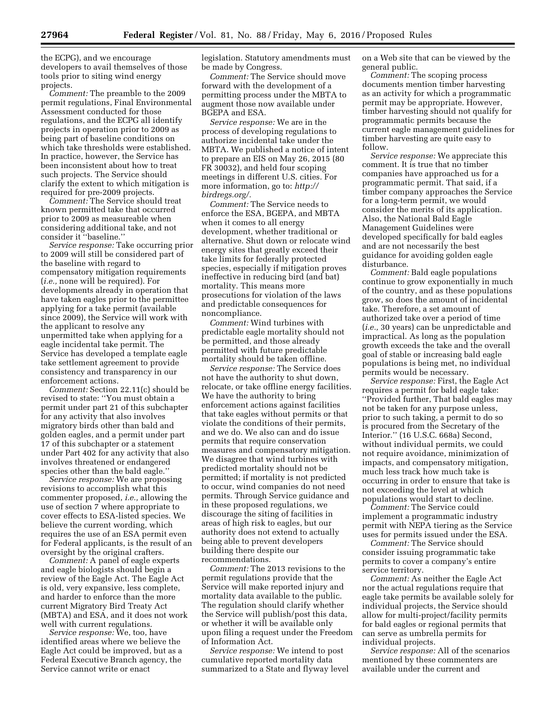the ECPG), and we encourage developers to avail themselves of those tools prior to siting wind energy projects.

*Comment:* The preamble to the 2009 permit regulations, Final Environmental Assessment conducted for those regulations, and the ECPG all identify projects in operation prior to 2009 as being part of baseline conditions on which take thresholds were established. In practice, however, the Service has been inconsistent about how to treat such projects. The Service should clarify the extent to which mitigation is required for pre-2009 projects.

*Comment:* The Service should treat known permitted take that occurred prior to 2009 as measureable when considering additional take, and not consider it ''baseline.''

*Service response:* Take occurring prior to 2009 will still be considered part of the baseline with regard to compensatory mitigation requirements (*i.e.,* none will be required). For developments already in operation that have taken eagles prior to the permittee applying for a take permit (available since 2009), the Service will work with the applicant to resolve any unpermitted take when applying for a eagle incidental take permit. The Service has developed a template eagle take settlement agreement to provide consistency and transparency in our enforcement actions.

*Comment:* Section 22.11(c) should be revised to state: ''You must obtain a permit under part 21 of this subchapter for any activity that also involves migratory birds other than bald and golden eagles, and a permit under part 17 of this subchapter or a statement under Part 402 for any activity that also involves threatened or endangered species other than the bald eagle.''

*Service response:* We are proposing revisions to accomplish what this commenter proposed, *i.e.,* allowing the use of section 7 where appropriate to cover effects to ESA-listed species. We believe the current wording, which requires the use of an ESA permit even for Federal applicants, is the result of an oversight by the original crafters.

*Comment:* A panel of eagle experts and eagle biologists should begin a review of the Eagle Act. The Eagle Act is old, very expansive, less complete, and harder to enforce than the more current Migratory Bird Treaty Act (MBTA) and ESA, and it does not work well with current regulations.

*Service response:* We, too, have identified areas where we believe the Eagle Act could be improved, but as a Federal Executive Branch agency, the Service cannot write or enact

legislation. Statutory amendments must be made by Congress.

*Comment:* The Service should move forward with the development of a permitting process under the MBTA to augment those now available under BGEPA and ESA.

*Service response:* We are in the process of developing regulations to authorize incidental take under the MBTA. We published a notice of intent to prepare an EIS on May 26, 2015 (80 FR 30032), and held four scoping meetings in different U.S. cities. For more information, go to: *[http://](http://birdregs.org/) [birdregs.org/.](http://birdregs.org/)* 

*Comment:* The Service needs to enforce the ESA, BGEPA, and MBTA when it comes to all energy development, whether traditional or alternative. Shut down or relocate wind energy sites that greatly exceed their take limits for federally protected species, especially if mitigation proves ineffective in reducing bird (and bat) mortality. This means more prosecutions for violation of the laws and predictable consequences for noncompliance.

*Comment:* Wind turbines with predictable eagle mortality should not be permitted, and those already permitted with future predictable mortality should be taken offline.

*Service response:* The Service does not have the authority to shut down, relocate, or take offline energy facilities. We have the authority to bring enforcement actions against facilities that take eagles without permits or that violate the conditions of their permits, and we do. We also can and do issue permits that require conservation measures and compensatory mitigation. We disagree that wind turbines with predicted mortality should not be permitted; if mortality is not predicted to occur, wind companies do not need permits. Through Service guidance and in these proposed regulations, we discourage the siting of facilities in areas of high risk to eagles, but our authority does not extend to actually being able to prevent developers building there despite our recommendations.

*Comment:* The 2013 revisions to the permit regulations provide that the Service will make reported injury and mortality data available to the public. The regulation should clarify whether the Service will publish/post this data, or whether it will be available only upon filing a request under the Freedom of Information Act.

*Service response:* We intend to post cumulative reported mortality data summarized to a State and flyway level on a Web site that can be viewed by the general public.

*Comment:* The scoping process documents mention timber harvesting as an activity for which a programmatic permit may be appropriate. However, timber harvesting should not qualify for programmatic permits because the current eagle management guidelines for timber harvesting are quite easy to follow.

*Service response:* We appreciate this comment. It is true that no timber companies have approached us for a programmatic permit. That said, if a timber company approaches the Service for a long-term permit, we would consider the merits of its application. Also, the National Bald Eagle Management Guidelines were developed specifically for bald eagles and are not necessarily the best guidance for avoiding golden eagle disturbance.

*Comment:* Bald eagle populations continue to grow exponentially in much of the country, and as these populations grow, so does the amount of incidental take. Therefore, a set amount of authorized take over a period of time (*i.e.,* 30 years) can be unpredictable and impractical. As long as the population growth exceeds the take and the overall goal of stable or increasing bald eagle populations is being met, no individual permits would be necessary.

*Service response:* First, the Eagle Act requires a permit for bald eagle take: ''Provided further, That bald eagles may not be taken for any purpose unless, prior to such taking, a permit to do so is procured from the Secretary of the Interior.'' (16 U.S.C. 668a) Second, without individual permits, we could not require avoidance, minimization of impacts, and compensatory mitigation, much less track how much take is occurring in order to ensure that take is not exceeding the level at which populations would start to decline.

*Comment:* The Service could implement a programmatic industry permit with NEPA tiering as the Service uses for permits issued under the ESA.

*Comment:* The Service should consider issuing programmatic take permits to cover a company's entire service territory.

*Comment:* As neither the Eagle Act nor the actual regulations require that eagle take permits be available solely for individual projects, the Service should allow for multi-project/facility permits for bald eagles or regional permits that can serve as umbrella permits for individual projects.

*Service response:* All of the scenarios mentioned by these commenters are available under the current and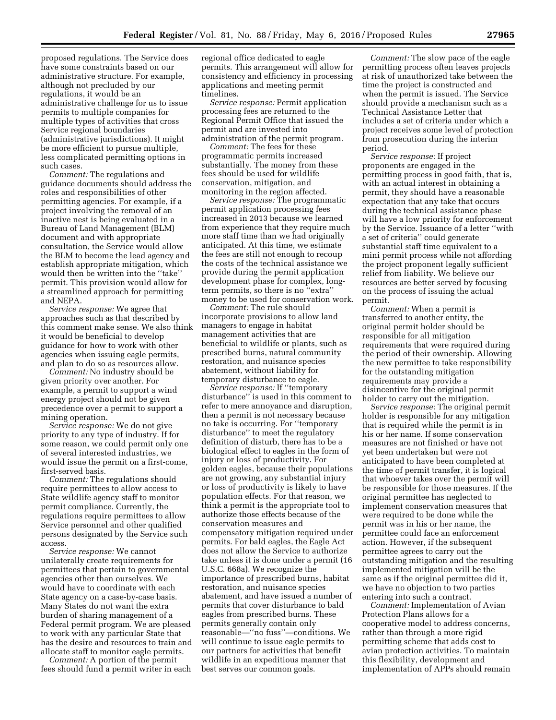proposed regulations. The Service does have some constraints based on our administrative structure. For example, although not precluded by our regulations, it would be an administrative challenge for us to issue permits to multiple companies for multiple types of activities that cross Service regional boundaries (administrative jurisdictions). It might be more efficient to pursue multiple, less complicated permitting options in such cases.

*Comment:* The regulations and guidance documents should address the roles and responsibilities of other permitting agencies. For example, if a project involving the removal of an inactive nest is being evaluated in a Bureau of Land Management (BLM) document and with appropriate consultation, the Service would allow the BLM to become the lead agency and establish appropriate mitigation, which would then be written into the ''take'' permit. This provision would allow for a streamlined approach for permitting and NEPA.

*Service response:* We agree that approaches such as that described by this comment make sense. We also think it would be beneficial to develop guidance for how to work with other agencies when issuing eagle permits, and plan to do so as resources allow.

*Comment:* No industry should be given priority over another. For example, a permit to support a wind energy project should not be given precedence over a permit to support a mining operation.

*Service response:* We do not give priority to any type of industry. If for some reason, we could permit only one of several interested industries, we would issue the permit on a first-come, first-served basis.

*Comment:* The regulations should require permittees to allow access to State wildlife agency staff to monitor permit compliance. Currently, the regulations require permittees to allow Service personnel and other qualified persons designated by the Service such access.

*Service response:* We cannot unilaterally create requirements for permittees that pertain to governmental agencies other than ourselves. We would have to coordinate with each State agency on a case-by-case basis. Many States do not want the extra burden of sharing management of a Federal permit program. We are pleased to work with any particular State that has the desire and resources to train and allocate staff to monitor eagle permits.

*Comment:* A portion of the permit fees should fund a permit writer in each regional office dedicated to eagle permits. This arrangement will allow for consistency and efficiency in processing applications and meeting permit timelines.

*Service response:* Permit application processing fees are returned to the Regional Permit Office that issued the permit and are invested into administration of the permit program.

*Comment:* The fees for these programmatic permits increased substantially. The money from these fees should be used for wildlife conservation, mitigation, and monitoring in the region affected.

*Service response:* The programmatic permit application processing fees increased in 2013 because we learned from experience that they require much more staff time than we had originally anticipated. At this time, we estimate the fees are still not enough to recoup the costs of the technical assistance we provide during the permit application development phase for complex, longterm permits, so there is no ''extra'' money to be used for conservation work.

*Comment:* The rule should incorporate provisions to allow land managers to engage in habitat management activities that are beneficial to wildlife or plants, such as prescribed burns, natural community restoration, and nuisance species abatement, without liability for temporary disturbance to eagle.

*Service response:* If ''temporary disturbance'' is used in this comment to refer to mere annoyance and disruption, then a permit is not necessary because no take is occurring. For ''temporary disturbance'' to meet the regulatory definition of disturb, there has to be a biological effect to eagles in the form of injury or loss of productivity. For golden eagles, because their populations are not growing, any substantial injury or loss of productivity is likely to have population effects. For that reason, we think a permit is the appropriate tool to authorize those effects because of the conservation measures and compensatory mitigation required under permits. For bald eagles, the Eagle Act does not allow the Service to authorize take unless it is done under a permit (16 U.S.C. 668a). We recognize the importance of prescribed burns, habitat restoration, and nuisance species abatement, and have issued a number of permits that cover disturbance to bald eagles from prescribed burns. These permits generally contain only reasonable—''no fuss''—conditions. We will continue to issue eagle permits to our partners for activities that benefit wildlife in an expeditious manner that best serves our common goals.

*Comment:* The slow pace of the eagle permitting process often leaves projects at risk of unauthorized take between the time the project is constructed and when the permit is issued. The Service should provide a mechanism such as a Technical Assistance Letter that includes a set of criteria under which a project receives some level of protection from prosecution during the interim period.

*Service response:* If project proponents are engaged in the permitting process in good faith, that is, with an actual interest in obtaining a permit, they should have a reasonable expectation that any take that occurs during the technical assistance phase will have a low priority for enforcement by the Service. Issuance of a letter ''with a set of criteria'' could generate substantial staff time equivalent to a mini permit process while not affording the project proponent legally sufficient relief from liability. We believe our resources are better served by focusing on the process of issuing the actual permit.

*Comment:* When a permit is transferred to another entity, the original permit holder should be responsible for all mitigation requirements that were required during the period of their ownership. Allowing the new permittee to take responsibility for the outstanding mitigation requirements may provide a disincentive for the original permit holder to carry out the mitigation.

*Service response:* The original permit holder is responsible for any mitigation that is required while the permit is in his or her name. If some conservation measures are not finished or have not yet been undertaken but were not anticipated to have been completed at the time of permit transfer, it is logical that whoever takes over the permit will be responsible for those measures. If the original permittee has neglected to implement conservation measures that were required to be done while the permit was in his or her name, the permittee could face an enforcement action. However, if the subsequent permittee agrees to carry out the outstanding mitigation and the resulting implemented mitigation will be the same as if the original permittee did it, we have no objection to two parties entering into such a contract.

*Comment:* Implementation of Avian Protection Plans allows for a cooperative model to address concerns, rather than through a more rigid permitting scheme that adds cost to avian protection activities. To maintain this flexibility, development and implementation of APPs should remain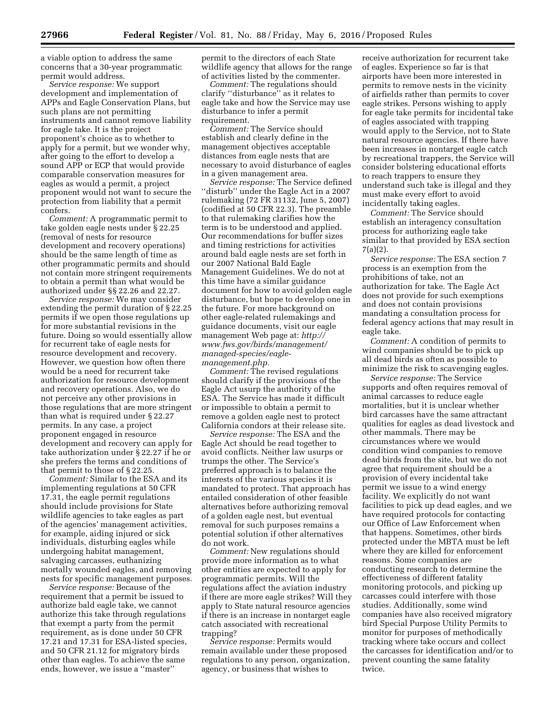a viable option to address the same concerns that a 30-year programmatic permit would address.

*Service response:* We support development and implementation of APPs and Eagle Conservation Plans, but such plans are not permitting instruments and cannot remove liability for eagle take. It is the project proponent's choice as to whether to apply for a permit, but we wonder why, after going to the effort to develop a sound APP or ECP that would provide comparable conservation measures for eagles as would a permit, a project proponent would not want to secure the protection from liability that a permit confers.

*Comment:* A programmatic permit to take golden eagle nests under § 22.25 (removal of nests for resource development and recovery operations) should be the same length of time as other programmatic permits and should not contain more stringent requirements to obtain a permit than what would be authorized under §§ 22.26 and 22.27.

*Service response:* We may consider extending the permit duration of § 22.25 permits if we open those regulations up for more substantial revisions in the future. Doing so would essentially allow for recurrent take of eagle nests for resource development and recovery. However, we question how often there would be a need for recurrent take authorization for resource development and recovery operations. Also, we do not perceive any other provisions in those regulations that are more stringent than what is required under § 22.27 permits. In any case, a project proponent engaged in resource development and recovery can apply for take authorization under § 22.27 if he or she prefers the terms and conditions of that permit to those of § 22.25.

*Comment:* Similar to the ESA and its implementing regulations at 50 CFR 17.31, the eagle permit regulations should include provisions for State wildlife agencies to take eagles as part of the agencies' management activities, for example, aiding injured or sick individuals, disturbing eagles while undergoing habitat management, salvaging carcasses, euthanizing mortally wounded eagles, and removing nests for specific management purposes.

*Service response:* Because of the requirement that a permit be issued to authorize bald eagle take, we cannot authorize this take through regulations that exempt a party from the permit requirement, as is done under 50 CFR 17.21 and 17.31 for ESA-listed species, and 50 CFR 21.12 for migratory birds other than eagles. To achieve the same ends, however, we issue a ''master''

permit to the directors of each State wildlife agency that allows for the range of activities listed by the commenter.

*Comment:* The regulations should clarify ''disturbance'' as it relates to eagle take and how the Service may use disturbance to infer a permit requirement.

*Comment:* The Service should establish and clearly define in the management objectives acceptable distances from eagle nests that are necessary to avoid disturbance of eagles in a given management area.

*Service response:* The Service defined ''disturb'' under the Eagle Act in a 2007 rulemaking (72 FR 31132, June 5, 2007) (codified at 50 CFR 22.3). The preamble to that rulemaking clarifies how the term is to be understood and applied. Our recommendations for buffer sizes and timing restrictions for activities around bald eagle nests are set forth in our 2007 National Bald Eagle Management Guidelines. We do not at this time have a similar guidance document for how to avoid golden eagle disturbance, but hope to develop one in the future. For more background on other eagle-related rulemakings and guidance documents, visit our eagle management Web page at: *[http://](http://www.fws.gov/birds/management/managed-species/eagle-management.php) [www.fws.gov/birds/management/](http://www.fws.gov/birds/management/managed-species/eagle-management.php) [managed-species/eagle](http://www.fws.gov/birds/management/managed-species/eagle-management.php)[management.php.](http://www.fws.gov/birds/management/managed-species/eagle-management.php)* 

*Comment:* The revised regulations should clarify if the provisions of the Eagle Act usurp the authority of the ESA. The Service has made it difficult or impossible to obtain a permit to remove a golden eagle nest to protect California condors at their release site.

*Service response:* The ESA and the Eagle Act should be read together to avoid conflicts. Neither law usurps or trumps the other. The Service's preferred approach is to balance the interests of the various species it is mandated to protect. That approach has entailed consideration of other feasible alternatives before authorizing removal of a golden eagle nest, but eventual removal for such purposes remains a potential solution if other alternatives do not work.

*Comment:* New regulations should provide more information as to what other entities are expected to apply for programmatic permits. Will the regulations affect the aviation industry if there are more eagle strikes? Will they apply to State natural resource agencies if there is an increase in nontarget eagle catch associated with recreational trapping?

*Service response:* Permits would remain available under these proposed regulations to any person, organization, agency, or business that wishes to

receive authorization for recurrent take of eagles. Experience so far is that airports have been more interested in permits to remove nests in the vicinity of airfields rather than permits to cover eagle strikes. Persons wishing to apply for eagle take permits for incidental take of eagles associated with trapping would apply to the Service, not to State natural resource agencies. If there have been increases in nontarget eagle catch by recreational trappers, the Service will consider bolstering educational efforts to reach trappers to ensure they understand such take is illegal and they must make every effort to avoid incidentally taking eagles.

*Comment:* The Service should establish an interagency consultation process for authorizing eagle take similar to that provided by ESA section 7(a)(2).

*Service response:* The ESA section 7 process is an exemption from the prohibitions of take, not an authorization for take. The Eagle Act does not provide for such exemptions and does not contain provisions mandating a consultation process for federal agency actions that may result in eagle take.

*Comment:* A condition of permits to wind companies should be to pick up all dead birds as often as possible to minimize the risk to scavenging eagles.

*Service response:* The Service supports and often requires removal of animal carcasses to reduce eagle mortalities, but it is unclear whether bird carcasses have the same attractant qualities for eagles as dead livestock and other mammals. There may be circumstances where we would condition wind companies to remove dead birds from the site, but we do not agree that requirement should be a provision of every incidental take permit we issue to a wind energy facility. We explicitly do not want facilities to pick up dead eagles, and we have required protocols for contacting our Office of Law Enforcement when that happens. Sometimes, other birds protected under the MBTA must be left where they are killed for enforcement reasons. Some companies are conducting research to determine the effectiveness of different fatality monitoring protocols, and picking up carcasses could interfere with those studies. Additionally, some wind companies have also received migratory bird Special Purpose Utility Permits to monitor for purposes of methodically tracking where take occurs and collect the carcasses for identification and/or to prevent counting the same fatality twice.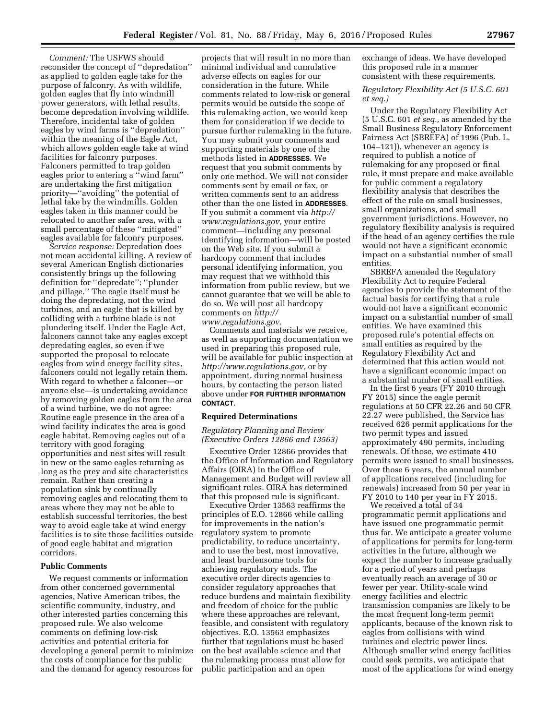*Comment:* The USFWS should reconsider the concept of ''depredation'' as applied to golden eagle take for the purpose of falconry. As with wildlife, golden eagles that fly into windmill power generators, with lethal results, become depredation involving wildlife. Therefore, incidental take of golden eagles by wind farms is ''depredation'' within the meaning of the Eagle Act, which allows golden eagle take at wind facilities for falconry purposes. Falconers permitted to trap golden eagles prior to entering a ''wind farm'' are undertaking the first mitigation priority—''avoiding'' the potential of lethal take by the windmills. Golden eagles taken in this manner could be relocated to another safer area, with a small percentage of these ''mitigated'' eagles available for falconry purposes.

*Service response:* Depredation does not mean accidental killing. A review of several American English dictionaries consistently brings up the following definition for ''depredate'': ''plunder and pillage.'' The eagle itself must be doing the depredating, not the wind turbines, and an eagle that is killed by colliding with a turbine blade is not plundering itself. Under the Eagle Act, falconers cannot take any eagles except depredating eagles, so even if we supported the proposal to relocate eagles from wind energy facility sites, falconers could not legally retain them. With regard to whether a falconer—or anyone else—is undertaking avoidance by removing golden eagles from the area of a wind turbine, we do not agree: Routine eagle presence in the area of a wind facility indicates the area is good eagle habitat. Removing eagles out of a territory with good foraging opportunities and nest sites will result in new or the same eagles returning as long as the prey and site characteristics remain. Rather than creating a population sink by continually removing eagles and relocating them to areas where they may not be able to establish successful territories, the best way to avoid eagle take at wind energy facilities is to site those facilities outside of good eagle habitat and migration corridors.

#### **Public Comments**

We request comments or information from other concerned governmental agencies, Native American tribes, the scientific community, industry, and other interested parties concerning this proposed rule. We also welcome comments on defining low-risk activities and potential criteria for developing a general permit to minimize the costs of compliance for the public and the demand for agency resources for

projects that will result in no more than minimal individual and cumulative adverse effects on eagles for our consideration in the future. While comments related to low-risk or general permits would be outside the scope of this rulemaking action, we would keep them for consideration if we decide to pursue further rulemaking in the future. You may submit your comments and supporting materials by one of the methods listed in **ADDRESSES**. We request that you submit comments by only one method. We will not consider comments sent by email or fax, or written comments sent to an address other than the one listed in **ADDRESSES**. If you submit a comment via *[http://](http://www.regulations.gov) [www.regulations.gov,](http://www.regulations.gov)* your entire comment—including any personal identifying information—will be posted on the Web site. If you submit a hardcopy comment that includes personal identifying information, you may request that we withhold this information from public review, but we cannot guarantee that we will be able to do so. We will post all hardcopy comments on *[http://](http://www.regulations.gov) [www.regulations.gov.](http://www.regulations.gov)* 

Comments and materials we receive, as well as supporting documentation we used in preparing this proposed rule, will be available for public inspection at *[http://www.regulations.gov,](http://www.regulations.gov)* or by appointment, during normal business hours, by contacting the person listed above under **FOR FURTHER INFORMATION CONTACT**.

#### **Required Determinations**

#### *Regulatory Planning and Review (Executive Orders 12866 and 13563)*

Executive Order 12866 provides that the Office of Information and Regulatory Affairs (OIRA) in the Office of Management and Budget will review all significant rules. OIRA has determined that this proposed rule is significant.

Executive Order 13563 reaffirms the principles of E.O. 12866 while calling for improvements in the nation's regulatory system to promote predictability, to reduce uncertainty, and to use the best, most innovative, and least burdensome tools for achieving regulatory ends. The executive order directs agencies to consider regulatory approaches that reduce burdens and maintain flexibility and freedom of choice for the public where these approaches are relevant, feasible, and consistent with regulatory objectives. E.O. 13563 emphasizes further that regulations must be based on the best available science and that the rulemaking process must allow for public participation and an open

exchange of ideas. We have developed this proposed rule in a manner consistent with these requirements.

#### *Regulatory Flexibility Act (5 U.S.C. 601 et seq.)*

Under the Regulatory Flexibility Act (5 U.S.C. 601 *et seq.,* as amended by the Small Business Regulatory Enforcement Fairness Act (SBREFA) of 1996 (Pub. L. 104–121)), whenever an agency is required to publish a notice of rulemaking for any proposed or final rule, it must prepare and make available for public comment a regulatory flexibility analysis that describes the effect of the rule on small businesses, small organizations, and small government jurisdictions. However, no regulatory flexibility analysis is required if the head of an agency certifies the rule would not have a significant economic impact on a substantial number of small entities.

SBREFA amended the Regulatory Flexibility Act to require Federal agencies to provide the statement of the factual basis for certifying that a rule would not have a significant economic impact on a substantial number of small entities. We have examined this proposed rule's potential effects on small entities as required by the Regulatory Flexibility Act and determined that this action would not have a significant economic impact on a substantial number of small entities.

In the first 6 years (FY 2010 through FY 2015) since the eagle permit regulations at 50 CFR 22.26 and 50 CFR 22.27 were published, the Service has received 626 permit applications for the two permit types and issued approximately 490 permits, including renewals. Of those, we estimate 410 permits were issued to small businesses. Over those 6 years, the annual number of applications received (including for renewals) increased from 50 per year in FY 2010 to 140 per year in FY 2015.

We received a total of 34 programmatic permit applications and have issued one programmatic permit thus far. We anticipate a greater volume of applications for permits for long-term activities in the future, although we expect the number to increase gradually for a period of years and perhaps eventually reach an average of 30 or fewer per year. Utility-scale wind energy facilities and electric transmission companies are likely to be the most frequent long-term permit applicants, because of the known risk to eagles from collisions with wind turbines and electric power lines. Although smaller wind energy facilities could seek permits, we anticipate that most of the applications for wind energy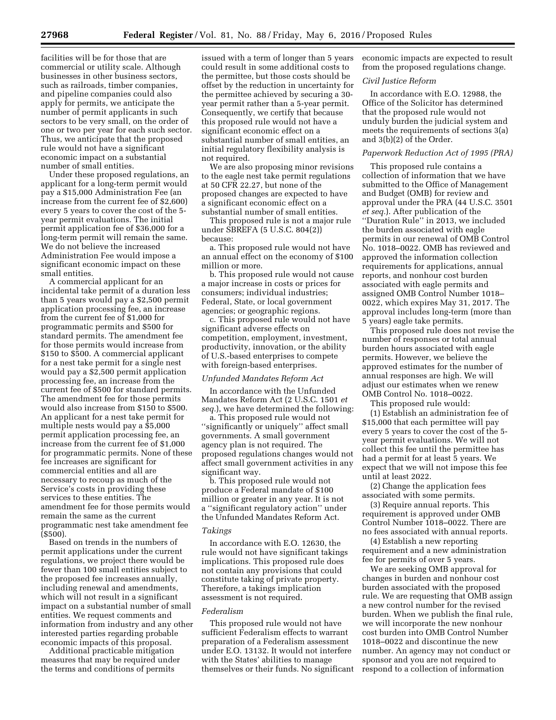facilities will be for those that are commercial or utility scale. Although businesses in other business sectors, such as railroads, timber companies, and pipeline companies could also apply for permits, we anticipate the number of permit applicants in such sectors to be very small, on the order of one or two per year for each such sector. Thus, we anticipate that the proposed rule would not have a significant economic impact on a substantial number of small entities.

Under these proposed regulations, an applicant for a long-term permit would pay a \$15,000 Administration Fee (an increase from the current fee of \$2,600) every 5 years to cover the cost of the 5 year permit evaluations. The initial permit application fee of \$36,000 for a long-term permit will remain the same. We do not believe the increased Administration Fee would impose a significant economic impact on these small entities.

A commercial applicant for an incidental take permit of a duration less than 5 years would pay a \$2,500 permit application processing fee, an increase from the current fee of \$1,000 for programmatic permits and \$500 for standard permits. The amendment fee for those permits would increase from \$150 to \$500. A commercial applicant for a nest take permit for a single nest would pay a \$2,500 permit application processing fee, an increase from the current fee of \$500 for standard permits. The amendment fee for those permits would also increase from \$150 to \$500. An applicant for a nest take permit for multiple nests would pay a \$5,000 permit application processing fee, an increase from the current fee of \$1,000 for programmatic permits. None of these fee increases are significant for commercial entities and all are necessary to recoup as much of the Service's costs in providing these services to these entities. The amendment fee for those permits would remain the same as the current programmatic nest take amendment fee (\$500).

Based on trends in the numbers of permit applications under the current regulations, we project there would be fewer than 100 small entities subject to the proposed fee increases annually, including renewal and amendments, which will not result in a significant impact on a substantial number of small entities. We request comments and information from industry and any other interested parties regarding probable economic impacts of this proposal.

Additional practicable mitigation measures that may be required under the terms and conditions of permits

issued with a term of longer than 5 years could result in some additional costs to the permittee, but those costs should be offset by the reduction in uncertainty for the permittee achieved by securing a 30 year permit rather than a 5-year permit. Consequently, we certify that because this proposed rule would not have a significant economic effect on a substantial number of small entities, an initial regulatory flexibility analysis is not required.

We are also proposing minor revisions to the eagle nest take permit regulations at 50 CFR 22.27, but none of the proposed changes are expected to have a significant economic effect on a substantial number of small entities.

This proposed rule is not a major rule under SBREFA (5 U.S.C. 804(2)) because:

a. This proposed rule would not have an annual effect on the economy of \$100 million or more.

b. This proposed rule would not cause a major increase in costs or prices for consumers; individual industries; Federal, State, or local government agencies; or geographic regions.

c. This proposed rule would not have significant adverse effects on competition, employment, investment, productivity, innovation, or the ability of U.S.-based enterprises to compete with foreign-based enterprises.

#### *Unfunded Mandates Reform Act*

In accordance with the Unfunded Mandates Reform Act (2 U.S.C. 1501 *et seq.*), we have determined the following:

a. This proposed rule would not ''significantly or uniquely'' affect small governments. A small government agency plan is not required. The proposed regulations changes would not affect small government activities in any significant way.

b. This proposed rule would not produce a Federal mandate of \$100 million or greater in any year. It is not a ''significant regulatory action'' under the Unfunded Mandates Reform Act.

#### *Takings*

In accordance with E.O. 12630, the rule would not have significant takings implications. This proposed rule does not contain any provisions that could constitute taking of private property. Therefore, a takings implication assessment is not required.

#### *Federalism*

This proposed rule would not have sufficient Federalism effects to warrant preparation of a Federalism assessment under E.O. 13132. It would not interfere with the States' abilities to manage themselves or their funds. No significant economic impacts are expected to result from the proposed regulations change.

#### *Civil Justice Reform*

In accordance with E.O. 12988, the Office of the Solicitor has determined that the proposed rule would not unduly burden the judicial system and meets the requirements of sections 3(a) and 3(b)(2) of the Order.

#### *Paperwork Reduction Act of 1995 (PRA)*

This proposed rule contains a collection of information that we have submitted to the Office of Management and Budget (OMB) for review and approval under the PRA (44 U.S.C. 3501 *et seq.*). After publication of the ''Duration Rule'' in 2013, we included the burden associated with eagle permits in our renewal of OMB Control No. 1018–0022. OMB has reviewed and approved the information collection requirements for applications, annual reports, and nonhour cost burden associated with eagle permits and assigned OMB Control Number 1018– 0022, which expires May 31, 2017. The approval includes long-term (more than 5 years) eagle take permits.

This proposed rule does not revise the number of responses or total annual burden hours associated with eagle permits. However, we believe the approved estimates for the number of annual responses are high. We will adjust our estimates when we renew OMB Control No. 1018–0022.

This proposed rule would:

(1) Establish an administration fee of \$15,000 that each permittee will pay every 5 years to cover the cost of the 5 year permit evaluations. We will not collect this fee until the permittee has had a permit for at least 5 years. We expect that we will not impose this fee until at least 2022.

(2) Change the application fees associated with some permits.

(3) Require annual reports. This requirement is approved under OMB Control Number 1018–0022. There are no fees associated with annual reports.

(4) Establish a new reporting requirement and a new administration fee for permits of over 5 years.

We are seeking OMB approval for changes in burden and nonhour cost burden associated with the proposed rule. We are requesting that OMB assign a new control number for the revised burden. When we publish the final rule, we will incorporate the new nonhour cost burden into OMB Control Number 1018–0022 and discontinue the new number. An agency may not conduct or sponsor and you are not required to respond to a collection of information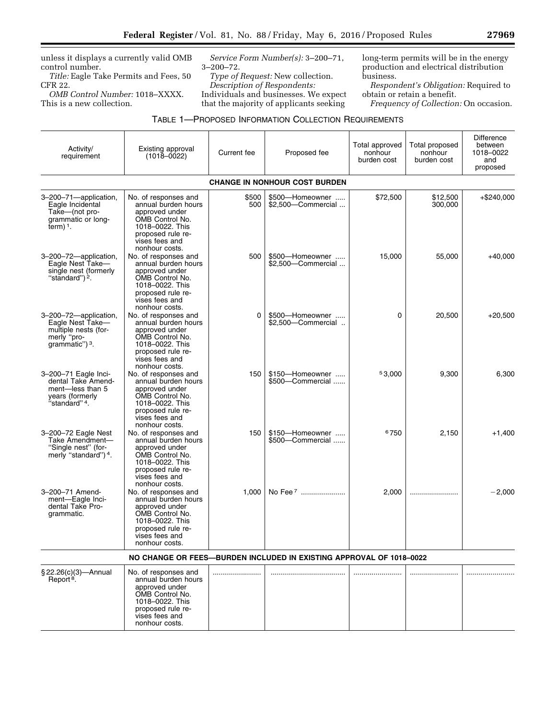unless it displays a currently valid OMB control number.

*Title:* Eagle Take Permits and Fees, 50 CFR 22.

*OMB Control Number:* 1018–XXXX. This is a new collection.

> proposed rule revises fees and nonhour costs.

*Service Form Number(s):* 3–200–71, 3–200–72.

*Type of Request:* New collection. *Description of Respondents:*  Individuals and businesses. We expect that the majority of applicants seeking

long-term permits will be in the energy production and electrical distribution business.

*Respondent's Obligation:* Required to obtain or retain a benefit.

*Frequency of Collection:* On occasion.

| Activity/<br>requirement                                                                                       | Existing approval<br>$(1018 - 0022)$                                                                                                                         | Current fee  | Proposed fee                                                        | Total approved<br>nonhour<br>burden cost | Total proposed<br>nonhour<br>burden cost | <b>Difference</b><br>between<br>1018-0022<br>and<br>proposed |
|----------------------------------------------------------------------------------------------------------------|--------------------------------------------------------------------------------------------------------------------------------------------------------------|--------------|---------------------------------------------------------------------|------------------------------------------|------------------------------------------|--------------------------------------------------------------|
|                                                                                                                |                                                                                                                                                              |              | <b>CHANGE IN NONHOUR COST BURDEN</b>                                |                                          |                                          |                                                              |
| 3-200-71-application,<br>Eagle Incidental<br>Take-(not pro-<br>grammatic or long-<br>term $)$ <sup>1</sup> .   | No. of responses and<br>annual burden hours<br>approved under<br>OMB Control No.<br>1018-0022. This<br>proposed rule re-<br>vises fees and<br>nonhour costs. | \$500<br>500 | \$500-Homeowner<br>\$2,500-Commercial                               | \$72,500                                 | \$12,500<br>300.000                      | $+$ \$240,000                                                |
| 3-200-72-application,<br>Eagle Nest Take-<br>single nest (formerly<br>"standard") <sup>2</sup> .               | No. of responses and<br>annual burden hours<br>approved under<br>OMB Control No.<br>1018-0022. This<br>proposed rule re-<br>vises fees and<br>nonhour costs. | 500          | \$500-Homeowner<br>\$2.500-Commercial                               | 15,000                                   | 55,000                                   | $+40,000$                                                    |
| 3-200-72-application,<br>Eagle Nest Take-<br>multiple nests (for-<br>merly "pro-<br>grammatic") 3.             | No. of responses and<br>annual burden hours<br>approved under<br>OMB Control No.<br>1018-0022. This<br>proposed rule re-<br>vises fees and<br>nonhour costs. | $\Omega$     | \$500-Homeowner<br>\$2,500-Commercial                               | $\Omega$                                 | 20,500                                   | $+20,500$                                                    |
| 3-200-71 Eagle Inci-<br>dental Take Amend-<br>ment-less than 5<br>years (formerly<br>'standard" <sup>4</sup> . | No. of responses and<br>annual burden hours<br>approved under<br>OMB Control No.<br>1018-0022. This<br>proposed rule re-<br>vises fees and<br>nonhour costs. | 150          | \$150-Homeowner<br>\$500-Commercial                                 | 53,000                                   | 9,300                                    | 6,300                                                        |
| 3-200-72 Eagle Nest<br>Take Amendment-<br>"Single nest" (for-<br>merly "standard") 4.                          | No. of responses and<br>annual burden hours<br>approved under<br>OMB Control No.<br>1018-0022. This<br>proposed rule re-<br>vises fees and<br>nonhour costs. | 150          | \$150-Homeowner<br>\$500-Commercial                                 | 6750                                     | 2,150                                    | $+1,400$                                                     |
| 3-200-71 Amend-<br>ment-Eagle Inci-<br>dental Take Pro-<br>grammatic.                                          | No. of responses and<br>annual burden hours<br>approved under<br>OMB Control No.<br>1018-0022. This<br>proposed rule re-<br>vises fees and<br>nonhour costs. | 1.000        | No Fee <sup>7</sup>                                                 | 2,000                                    |                                          | $-2,000$                                                     |
|                                                                                                                |                                                                                                                                                              |              | NO CHANGE OR FEES—BURDEN INCLUDED IN EXISTING APPROVAL OF 1018-0022 |                                          |                                          |                                                              |
| § 22.26(c)(3)-Annual<br>Report <sup>8</sup> .                                                                  | No. of responses and<br>annual burden hours<br>approved under<br>OMB Control No.<br>1018-0022. This                                                          |              |                                                                     |                                          |                                          |                                                              |

e<br>B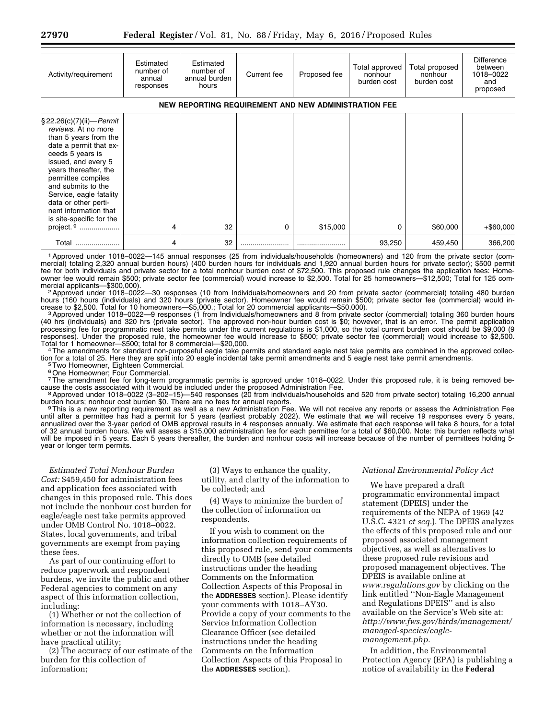| Activity/requirement                                                                                                                                                                                                                                                                                                                                     | Estimated<br>number of<br>annual<br>responses        | Estimated<br>number of<br>annual burden<br>hours | Current fee | Proposed fee | Total approved<br>nonhour<br>burden cost | Total proposed<br>nonhour<br>burden cost | <b>Difference</b><br>between<br>1018-0022<br>and<br>proposed |  |
|----------------------------------------------------------------------------------------------------------------------------------------------------------------------------------------------------------------------------------------------------------------------------------------------------------------------------------------------------------|------------------------------------------------------|--------------------------------------------------|-------------|--------------|------------------------------------------|------------------------------------------|--------------------------------------------------------------|--|
|                                                                                                                                                                                                                                                                                                                                                          | NEW REPORTING REQUIREMENT AND NEW ADMINISTRATION FEE |                                                  |             |              |                                          |                                          |                                                              |  |
| $\S 22.26(c)(7)(ii) - Permit$<br>reviews. At no more<br>than 5 years from the<br>date a permit that ex-<br>ceeds 5 years is<br>issued, and every 5<br>years thereafter, the<br>permittee compiles<br>and submits to the<br>Service, eagle fatality<br>data or other perti-<br>nent information that<br>is site-specific for the<br>project. <sup>9</sup> | 4                                                    | 32                                               | 0           | \$15,000     | 0                                        | \$60,000                                 | $+$ \$60,000                                                 |  |
| Total<br>                                                                                                                                                                                                                                                                                                                                                | 4                                                    | 32                                               |             |              | 93,250                                   | 459,450                                  | 366,200                                                      |  |

1Approved under 1018–0022—145 annual responses (25 from individuals/households (homeowners) and 120 from the private sector (commercial) totaling 2,320 annual burden hours) (400 burden hours for individuals and 1,920 annual burden hours for private sector); \$500 permit fee for both individuals and private sector for a total nonhour burden cost of \$72,500. This proposed rule changes the application fees: Homeowner fee would remain \$500; private sector fee (commercial) would increase to \$2,500. Total for 25 homeowners—\$12,500; Total for 125 com-<br>mercial applicants—\$300,000).

<sup>2</sup> Approved under 1018–0022—30 responses (10 from Individuals/homeowners and 20 from private sector (commercial) totaling 480 burden hours (160 hours (individuals) and 320 hours (private sector). Homeowner fee would remain \$500; private sector fee (commercial) would increase to \$2,500. Total for 10 homeowners—\$5,000.; Total for 20 commercial applicants—\$50.000).<br><sup>3</sup> Approved under 1018–0022—9 responses (1 from Individuals/homeowners and 8 from private sector (commercial) totaling 360 bu

(40 hrs (individuals) and 320 hrs (private sector). The approved non-hour burden cost is \$0; however, that is an error. The permit application processing fee for programmatic nest take permits under the current regulations is \$1,000, so the total current burden cost should be \$9,000 (9 responses). Under the proposed rule, the homeowner fee would increase to \$500; private sector fee (commercial) would increase to \$2,500.

Total for 1 homeowner—\$500; total for 8 commercial—\$20,000.<br>4The amendments for standard non-purposeful eagle take permits and standard eagle nest take permits are combined in the approved collection for a total of 25. Here they are split into 20 eagle incidental take permit amendments and 5 eagle nest take permit amendments.<br><sup>5</sup>Two Homeowner, Eighteen Commercial.

<sup>5</sup> Two Homeowner, Eighteen Commercial.<br><sup>6</sup> One Homeowner; Four Commercial.

<sup>7</sup>The amendment fee for long-term programmatic permits is approved under 1018–0022. Under this proposed rule, it is being removed be-<br>cause the costs associated with it would be included under the proposed Administration

<sup>8</sup> Approved under 1018-0022 (3-202-15)-540 responses (20 from individuals/households and 520 from private sector) totaling 16,200 annual burden hours; nonhour cost burden \$0. There are no fees for annual reports.

<sup>9</sup>This is a new reporting requirement as well as a new Administration Fee. We will not receive any reports or assess the Administration Fee until after a permittee has had a permit for 5 years (earliest probably 2022). We estimate that we will receive 19 responses every 5 years, annualized over the 3-year period of OMB approval results in 4 responses annually. We estimate that each response will take 8 hours, for a total of 32 annual burden hours. We will assess a \$15,000 administration fee for each permittee for a total of \$60,000. Note: this burden reflects what will be imposed in 5 years. Each 5 years thereafter, the burden and nonhour costs will increase because of the number of permittees holding 5 year or longer term permits.

*Estimated Total Nonhour Burden Cost:* \$459,450 for administration fees and application fees associated with changes in this proposed rule. This does not include the nonhour cost burden for eagle/eagle nest take permits approved under OMB Control No. 1018–0022. States, local governments, and tribal governments are exempt from paying these fees.

As part of our continuing effort to reduce paperwork and respondent burdens, we invite the public and other Federal agencies to comment on any aspect of this information collection, including:

(1) Whether or not the collection of information is necessary, including whether or not the information will have practical utility;

(2) The accuracy of our estimate of the burden for this collection of information;

(3) Ways to enhance the quality, utility, and clarity of the information to be collected; and

(4) Ways to minimize the burden of the collection of information on respondents.

If you wish to comment on the information collection requirements of this proposed rule, send your comments directly to OMB (see detailed instructions under the heading Comments on the Information Collection Aspects of this Proposal in the **ADDRESSES** section). Please identify your comments with 1018–AY30. Provide a copy of your comments to the Service Information Collection Clearance Officer (see detailed instructions under the heading Comments on the Information Collection Aspects of this Proposal in the **ADDRESSES** section).

#### *National Environmental Policy Act*

We have prepared a draft programmatic environmental impact statement (DPEIS) under the requirements of the NEPA of 1969 (42 U.S.C. 4321 *et seq.*). The DPEIS analyzes the effects of this proposed rule and our proposed associated management objectives, as well as alternatives to these proposed rule revisions and proposed management objectives. The DPEIS is available online at *[www.regulations.gov](http://www.regulations.gov)* by clicking on the link entitled ''Non-Eagle Management and Regulations DPEIS'' and is also available on the Service's Web site at: *[http://www.fws.gov/birds/management/](http://www.fws.gov/birds/management/managed-species/eagle-management.php) [managed-species/eagle](http://www.fws.gov/birds/management/managed-species/eagle-management.php)[management.php.](http://www.fws.gov/birds/management/managed-species/eagle-management.php)* 

In addition, the Environmental Protection Agency (EPA) is publishing a notice of availability in the **Federal**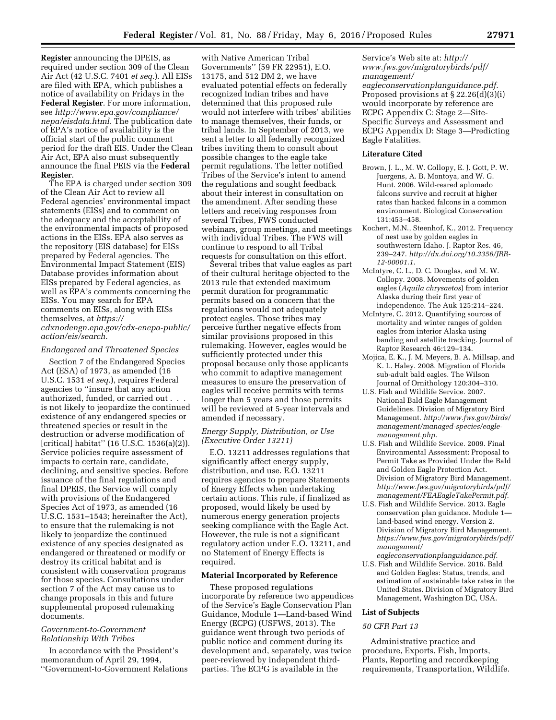**Register** announcing the DPEIS, as required under section 309 of the Clean Air Act (42 U.S.C. 7401 *et seq.*). All EISs are filed with EPA, which publishes a notice of availability on Fridays in the **Federal Register**. For more information, see *[http://www.epa.gov/compliance/](http://www.epa.gov/compliance/nepa/eisdata.html) [nepa/eisdata.html.](http://www.epa.gov/compliance/nepa/eisdata.html)* The publication date of EPA's notice of availability is the official start of the public comment period for the draft EIS. Under the Clean Air Act, EPA also must subsequently announce the final PEIS via the **Federal Register**.

The EPA is charged under section 309 of the Clean Air Act to review all Federal agencies' environmental impact statements (EISs) and to comment on the adequacy and the acceptability of the environmental impacts of proposed actions in the EISs. EPA also serves as the repository (EIS database) for EISs prepared by Federal agencies. The Environmental Impact Statement (EIS) Database provides information about EISs prepared by Federal agencies, as well as EPA's comments concerning the EISs. You may search for EPA comments on EISs, along with EISs themselves, at *[https://](https://cdxnodengn.epa.gov/cdx-enepa-public/action/eis/search) [cdxnodengn.epa.gov/cdx-enepa-public/](https://cdxnodengn.epa.gov/cdx-enepa-public/action/eis/search) [action/eis/search.](https://cdxnodengn.epa.gov/cdx-enepa-public/action/eis/search)* 

#### *Endangered and Threatened Species*

Section 7 of the Endangered Species Act (ESA) of 1973, as amended (16 U.S.C. 1531 *et seq.*), requires Federal agencies to ''insure that any action authorized, funded, or carried out . . . is not likely to jeopardize the continued existence of any endangered species or threatened species or result in the destruction or adverse modification of [critical] habitat'' (16 U.S.C. 1536(a)(2)). Service policies require assessment of impacts to certain rare, candidate, declining, and sensitive species. Before issuance of the final regulations and final DPEIS, the Service will comply with provisions of the Endangered Species Act of 1973, as amended (16 U.S.C. 1531–1543; hereinafter the Act), to ensure that the rulemaking is not likely to jeopardize the continued existence of any species designated as endangered or threatened or modify or destroy its critical habitat and is consistent with conservation programs for those species. Consultations under section 7 of the Act may cause us to change proposals in this and future supplemental proposed rulemaking documents.

#### *Government-to-Government Relationship With Tribes*

In accordance with the President's memorandum of April 29, 1994, ''Government-to-Government Relations

with Native American Tribal Governments'' (59 FR 22951), E.O. 13175, and 512 DM 2, we have evaluated potential effects on federally recognized Indian tribes and have determined that this proposed rule would not interfere with tribes' abilities to manage themselves, their funds, or tribal lands. In September of 2013, we sent a letter to all federally recognized tribes inviting them to consult about possible changes to the eagle take permit regulations. The letter notified Tribes of the Service's intent to amend the regulations and sought feedback about their interest in consultation on the amendment. After sending these letters and receiving responses from several Tribes, FWS conducted webinars, group meetings, and meetings with individual Tribes. The FWS will continue to respond to all Tribal requests for consultation on this effort.

Several tribes that value eagles as part of their cultural heritage objected to the 2013 rule that extended maximum permit duration for programmatic permits based on a concern that the regulations would not adequately protect eagles. Those tribes may perceive further negative effects from similar provisions proposed in this rulemaking. However, eagles would be sufficiently protected under this proposal because only those applicants who commit to adaptive management measures to ensure the preservation of eagles will receive permits with terms longer than 5 years and those permits will be reviewed at 5-year intervals and amended if necessary.

#### *Energy Supply, Distribution, or Use (Executive Order 13211)*

E.O. 13211 addresses regulations that significantly affect energy supply, distribution, and use. E.O. 13211 requires agencies to prepare Statements of Energy Effects when undertaking certain actions. This rule, if finalized as proposed, would likely be used by numerous energy generation projects seeking compliance with the Eagle Act. However, the rule is not a significant regulatory action under E.O. 13211, and no Statement of Energy Effects is required.

#### **Material Incorporated by Reference**

These proposed regulations incorporate by reference two appendices of the Service's Eagle Conservation Plan Guidance, Module 1—Land-based Wind Energy (ECPG) (USFWS, 2013). The guidance went through two periods of public notice and comment during its development and, separately, was twice peer-reviewed by independent thirdparties. The ECPG is available in the

Service's Web site at: *[http://](http://www.fws.gov/migratorybirds/pdf/management/eagleconservationplanguidance.pdf) [www.fws.gov/migratorybirds/pdf/](http://www.fws.gov/migratorybirds/pdf/management/eagleconservationplanguidance.pdf) [management/](http://www.fws.gov/migratorybirds/pdf/management/eagleconservationplanguidance.pdf) [eagleconservationplanguidance.pdf.](http://www.fws.gov/migratorybirds/pdf/management/eagleconservationplanguidance.pdf)*  Proposed provisions at § 22.26(d)(3)(i) would incorporate by reference are ECPG Appendix C: Stage 2—Site-Specific Surveys and Assessment and ECPG Appendix D: Stage 3—Predicting Eagle Fatalities.

#### **Literature Cited**

- Brown, J. L., M. W. Collopy, E. J. Gott, P. W. Juergens, A. B. Montoya, and W. G. Hunt. 2006. Wild-reared aplomado falcons survive and recruit at higher rates than hacked falcons in a common environment. Biological Conservation 131:453–458.
- Kochert, M.N., Steenhof, K., 2012. Frequency of nest use by golden eagles in southwestern Idaho. J. Raptor Res. 46, 239–247. *[http://dx.doi.org/10.3356/JRR-](http://dx.doi.org/10.3356/JRR-12-00001.1)[12-00001.1](http://dx.doi.org/10.3356/JRR-12-00001.1)*.
- McIntyre, C. L., D. C. Douglas, and M. W. Collopy. 2008. Movements of golden eagles (*Aquila chrysaetos*) from interior Alaska during their first year of independence. The Auk 125:214–224.
- McIntyre, C. 2012. Quantifying sources of mortality and winter ranges of golden eagles from interior Alaska using banding and satellite tracking. Journal of Raptor Research 46:129–134.
- Mojica, E. K., J. M. Meyers, B. A. Millsap, and K. L. Haley. 2008. Migration of Florida sub-adult bald eagles. The Wilson Journal of Ornithology 120:304–310.
- U.S. Fish and Wildlife Service. 2007. National Bald Eagle Management Guidelines. Division of Migratory Bird Management. *[http://www.fws.gov/birds/](http://www.fws.gov/birds/management/managed-species/eagle-management.php) [management/managed-species/eagle](http://www.fws.gov/birds/management/managed-species/eagle-management.php)[management.php.](http://www.fws.gov/birds/management/managed-species/eagle-management.php)*
- U.S. Fish and Wildlife Service. 2009. Final Environmental Assessment: Proposal to Permit Take as Provided Under the Bald and Golden Eagle Protection Act. Division of Migratory Bird Management. *[http://www.fws.gov/migratorybirds/pdf/](http://www.fws.gov/migratorybirds/pdf/management/FEAEagleTakePermit.pdf) [management/FEAEagleTakePermit.pdf.](http://www.fws.gov/migratorybirds/pdf/management/FEAEagleTakePermit.pdf)*
- U.S. Fish and Wildlife Service. 2013. Eagle conservation plan guidance. Module 1 land-based wind energy. Version 2. Division of Migratory Bird Management. *[https://www.fws.gov/migratorybirds/pdf/](https://www.fws.gov/migratorybirds/pdf/management/eagleconservationplanguidance.pdf) [management/](https://www.fws.gov/migratorybirds/pdf/management/eagleconservationplanguidance.pdf)*
- *[eagleconservationplanguidance.pdf.](https://www.fws.gov/migratorybirds/pdf/management/eagleconservationplanguidance.pdf)*  U.S. Fish and Wildlife Service. 2016. Bald and Golden Eagles: Status, trends, and estimation of sustainable take rates in the United States. Division of Migratory Bird Management, Washington DC, USA.

#### **List of Subjects**

#### *50 CFR Part 13*

Administrative practice and procedure, Exports, Fish, Imports, Plants, Reporting and recordkeeping requirements, Transportation, Wildlife.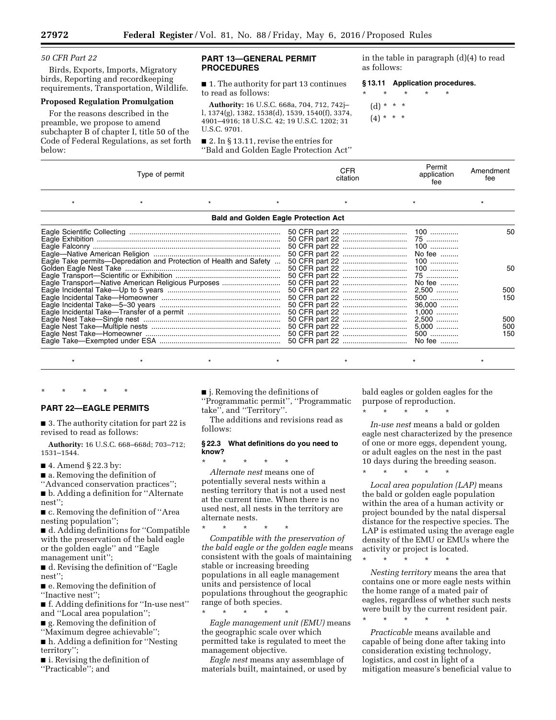*50 CFR Part 22* 

Birds, Exports, Imports, Migratory birds, Reporting and recordkeeping requirements, Transportation, Wildlife.

#### **Proposed Regulation Promulgation**

For the reasons described in the preamble, we propose to amend subchapter B of chapter I, title 50 of the Code of Federal Regulations, as set forth below:

#### **PART 13—GENERAL PERMIT PROCEDURES**

■ 1. The authority for part 13 continues to read as follows:

**Authority:** 16 U.S.C. 668a, 704, 712, 742j– l, 1374(g), 1382, 1538(d), 1539, 1540(f), 3374, 4901–4916; 18 U.S.C. 42; 19 U.S.C. 1202; 31 U.S.C. 9701.

■ 2. In § 13.11, revise the entries for ''Bald and Golden Eagle Protection Act'' in the table in paragraph (d)(4) to read as follows:

|         |               | §13.11 Application procedures. |         |         |  |  |
|---------|---------------|--------------------------------|---------|---------|--|--|
| $\star$ | $\star$       |                                | $\star$ | $\star$ |  |  |
|         | (d) * * *     |                                |         |         |  |  |
|         | $(4) * * * *$ |                                |         |         |  |  |

| Type of permit                                                     | CFR.<br>citation | Permit<br>application<br>fee                 | Amendment<br>fee  |  |
|--------------------------------------------------------------------|------------------|----------------------------------------------|-------------------|--|
|                                                                    |                  |                                              |                   |  |
| <b>Bald and Golden Eagle Protection Act</b>                        |                  |                                              |                   |  |
| Eagle Take permits—Depredation and Protection of Health and Safety |                  | No fee                                       | 50.               |  |
| Eagle Transport-Native American Religious Purposes                 |                  | $100$<br>75<br>No fee                        | 50                |  |
|                                                                    |                  | 2,500<br>500<br>$36,000$                     | 500<br>150        |  |
|                                                                    |                  | $1,000$<br>2,500<br>$5,000$<br>500<br>No fee | 500<br>500<br>150 |  |

### **PART 22—EAGLE PERMITS**

\* \* \* \* \*

■ 3. The authority citation for part 22 is revised to read as follows:

**Authority:** 16 U.S.C. 668–668d; 703–712; 1531–1544.

- 4. Amend § 22.3 by:
- a. Removing the definition of
- ''Advanced conservation practices'';

■ b. Adding a definition for ''Alternate nest'';

■ c. Removing the definition of "Area nesting population'';

■ d. Adding definitions for "Compatible with the preservation of the bald eagle or the golden eagle'' and ''Eagle management unit'';

■ d. Revising the definition of ''Eagle nest'';

■ e. Removing the definition of ''Inactive nest'';

■ f. Adding definitions for "In-use nest" and ''Local area population'';

- g. Removing the definition of
- ''Maximum degree achievable'';

■ h. Adding a definition for "Nesting territory'';

■ i. Revising the definition of ''Practicable''; and

■ j. Removing the definitions of ''Programmatic permit'', ''Programmatic take'', and ''Territory''.

\*\*\*\*\*\*\*

The additions and revisions read as follows:

#### **§ 22.3 What definitions do you need to know?**

\* \* \* \* \* *Alternate nest* means one of potentially several nests within a nesting territory that is not a used nest at the current time. When there is no used nest, all nests in the territory are alternate nests.

\* \* \* \* \* *Compatible with the preservation of the bald eagle or the golden eagle* means consistent with the goals of maintaining stable or increasing breeding populations in all eagle management units and persistence of local populations throughout the geographic range of both species.

\* \* \* \* \* *Eagle management unit (EMU)* means the geographic scale over which permitted take is regulated to meet the management objective.

*Eagle nest* means any assemblage of materials built, maintained, or used by bald eagles or golden eagles for the purpose of reproduction.

\* \* \* \* \*

*In-use nest* means a bald or golden eagle nest characterized by the presence of one or more eggs, dependent young, or adult eagles on the nest in the past 10 days during the breeding season.

\* \* \* \* \*

*Local area population (LAP)* means the bald or golden eagle population within the area of a human activity or project bounded by the natal dispersal distance for the respective species. The LAP is estimated using the average eagle density of the EMU or EMUs where the activity or project is located.

\* \* \* \* \*

*Nesting territory* means the area that contains one or more eagle nests within the home range of a mated pair of eagles, regardless of whether such nests were built by the current resident pair.

\* \* \* \* \*

*Practicable* means available and capable of being done after taking into consideration existing technology, logistics, and cost in light of a mitigation measure's beneficial value to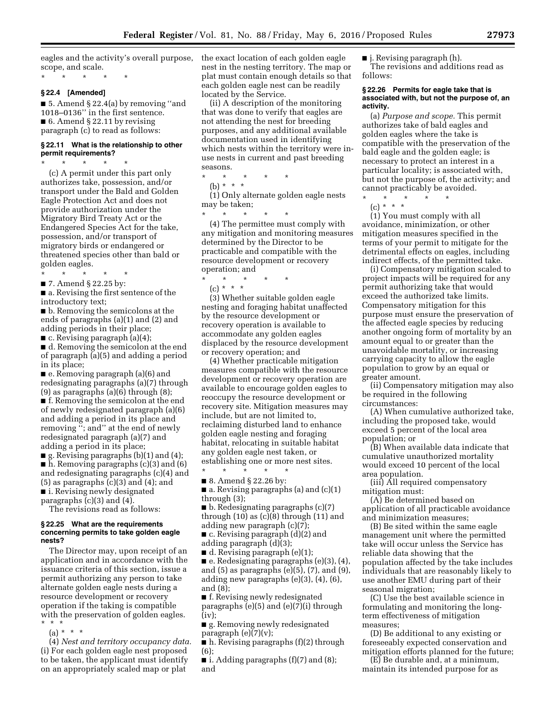eagles and the activity's overall purpose, scope, and scale.

\* \* \* \* \*

#### **§ 22.4 [Amended]**

■ 5. Amend § 22.4(a) by removing "and 1018–0136'' in the first sentence.  $\blacksquare$  6. Amend § 22.11 by revising paragraph (c) to read as follows:

#### **§ 22.11 What is the relationship to other permit requirements?**

\* \* \* \* \* (c) A permit under this part only authorizes take, possession, and/or transport under the Bald and Golden Eagle Protection Act and does not provide authorization under the Migratory Bird Treaty Act or the Endangered Species Act for the take, possession, and/or transport of migratory birds or endangered or threatened species other than bald or golden eagles.

\* \* \* \* \* ■ 7. Amend § 22.25 by:

■ a. Revising the first sentence of the introductory text;

■ b. Removing the semicolons at the ends of paragraphs (a)(1) and (2) and adding periods in their place;  $\blacksquare$  c. Revising paragraph (a)(4);

■ d. Removing the semicolon at the end of paragraph (a)(5) and adding a period in its place;

■ e. Removing paragraph (a)(6) and redesignating paragraphs (a)(7) through  $(9)$  as paragraphs  $(a)(6)$  through  $(8)$ ; ■ f. Removing the semicolon at the end of newly redesignated paragraph (a)(6)

and adding a period in its place and removing ''; and'' at the end of newly redesignated paragraph (a)(7) and adding a period in its place;

■ g. Revising paragraphs (b)(1) and (4); ■ h. Removing paragraphs (c)(3) and (6) and redesignating paragraphs (c)(4) and  $(5)$  as paragraphs  $(c)(3)$  and  $(4)$ ; and ■ i. Revising newly designated paragraphs (c)(3) and (4).

The revisions read as follows:

#### **§ 22.25 What are the requirements concerning permits to take golden eagle nests?**

The Director may, upon receipt of an application and in accordance with the issuance criteria of this section, issue a permit authorizing any person to take alternate golden eagle nests during a resource development or recovery operation if the taking is compatible with the preservation of golden eagles. \* \* \*

 $(a) * * * *$ 

(4) *Nest and territory occupancy data.*  (i) For each golden eagle nest proposed to be taken, the applicant must identify on an appropriately scaled map or plat

the exact location of each golden eagle nest in the nesting territory. The map or plat must contain enough details so that each golden eagle nest can be readily located by the Service.

(ii) A description of the monitoring that was done to verify that eagles are not attending the nest for breeding purposes, and any additional available documentation used in identifying which nests within the territory were inuse nests in current and past breeding seasons.

\* \* \* \* \*

(b) \* \* \*

(1) Only alternate golden eagle nests may be taken;

\* \* \* \* \* (4) The permittee must comply with any mitigation and monitoring measures determined by the Director to be practicable and compatible with the resource development or recovery operation; and

 $\star$   $\star$  $(c) * * * *$ 

(3) Whether suitable golden eagle nesting and foraging habitat unaffected by the resource development or recovery operation is available to accommodate any golden eagles displaced by the resource development or recovery operation; and

(4) Whether practicable mitigation measures compatible with the resource development or recovery operation are available to encourage golden eagles to reoccupy the resource development or recovery site. Mitigation measures may include, but are not limited to, reclaiming disturbed land to enhance golden eagle nesting and foraging habitat, relocating in suitable habitat any golden eagle nest taken, or establishing one or more nest sites.

\* \* \* \* \* ■ 8. Amend § 22.26 by:

■ a. Revising paragraphs (a) and (c)(1) through (3);

■ b. Redesignating paragraphs (c)(7) through  $(10)$  as  $(c)(8)$  through  $(11)$  and adding new paragraph (c)(7);

■ c. Revising paragraph (d)(2) and adding paragraph (d)(3);

■ d. Revising paragraph (e)(1);

■ e. Redesignating paragraphs (e)(3), (4), and (5) as paragraphs (e)(5), (7), and (9), adding new paragraphs (e)(3), (4), (6), and (8);

■ f. Revising newly redesignated paragraphs (e)(5) and (e)(7)(i) through (iv);

■ g. Removing newly redesignated paragraph  $(e)(7)(v)$ ;

■ h. Revising paragraphs (f)(2) through (6);

 $\blacksquare$  i. Adding paragraphs (f)(7) and (8); and

■ j. Revising paragraph (h). The revisions and additions read as follows:

#### **§ 22.26 Permits for eagle take that is associated with, but not the purpose of, an activity.**

(a) *Purpose and scope.* This permit authorizes take of bald eagles and golden eagles where the take is compatible with the preservation of the bald eagle and the golden eagle; is necessary to protect an interest in a particular locality; is associated with, but not the purpose of, the activity; and cannot practicably be avoided.

\* \* \* \* \*

(c) \* \* \* (1) You must comply with all avoidance, minimization, or other mitigation measures specified in the terms of your permit to mitigate for the detrimental effects on eagles, including

indirect effects, of the permitted take. (i) Compensatory mitigation scaled to project impacts will be required for any permit authorizing take that would exceed the authorized take limits. Compensatory mitigation for this purpose must ensure the preservation of the affected eagle species by reducing another ongoing form of mortality by an amount equal to or greater than the unavoidable mortality, or increasing carrying capacity to allow the eagle population to grow by an equal or greater amount.

(ii) Compensatory mitigation may also be required in the following circumstances:

(A) When cumulative authorized take, including the proposed take, would exceed 5 percent of the local area population; or

(B) When available data indicate that cumulative unauthorized mortality would exceed 10 percent of the local area population.

(iii) All required compensatory mitigation must:

(A) Be determined based on application of all practicable avoidance and minimization measures;

(B) Be sited within the same eagle management unit where the permitted take will occur unless the Service has reliable data showing that the population affected by the take includes individuals that are reasonably likely to use another EMU during part of their seasonal migration;

(C) Use the best available science in formulating and monitoring the longterm effectiveness of mitigation measures;

(D) Be additional to any existing or foreseeably expected conservation and mitigation efforts planned for the future;

(E) Be durable and, at a minimum, maintain its intended purpose for as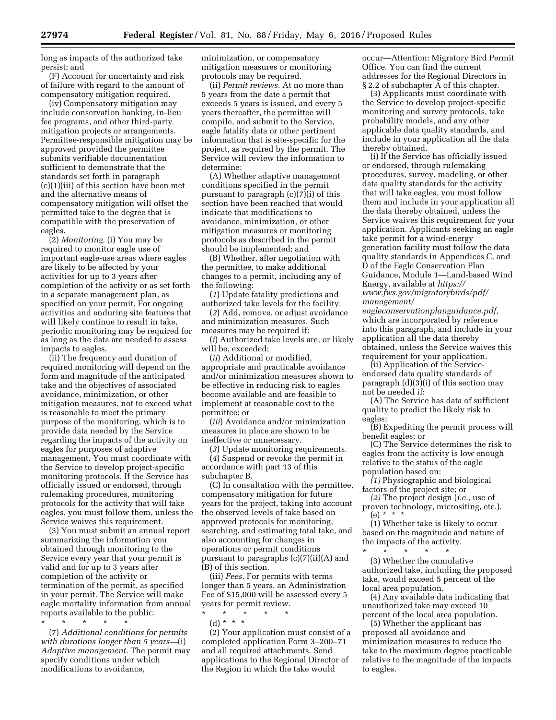long as impacts of the authorized take persist; and

(F) Account for uncertainty and risk of failure with regard to the amount of compensatory mitigation required.

(iv) Compensatory mitigation may include conservation banking, in-lieu fee programs, and other third-party mitigation projects or arrangements. Permittee-responsible mitigation may be approved provided the permittee submits verifiable documentation sufficient to demonstrate that the standards set forth in paragraph (c)(1)(iii) of this section have been met and the alternative means of compensatory mitigation will offset the permitted take to the degree that is compatible with the preservation of eagles.

(2) *Monitoring.* (i) You may be required to monitor eagle use of important eagle-use areas where eagles are likely to be affected by your activities for up to 3 years after completion of the activity or as set forth in a separate management plan, as specified on your permit. For ongoing activities and enduring site features that will likely continue to result in take, periodic monitoring may be required for as long as the data are needed to assess impacts to eagles.

(ii) The frequency and duration of required monitoring will depend on the form and magnitude of the anticipated take and the objectives of associated avoidance, minimization, or other mitigation measures, not to exceed what is reasonable to meet the primary purpose of the monitoring, which is to provide data needed by the Service regarding the impacts of the activity on eagles for purposes of adaptive management. You must coordinate with the Service to develop project-specific monitoring protocols. If the Service has officially issued or endorsed, through rulemaking procedures, monitoring protocols for the activity that will take eagles, you must follow them, unless the Service waives this requirement.

(3) You must submit an annual report summarizing the information you obtained through monitoring to the Service every year that your permit is valid and for up to 3 years after completion of the activity or termination of the permit, as specified in your permit. The Service will make eagle mortality information from annual reports available to the public.

\* \* \* \* \* (7) *Additional conditions for permits with durations longer than 5 years—*(i) *Adaptive management.* The permit may specify conditions under which modifications to avoidance,

minimization, or compensatory mitigation measures or monitoring protocols may be required.

(ii) *Permit reviews.* At no more than 5 years from the date a permit that exceeds 5 years is issued, and every 5 years thereafter, the permittee will compile, and submit to the Service, eagle fatality data or other pertinent information that is site-specific for the project, as required by the permit. The Service will review the information to determine:

(A) Whether adaptive management conditions specified in the permit pursuant to paragraph (c)(7)(i) of this section have been reached that would indicate that modifications to avoidance, minimization, or other mitigation measures or monitoring protocols as described in the permit should be implemented; and

(B) Whether, after negotiation with the permittee, to make additional changes to a permit, including any of the following:

(*1*) Update fatality predictions and authorized take levels for the facility.

(*2*) Add, remove, or adjust avoidance and minimization measures. Such measures may be required if:

(*i*) Authorized take levels are, or likely will be, exceeded;

(*ii*) Additional or modified, appropriate and practicable avoidance and/or minimization measures shown to be effective in reducing risk to eagles become available and are feasible to implement at reasonable cost to the permittee; or

(*iii*) Avoidance and/or minimization measures in place are shown to be ineffective or unnecessary.

(*3*) Update monitoring requirements. (*4*) Suspend or revoke the permit in accordance with part 13 of this subchapter B.

(C) In consultation with the permittee, compensatory mitigation for future years for the project, taking into account the observed levels of take based on approved protocols for monitoring, searching, and estimating total take, and also accounting for changes in operations or permit conditions pursuant to paragraphs (c)(7)(ii)(A) and (B) of this section.

(iii) *Fees.* For permits with terms longer than 5 years, an Administration Fee of \$15,000 will be assessed every 5 years for permit review.

\* \* \* \* \*

(d) \* \* \*

(2) Your application must consist of a completed application Form 3–200–71 and all required attachments. Send applications to the Regional Director of the Region in which the take would

occur—Attention: Migratory Bird Permit Office. You can find the current addresses for the Regional Directors in § 2.2 of subchapter A of this chapter.

(3) Applicants must coordinate with the Service to develop project-specific monitoring and survey protocols, take probability models, and any other applicable data quality standards, and include in your application all the data thereby obtained.

(i) If the Service has officially issued or endorsed, through rulemaking procedures, survey, modeling, or other data quality standards for the activity that will take eagles, you must follow them and include in your application all the data thereby obtained, unless the Service waives this requirement for your application. Applicants seeking an eagle take permit for a wind-energy generation facility must follow the data quality standards in Appendices C, and D of the Eagle Conservation Plan Guidance, Module 1—Land-based Wind Energy, available at *[https://](https://www.fws.gov/migratorybirds/pdf/management/eagleconservationplanguidance.pdf) [www.fws.gov/migratorybirds/pdf/](https://www.fws.gov/migratorybirds/pdf/management/eagleconservationplanguidance.pdf) [management/](https://www.fws.gov/migratorybirds/pdf/management/eagleconservationplanguidance.pdf)*

*[eagleconservationplanguidance.pdf,](https://www.fws.gov/migratorybirds/pdf/management/eagleconservationplanguidance.pdf)*  which are incorporated by reference into this paragraph, and include in your application all the data thereby obtained, unless the Service waives this requirement for your application.

(ii) Application of the Serviceendorsed data quality standards of paragraph (d)(3)(i) of this section may not be needed if:

(A) The Service has data of sufficient quality to predict the likely risk to eagles;

(B) Expediting the permit process will benefit eagles; or

(C) The Service determines the risk to eagles from the activity is low enough relative to the status of the eagle population based on:

*(1)* Physiographic and biological factors of the project site; or

*(2)* The project design (*i.e.,* use of proven technology, micrositing, etc.). (e) \* \* \*

(1) Whether take is likely to occur based on the magnitude and nature of the impacts of the activity.

\* \* \* \* \* (3) Whether the cumulative authorized take, including the proposed take, would exceed 5 percent of the local area population.

(4) Any available data indicating that unauthorized take may exceed 10 percent of the local area population.

(5) Whether the applicant has proposed all avoidance and minimization measures to reduce the take to the maximum degree practicable relative to the magnitude of the impacts to eagles.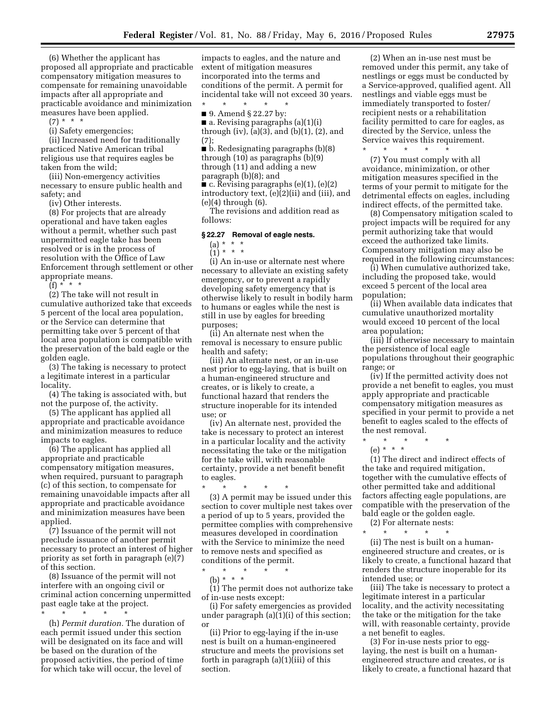(6) Whether the applicant has proposed all appropriate and practicable compensatory mitigation measures to compensate for remaining unavoidable impacts after all appropriate and practicable avoidance and minimization measures have been applied.

(7) \* \* \*

(i) Safety emergencies;

(ii) Increased need for traditionally practiced Native American tribal religious use that requires eagles be taken from the wild;

(iii) Non-emergency activities necessary to ensure public health and safety; and

(iv) Other interests.

(8) For projects that are already operational and have taken eagles without a permit, whether such past unpermitted eagle take has been resolved or is in the process of resolution with the Office of Law Enforcement through settlement or other appropriate means.

 $(f) * * * *$ 

(2) The take will not result in cumulative authorized take that exceeds 5 percent of the local area population, or the Service can determine that permitting take over 5 percent of that local area population is compatible with the preservation of the bald eagle or the golden eagle.

(3) The taking is necessary to protect a legitimate interest in a particular locality.

(4) The taking is associated with, but not the purpose of, the activity.

(5) The applicant has applied all appropriate and practicable avoidance and minimization measures to reduce impacts to eagles.

(6) The applicant has applied all appropriate and practicable compensatory mitigation measures, when required, pursuant to paragraph (c) of this section, to compensate for remaining unavoidable impacts after all appropriate and practicable avoidance and minimization measures have been applied.

(7) Issuance of the permit will not preclude issuance of another permit necessary to protect an interest of higher priority as set forth in paragraph (e)(7) of this section.

(8) Issuance of the permit will not interfere with an ongoing civil or criminal action concerning unpermitted past eagle take at the project.

\* \* \* \* \*

(h) *Permit duration.* The duration of each permit issued under this section will be designated on its face and will be based on the duration of the proposed activities, the period of time for which take will occur, the level of

impacts to eagles, and the nature and extent of mitigation measures incorporated into the terms and conditions of the permit. A permit for incidental take will not exceed 30 years.

\* \* \* \* \* ■ 9. Amend § 22.27 by:

 $\blacksquare$  a. Revising paragraphs (a)(1)(i)

through (iv), (a)(3), and (b)(1), (2), and (7);

■ b. Redesignating paragraphs (b)(8) through (10) as paragraphs (b)(9) through (11) and adding a new

paragraph (b)(8); and

■ c. Revising paragraphs (e)(1), (e)(2) introductory text, (e)(2)(ii) and (iii), and (e)(4) through (6).

The revisions and addition read as follows:

#### **§ 22.27 Removal of eagle nests.**

(a) \* \* \*

(1) \* \* \* (i) An in-use or alternate nest where necessary to alleviate an existing safety emergency, or to prevent a rapidly developing safety emergency that is otherwise likely to result in bodily harm to humans or eagles while the nest is still in use by eagles for breeding purposes;

(ii) An alternate nest when the removal is necessary to ensure public health and safety;

(iii) An alternate nest, or an in-use nest prior to egg-laying, that is built on a human-engineered structure and creates, or is likely to create, a functional hazard that renders the structure inoperable for its intended use; or

(iv) An alternate nest, provided the take is necessary to protect an interest in a particular locality and the activity necessitating the take or the mitigation for the take will, with reasonable certainty, provide a net benefit benefit to eagles.

\* \* \* \* \* (3) A permit may be issued under this section to cover multiple nest takes over a period of up to 5 years, provided the permittee complies with comprehensive measures developed in coordination with the Service to minimize the need to remove nests and specified as conditions of the permit.

\* \* \* \* \* (b) \* \* \*

(1) The permit does not authorize take of in-use nests except:

(i) For safety emergencies as provided under paragraph (a)(1)(i) of this section; or

(ii) Prior to egg-laying if the in-use nest is built on a human-engineered structure and meets the provisions set forth in paragraph (a)(1)(iii) of this section.

(2) When an in-use nest must be removed under this permit, any take of nestlings or eggs must be conducted by a Service-approved, qualified agent. All nestlings and viable eggs must be immediately transported to foster/ recipient nests or a rehabilitation facility permitted to care for eagles, as directed by the Service, unless the Service waives this requirement. \* \* \* \* \*

(7) You must comply with all avoidance, minimization, or other mitigation measures specified in the terms of your permit to mitigate for the detrimental effects on eagles, including indirect effects, of the permitted take.

(8) Compensatory mitigation scaled to project impacts will be required for any permit authorizing take that would exceed the authorized take limits. Compensatory mitigation may also be required in the following circumstances:

(i) When cumulative authorized take, including the proposed take, would exceed 5 percent of the local area population;

(ii) When available data indicates that cumulative unauthorized mortality would exceed 10 percent of the local area population;

(iii) If otherwise necessary to maintain the persistence of local eagle populations throughout their geographic range; or

(iv) If the permitted activity does not provide a net benefit to eagles, you must apply appropriate and practicable compensatory mitigation measures as specified in your permit to provide a net benefit to eagles scaled to the effects of the nest removal.

\* \* \* \* \*

(e) \* \* \*

(1) The direct and indirect effects of the take and required mitigation, together with the cumulative effects of other permitted take and additional factors affecting eagle populations, are compatible with the preservation of the bald eagle or the golden eagle.

(2) For alternate nests: \* \* \* \* \*

(ii) The nest is built on a humanengineered structure and creates, or is likely to create, a functional hazard that renders the structure inoperable for its intended use; or

(iii) The take is necessary to protect a legitimate interest in a particular locality, and the activity necessitating the take or the mitigation for the take will, with reasonable certainty, provide a net benefit to eagles.

(3) For in-use nests prior to egglaying, the nest is built on a humanengineered structure and creates, or is likely to create, a functional hazard that